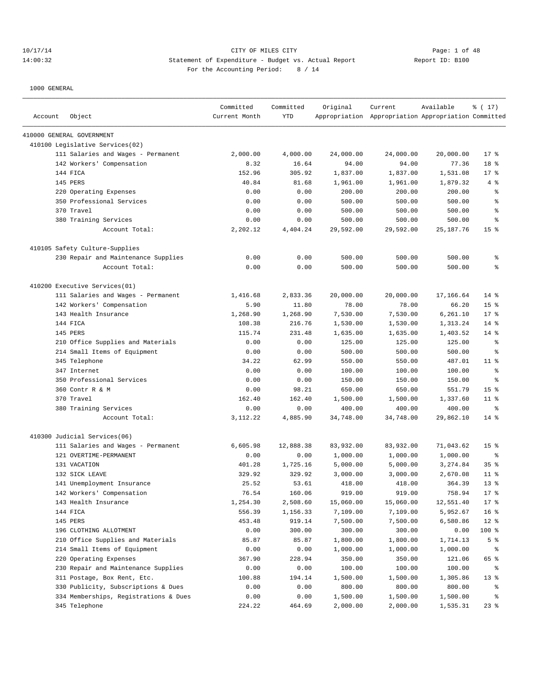## 10/17/14 CITY OF MILES CITY Page: 1 of 48 14:00:32 Statement of Expenditure - Budget vs. Actual Report Changer Report ID: B100 For the Accounting Period: 8 / 14

| Account | Object                                | Committed<br>Current Month | Committed<br>YTD | Original  | Current<br>Appropriation Appropriation Appropriation Committed | Available   | % (17)           |
|---------|---------------------------------------|----------------------------|------------------|-----------|----------------------------------------------------------------|-------------|------------------|
|         | 410000 GENERAL GOVERNMENT             |                            |                  |           |                                                                |             |                  |
|         | 410100 Legislative Services(02)       |                            |                  |           |                                                                |             |                  |
|         | 111 Salaries and Wages - Permanent    | 2,000.00                   | 4,000.00         | 24,000.00 | 24,000.00                                                      | 20,000.00   | $17*$            |
|         | 142 Workers' Compensation             | 8.32                       | 16.64            | 94.00     | 94.00                                                          | 77.36       | 18 %             |
|         | 144 FICA                              | 152.96                     | 305.92           | 1,837.00  | 1,837.00                                                       | 1,531.08    | $17*$            |
|         | 145 PERS                              | 40.84                      | 81.68            | 1,961.00  | 1,961.00                                                       | 1,879.32    | 4%               |
|         | 220 Operating Expenses                | 0.00                       | 0.00             | 200.00    | 200.00                                                         | 200.00      | ి                |
|         | 350 Professional Services             | 0.00                       | 0.00             | 500.00    | 500.00                                                         | 500.00      | ి                |
|         | 370 Travel                            | 0.00                       | 0.00             | 500.00    | 500.00                                                         | 500.00      | $\,{}^{\circ}\!$ |
|         | 380 Training Services                 | 0.00                       | 0.00             | 500.00    | 500.00                                                         | 500.00      | နွ               |
|         | Account Total:                        | 2,202.12                   | 4,404.24         | 29,592.00 | 29,592.00                                                      | 25, 187. 76 | 15 <sup>°</sup>  |
|         | 410105 Safety Culture-Supplies        |                            |                  |           |                                                                |             |                  |
|         | 230 Repair and Maintenance Supplies   | 0.00                       | 0.00             | 500.00    | 500.00                                                         | 500.00      | $\,{}^{\circ}\!$ |
|         | Account Total:                        | 0.00                       | 0.00             | 500.00    | 500.00                                                         | 500.00      | ి                |
|         | 410200 Executive Services(01)         |                            |                  |           |                                                                |             |                  |
|         | 111 Salaries and Wages - Permanent    | 1,416.68                   | 2,833.36         | 20,000.00 | 20,000.00                                                      | 17,166.64   | $14*$            |
|         | 142 Workers' Compensation             | 5.90                       | 11.80            | 78.00     | 78.00                                                          | 66.20       | 15 <sup>°</sup>  |
|         | 143 Health Insurance                  | 1,268.90                   | 1,268.90         | 7,530.00  | 7,530.00                                                       | 6,261.10    | $17*$            |
|         | 144 FTCA                              | 108.38                     | 216.76           | 1,530.00  | 1,530.00                                                       | 1,313.24    | $14$ %           |
|         | 145 PERS                              | 115.74                     | 231.48           | 1,635.00  | 1,635.00                                                       | 1,403.52    | $14$ %           |
|         | 210 Office Supplies and Materials     | 0.00                       | 0.00             | 125.00    | 125.00                                                         | 125.00      | ႜ                |
|         | 214 Small Items of Equipment          | 0.00                       | 0.00             | 500.00    | 500.00                                                         | 500.00      | နွ               |
|         | 345 Telephone                         | 34.22                      | 62.99            | 550.00    | 550.00                                                         | 487.01      | $11$ %           |
|         | 347 Internet                          | 0.00                       | 0.00             | 100.00    | 100.00                                                         | 100.00      | နွ               |
|         | 350 Professional Services             | 0.00                       | 0.00             | 150.00    | 150.00                                                         | 150.00      | နွ               |
|         | 360 Contr R & M                       | 0.00                       | 98.21            | 650.00    | 650.00                                                         | 551.79      | 15 <sup>°</sup>  |
|         | 370 Travel                            | 162.40                     | 162.40           | 1,500.00  | 1,500.00                                                       | 1,337.60    | $11$ %           |
|         | 380 Training Services                 | 0.00                       | 0.00             | 400.00    | 400.00                                                         | 400.00      | ႜ                |
|         | Account Total:                        | 3,112.22                   | 4,885.90         | 34,748.00 | 34,748.00                                                      | 29,862.10   | $14$ %           |
|         | 410300 Judicial Services(06)          |                            |                  |           |                                                                |             |                  |
|         | 111 Salaries and Wages - Permanent    | 6,605.98                   | 12,888.38        | 83,932.00 | 83,932.00                                                      | 71,043.62   | 15 <sup>°</sup>  |
|         | 121 OVERTIME-PERMANENT                | 0.00                       | 0.00             | 1,000.00  | 1,000.00                                                       | 1,000.00    | ႜ                |
|         | 131 VACATION                          | 401.28                     | 1,725.16         | 5,000.00  | 5,000.00                                                       | 3,274.84    | 35%              |
|         | 132 SICK LEAVE                        | 329.92                     | 329.92           | 3,000.00  | 3,000.00                                                       | 2,670.08    | $11$ %           |
|         | 141 Unemployment Insurance            | 25.52                      | 53.61            | 418.00    | 418.00                                                         | 364.39      | $13*$            |
|         | 142 Workers' Compensation             | 76.54                      | 160.06           | 919.00    | 919.00                                                         | 758.94      | $17*$            |
|         | 143 Health Insurance                  | 1,254.30                   | 2,508.60         | 15,060.00 | 15,060.00                                                      | 12,551.40   | $17*$            |
|         | 144 FICA                              | 556.39                     | 1,156.33         | 7,109.00  | 7,109.00                                                       | 5,952.67    | 16 <sup>°</sup>  |
|         | 145 PERS                              | 453.48                     | 919.14           | 7,500.00  | 7,500.00                                                       | 6,580.86    | $12$ %           |
|         | 196 CLOTHING ALLOTMENT                | 0.00                       | 300.00           | 300.00    | 300.00                                                         | 0.00        | 100 %            |
|         | 210 Office Supplies and Materials     | 85.87                      | 85.87            | 1,800.00  | 1,800.00                                                       | 1,714.13    | 5 <sup>°</sup>   |
|         | 214 Small Items of Equipment          | 0.00                       | 0.00             | 1,000.00  | 1,000.00                                                       | 1,000.00    | နွ               |
|         | 220 Operating Expenses                | 367.90                     | 228.94           | 350.00    | 350.00                                                         | 121.06      | 65 %             |
|         | 230 Repair and Maintenance Supplies   | 0.00                       | 0.00             | 100.00    | 100.00                                                         | 100.00      | နွ               |
|         | 311 Postage, Box Rent, Etc.           | 100.88                     | 194.14           | 1,500.00  | 1,500.00                                                       | 1,305.86    | $13*$            |
|         | 330 Publicity, Subscriptions & Dues   | 0.00                       | 0.00             | 800.00    | 800.00                                                         | 800.00      | ႜ                |
|         | 334 Memberships, Registrations & Dues | 0.00                       | 0.00             | 1,500.00  | 1,500.00                                                       | 1,500.00    | နွ               |
|         | 345 Telephone                         | 224.22                     | 464.69           | 2,000.00  | 2,000.00                                                       | 1,535.31    | $23$ $%$         |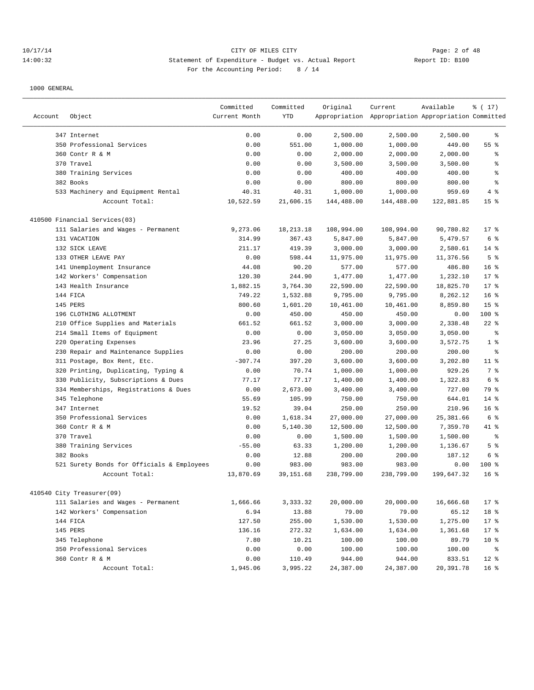## 10/17/14 CITY OF MILES CITY Page: 2 of 48 14:00:32 Statement of Expenditure - Budget vs. Actual Report Report ID: B100 For the Accounting Period: 8 / 14

| Account | Object                                       | Committed<br>Current Month | Committed<br><b>YTD</b> | Original           | Current<br>Appropriation Appropriation Appropriation Committed | Available          | % (17)          |
|---------|----------------------------------------------|----------------------------|-------------------------|--------------------|----------------------------------------------------------------|--------------------|-----------------|
|         | 347 Internet                                 | 0.00                       | 0.00                    | 2,500.00           | 2,500.00                                                       | 2,500.00           | ి               |
|         | 350 Professional Services                    | 0.00                       | 551.00                  | 1,000.00           | 1,000.00                                                       | 449.00             | 55 <sup>8</sup> |
|         | 360 Contr R & M                              | 0.00                       | 0.00                    | 2,000.00           | 2,000.00                                                       | 2,000.00           | ి               |
|         | 370 Travel                                   | 0.00                       | 0.00                    | 3,500.00           | 3,500.00                                                       | 3,500.00           | š               |
|         | 380 Training Services                        | 0.00                       | 0.00                    | 400.00             | 400.00                                                         | 400.00             | ៖               |
|         | 382 Books                                    | 0.00                       | 0.00                    | 800.00             | 800.00                                                         | 800.00             | နွ              |
|         | 533 Machinery and Equipment Rental           | 40.31                      | 40.31                   | 1,000.00           | 1,000.00                                                       | 959.69             | 4%              |
|         | Account Total:                               | 10,522.59                  | 21,606.15               | 144,488.00         | 144,488.00                                                     | 122,881.85         | 15 <sup>8</sup> |
|         | 410500 Financial Services(03)                |                            |                         |                    |                                                                |                    |                 |
|         | 111 Salaries and Wages - Permanent           | 9,273.06                   | 18, 213. 18             | 108,994.00         | 108,994.00                                                     | 90,780.82          | $17*$           |
|         | 131 VACATION                                 | 314.99                     | 367.43                  | 5,847.00           | 5,847.00                                                       | 5,479.57           | 6 %             |
|         | 132 SICK LEAVE                               | 211.17                     | 419.39                  | 3,000.00           | 3,000.00                                                       | 2,580.61           | $14*$           |
|         | 133 OTHER LEAVE PAY                          | 0.00                       | 598.44                  | 11,975.00          | 11,975.00                                                      | 11,376.56          | 5 <sup>°</sup>  |
|         | 141 Unemployment Insurance                   | 44.08                      | 90.20                   | 577.00             | 577.00                                                         | 486.80             | 16 <sup>8</sup> |
|         | 142 Workers' Compensation                    | 120.30                     | 244.90                  | 1,477.00           | 1,477.00                                                       | 1,232.10           | $17*$           |
|         | 143 Health Insurance                         | 1,882.15                   | 3,764.30                | 22,590.00          | 22,590.00                                                      | 18,825.70          | $17*$           |
|         | 144 FICA                                     | 749.22                     | 1,532.88                | 9,795.00           | 9,795.00                                                       | 8,262.12           | 16 <sup>8</sup> |
|         | 145 PERS                                     | 800.60                     | 1,601.20                | 10,461.00          | 10,461.00                                                      | 8,859.80           | 15 <sup>°</sup> |
|         | 196 CLOTHING ALLOTMENT                       | 0.00                       | 450.00                  | 450.00             | 450.00                                                         | 0.00               | 100 %           |
|         | 210 Office Supplies and Materials            | 661.52                     | 661.52                  | 3,000.00           | 3,000.00                                                       | 2,338.48           | $22$ $%$        |
|         | 214 Small Items of Equipment                 | 0.00                       | 0.00                    | 3,050.00           | 3,050.00                                                       | 3,050.00           | နွ              |
|         | 220 Operating Expenses                       | 23.96                      | 27.25                   | 3,600.00           | 3,600.00                                                       | 3,572.75           | 1 <sup>8</sup>  |
|         | 230 Repair and Maintenance Supplies          | 0.00                       | 0.00                    | 200.00             | 200.00                                                         | 200.00             | နွ              |
|         | 311 Postage, Box Rent, Etc.                  | $-307.74$                  | 397.20                  | 3,600.00           | 3,600.00                                                       | 3,202.80           | $11$ %          |
|         | 320 Printing, Duplicating, Typing &          | 0.00                       | 70.74                   | 1,000.00           | 1,000.00                                                       | 929.26             | 7 %             |
|         | 330 Publicity, Subscriptions & Dues          | 77.17                      | 77.17                   | 1,400.00           | 1,400.00                                                       | 1,322.83           | 6 <sup>°</sup>  |
|         | 334 Memberships, Registrations & Dues        | 0.00                       | 2,673.00                | 3,400.00           | 3,400.00                                                       | 727.00             | 79 %            |
|         | 345 Telephone                                | 55.69                      | 105.99                  | 750.00             | 750.00                                                         | 644.01             | 14 %            |
|         | 347 Internet                                 | 19.52                      | 39.04                   | 250.00             | 250.00                                                         | 210.96             | 16 <sup>8</sup> |
|         | 350 Professional Services                    | 0.00                       | 1,618.34                | 27,000.00          | 27,000.00                                                      | 25,381.66          | 6 <sup>8</sup>  |
|         | 360 Contr R & M                              | 0.00                       | 5,140.30                | 12,500.00          | 12,500.00                                                      | 7,359.70           | $41*$           |
|         | 370 Travel                                   | 0.00                       | 0.00                    | 1,500.00           | 1,500.00                                                       | 1,500.00           | နွ              |
|         | 380 Training Services                        | $-55.00$                   | 63.33                   | 1,200.00           | 1,200.00                                                       | 1,136.67           | 5 <sup>°</sup>  |
|         | 382 Books                                    | 0.00                       | 12.88                   | 200.00             | 200.00                                                         | 187.12             | 6 <sup>°</sup>  |
|         | 521 Surety Bonds for Officials & Employees   | 0.00                       | 983.00                  | 983.00             | 983.00                                                         | 0.00               | $100*$          |
|         | Account Total:                               | 13,870.69                  | 39, 151.68              | 238,799.00         | 238,799.00                                                     | 199,647.32         | 16 <sup>8</sup> |
|         | 410540 City Treasurer(09)                    |                            |                         |                    |                                                                |                    |                 |
|         | 111 Salaries and Wages - Permanent           |                            |                         |                    |                                                                |                    | $17*$           |
|         |                                              | 1,666.66<br>6.94           | 3,333.32<br>13.88       | 20,000.00<br>79.00 | 20,000.00<br>79.00                                             | 16,666.68<br>65.12 |                 |
|         | 142 Workers' Compensation<br>144 FICA        | 127.50                     | 255.00                  | 1,530.00           | 1,530.00                                                       | 1,275.00           | 18 %<br>$17$ %  |
|         | 145 PERS                                     | 136.16                     | 272.32                  | 1,634.00           | 1,634.00                                                       | 1,361.68           | 17 <sub>8</sub> |
|         | 345 Telephone                                | 7.80                       |                         |                    |                                                                |                    | $10*$           |
|         |                                              |                            | 10.21                   | 100.00<br>100.00   | 100.00                                                         | 89.79              |                 |
|         | 350 Professional Services<br>360 Contr R & M | 0.00                       | 0.00                    |                    | 100.00                                                         | 100.00             | နွ              |
|         |                                              | 0.00                       | 110.49                  | 944.00             | 944.00                                                         | 833.51             | $12$ %          |
|         | Account Total:                               | 1,945.06                   | 3,995.22                | 24,387.00          | 24,387.00                                                      | 20,391.78          | 16 <sup>8</sup> |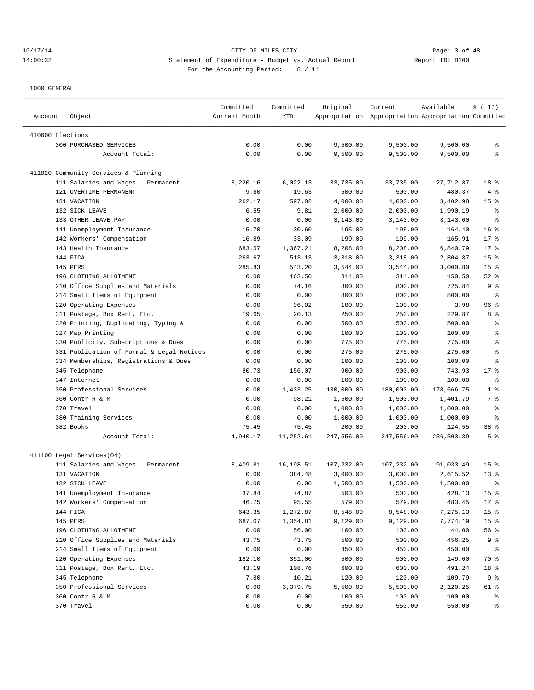| Account          | Object                                                          | Committed<br>Current Month | Committed<br>YTD | Original   | Current<br>Appropriation Appropriation Appropriation Committed | Available  | ៖ ( 17)         |
|------------------|-----------------------------------------------------------------|----------------------------|------------------|------------|----------------------------------------------------------------|------------|-----------------|
|                  |                                                                 |                            |                  |            |                                                                |            |                 |
| 410600 Elections |                                                                 |                            |                  |            |                                                                |            |                 |
|                  | 300 PURCHASED SERVICES                                          | 0.00                       | 0.00             | 9,500.00   | 9,500.00                                                       | 9,500.00   | ႜ               |
|                  | Account Total:                                                  | 0.00                       | 0.00             | 9,500.00   | 9,500.00                                                       | 9,500.00   | ి               |
|                  | 411020 Community Services & Planning                            |                            |                  |            |                                                                |            |                 |
|                  | 111 Salaries and Wages - Permanent                              | 3,220.16                   | 6,022.13         | 33,735.00  | 33,735.00                                                      | 27,712.87  | 18 %            |
|                  | 121 OVERTIME-PERMANENT                                          | 9.80                       | 19.63            | 500.00     | 500.00                                                         | 480.37     | 4 %             |
|                  | 131 VACATION                                                    | 262.17                     | 597.02           | 4,000.00   | 4,000.00                                                       | 3,402.98   | 15 <sup>8</sup> |
|                  | 132 SICK LEAVE                                                  | 6.55                       | 9.81             | 2,000.00   | 2,000.00                                                       | 1,990.19   | နွ              |
|                  | 133 OTHER LEAVE PAY                                             | 0.00                       | 0.00             | 3,143.00   | 3,143.00                                                       | 3,143.00   | ి               |
|                  | 141 Unemployment Insurance                                      | 15.70                      | 30.60            | 195.00     | 195.00                                                         | 164.40     | 16 <sup>8</sup> |
|                  | 142 Workers' Compensation                                       | 16.89                      | 33.09            | 199.00     | 199.00                                                         | 165.91     | $17$ %          |
|                  | 143 Health Insurance                                            | 683.57                     | 1,367.21         | 8,208.00   | 8,208.00                                                       | 6,840.79   | 17%             |
|                  | 144 FICA                                                        | 263.67                     | 513.13           | 3,318.00   | 3,318.00                                                       | 2,804.87   | 15 <sup>°</sup> |
|                  | 145 PERS                                                        | 285.83                     | 543.20           | 3,544.00   | 3,544.00                                                       | 3,000.80   | 15 <sup>°</sup> |
|                  | 196 CLOTHING ALLOTMENT                                          | 0.00                       | 163.50           | 314.00     | 314.00                                                         | 150.50     | $52$ $%$        |
|                  | 210 Office Supplies and Materials                               | 0.00                       | 74.16            | 800.00     | 800.00                                                         | 725.84     | 9%              |
|                  | 214 Small Items of Equipment                                    | 0.00                       | 0.00             | 800.00     | 800.00                                                         | 800.00     | နွ              |
|                  | 220 Operating Expenses                                          | 0.00                       | 96.02            | 100.00     | 100.00                                                         | 3.98       | 96%             |
|                  | 311 Postage, Box Rent, Etc.                                     | 19.65                      | 20.13            | 250.00     | 250.00                                                         | 229.87     | 8 %             |
|                  | 320 Printing, Duplicating, Typing &                             | 0.00                       | 0.00             | 500.00     | 500.00                                                         | 500.00     | နွ              |
|                  | 327 Map Printing                                                | 0.00                       | 0.00             | 100.00     | 100.00                                                         | 100.00     | ి               |
|                  | 330 Publicity, Subscriptions & Dues                             | 0.00                       | 0.00             | 775.00     | 775.00                                                         | 775.00     | ి               |
|                  | 331 Publication of Formal & Legal Notices                       | 0.00                       | 0.00             | 275.00     | 275.00                                                         | 275.00     | န္              |
|                  | 334 Memberships, Registrations & Dues                           | 0.00                       | 0.00             | 100.00     | 100.00                                                         | 100.00     | ి               |
|                  | 345 Telephone                                                   | 80.73                      | 156.07           | 900.00     | 900.00                                                         | 743.93     | $17$ %          |
|                  | 347 Internet                                                    | 0.00                       | 0.00             | 100.00     | 100.00                                                         | 100.00     | $\epsilon$      |
|                  | 350 Professional Services                                       | 0.00                       | 1,433.25         | 180,000.00 | 180,000.00                                                     | 178,566.75 | 1 <sup>°</sup>  |
|                  | 360 Contr R & M                                                 | 0.00                       | 98.21            | 1,500.00   | 1,500.00                                                       | 1,401.79   | 7 %             |
|                  | 370 Travel                                                      | 0.00                       | 0.00             | 1,000.00   | 1,000.00                                                       | 1,000.00   | နွ              |
|                  | 380 Training Services                                           | 0.00                       | 0.00             | 1,000.00   | 1,000.00                                                       | 1,000.00   | ి               |
|                  | 382 Books                                                       | 75.45                      | 75.45            | 200.00     | 200.00                                                         | 124.55     | 38 %            |
|                  | Account Total:                                                  | 4,940.17                   | 11,252.61        | 247,556.00 | 247,556.00                                                     | 236,303.39 | 5 <sup>°</sup>  |
|                  |                                                                 |                            |                  |            |                                                                |            |                 |
|                  | 411100 Legal Services(04)<br>111 Salaries and Wages - Permanent | 8,409.81                   | 16,198.51        | 107,232.00 | 107,232.00                                                     | 91,033.49  | 15 <sup>°</sup> |
|                  | 131 VACATION                                                    | 0.00                       | 384.48           | 3,000.00   | 3,000.00                                                       | 2,615.52   | $13*$           |
|                  | 132 SICK LEAVE                                                  | 0.00                       | 0.00             | 1,500.00   | 1,500.00                                                       | 1,500.00   | ៖               |
|                  | 141 Unemployment Insurance                                      | 37.84                      | 74.87            | 503.00     | 503.00                                                         | 428.13     | 15 <sub>8</sub> |
|                  | 142 Workers' Compensation                                       |                            |                  |            |                                                                |            |                 |
|                  |                                                                 | 46.75                      | 95.55            | 579.00     | 579.00                                                         | 483.45     | 17 <sub>8</sub> |
|                  | 144 FICA                                                        | 643.35                     | 1,272.87         | 8,548.00   | 8,548.00                                                       | 7,275.13   | 15 <sub>8</sub> |
|                  | 145 PERS                                                        | 687.07                     | 1,354.81         | 9,129.00   | 9,129.00                                                       | 7,774.19   | 15 <sub>8</sub> |
|                  | 196 CLOTHING ALLOTMENT                                          | 0.00                       | 56.00            | 100.00     | 100.00                                                         | 44.00      | 56 %            |
|                  | 210 Office Supplies and Materials                               | 43.75                      | 43.75            | 500.00     | 500.00                                                         | 456.25     | 9 %             |
|                  | 214 Small Items of Equipment                                    | 0.00                       | 0.00             | 450.00     | 450.00                                                         | 450.00     | နွ              |
|                  | 220 Operating Expenses                                          | 182.10                     | 351.00           | 500.00     | 500.00                                                         | 149.00     | 70 %            |
|                  | 311 Postage, Box Rent, Etc.                                     | 43.19                      | 108.76           | 600.00     | 600.00                                                         | 491.24     | 18 %            |
|                  | 345 Telephone                                                   | 7.80                       | 10.21            | 120.00     | 120.00                                                         | 109.79     | 9%              |
|                  | 350 Professional Services                                       | 0.00                       | 3,379.75         | 5,500.00   | 5,500.00                                                       | 2,120.25   | 61 %            |
|                  | 360 Contr R & M                                                 | 0.00                       | 0.00             | 100.00     | 100.00                                                         | 100.00     | ွေ              |
|                  | 370 Travel                                                      | 0.00                       | 0.00             | 550.00     | 550.00                                                         | 550.00     | ွေ              |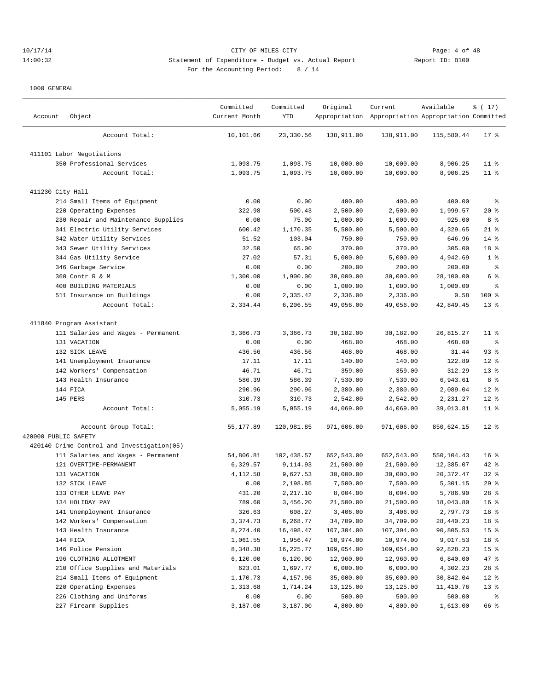## 10/17/14 CITY OF MILES CITY Page: 4 of 48 14:00:32 Statement of Expenditure - Budget vs. Actual Report Changer Report ID: B100 For the Accounting Period: 8 / 14

| Account              | Object                                     | Committed<br>Current Month | Committed<br>YTD | Original   | Current<br>Appropriation Appropriation Appropriation Committed | Available  | ៖ ( 17)         |
|----------------------|--------------------------------------------|----------------------------|------------------|------------|----------------------------------------------------------------|------------|-----------------|
|                      | Account Total:                             | 10,101.66                  | 23,330.56        | 138,911.00 | 138,911.00                                                     | 115,580.44 | $17$ %          |
|                      | 411101 Labor Negotiations                  |                            |                  |            |                                                                |            |                 |
|                      | 350 Professional Services                  | 1,093.75                   | 1,093.75         | 10,000.00  | 10,000.00                                                      | 8,906.25   | $11$ %          |
|                      | Account Total:                             | 1,093.75                   | 1,093.75         | 10,000.00  | 10,000.00                                                      | 8,906.25   | $11$ %          |
| 411230 City Hall     |                                            |                            |                  |            |                                                                |            |                 |
|                      | 214 Small Items of Equipment               | 0.00                       | 0.00             | 400.00     | 400.00                                                         | 400.00     | ႜ               |
|                      | 220 Operating Expenses                     | 322.98                     | 500.43           | 2,500.00   | 2,500.00                                                       | 1,999.57   | 20%             |
|                      | 230 Repair and Maintenance Supplies        | 0.00                       | 75.00            | 1,000.00   | 1,000.00                                                       | 925.00     | 8 %             |
|                      | 341 Electric Utility Services              | 600.42                     | 1,170.35         | 5,500.00   | 5,500.00                                                       | 4,329.65   | $21$ %          |
|                      | 342 Water Utility Services                 | 51.52                      | 103.04           | 750.00     | 750.00                                                         | 646.96     | $14*$           |
|                      | 343 Sewer Utility Services                 | 32.50                      | 65.00            | 370.00     | 370.00                                                         | 305.00     | 18 %            |
|                      | 344 Gas Utility Service                    | 27.02                      | 57.31            | 5,000.00   | 5,000.00                                                       | 4,942.69   | 1 <sup>8</sup>  |
|                      | 346 Garbage Service                        | 0.00                       | 0.00             | 200.00     | 200.00                                                         | 200.00     | ್ಠಿ             |
|                      | 360 Contr R & M                            | 1,300.00                   | 1,900.00         | 30,000.00  | 30,000.00                                                      | 28,100.00  | 6 %             |
|                      | 400 BUILDING MATERIALS                     | 0.00                       | 0.00             | 1,000.00   | 1,000.00                                                       | 1,000.00   | ి               |
|                      | 511 Insurance on Buildings                 | 0.00                       | 2,335.42         | 2,336.00   | 2,336.00                                                       | 0.58       | $100$ %         |
|                      | Account Total:                             | 2,334.44                   | 6,206.55         | 49,056.00  | 49,056.00                                                      | 42,849.45  | $13*$           |
|                      | 411840 Program Assistant                   |                            |                  |            |                                                                |            |                 |
|                      | 111 Salaries and Wages - Permanent         | 3,366.73                   | 3,366.73         | 30,182.00  | 30,182.00                                                      | 26,815.27  | $11$ %          |
|                      | 131 VACATION                               | 0.00                       | 0.00             | 468.00     | 468.00                                                         | 468.00     | ႜ               |
|                      | 132 SICK LEAVE                             | 436.56                     | 436.56           | 468.00     | 468.00                                                         | 31.44      | 93%             |
|                      | 141 Unemployment Insurance                 | 17.11                      | 17.11            | 140.00     | 140.00                                                         | 122.89     | $12*$           |
|                      | 142 Workers' Compensation                  | 46.71                      | 46.71            | 359.00     | 359.00                                                         | 312.29     | $13*$           |
|                      | 143 Health Insurance                       | 586.39                     | 586.39           | 7,530.00   | 7,530.00                                                       | 6,943.61   | 8 <sup>°</sup>  |
|                      | 144 FICA                                   | 290.96                     | 290.96           | 2,380.00   | 2,380.00                                                       | 2,089.04   | $12*$           |
|                      | 145 PERS                                   | 310.73                     | 310.73           | 2,542.00   | 2,542.00                                                       | 2,231.27   | $12*$           |
|                      | Account Total:                             | 5,055.19                   | 5,055.19         | 44,069.00  | 44,069.00                                                      | 39,013.81  | $11$ %          |
|                      | Account Group Total:                       | 55,177.89                  | 120,981.85       | 971,606.00 | 971,606.00                                                     | 850,624.15 | $12*$           |
| 420000 PUBLIC SAFETY |                                            |                            |                  |            |                                                                |            |                 |
|                      | 420140 Crime Control and Investigation(05) |                            |                  |            |                                                                |            |                 |
|                      | 111 Salaries and Wages - Permanent         | 54,806.81                  | 102,438.57       | 652,543.00 | 652,543.00                                                     | 550,104.43 | 16 <sup>8</sup> |
|                      | 121 OVERTIME-PERMANENT                     | 6,329.57                   | 9,114.93         | 21,500.00  | 21,500.00                                                      | 12,385.07  | $42$ %          |
|                      | 131 VACATION                               | 4,112.58                   | 9,627.53         | 30,000.00  | 30,000.00                                                      | 20, 372.47 | 32%             |
|                      | 132 SICK LEAVE                             | 0.00                       | 2,198.85         | 7,500.00   | 7,500.00                                                       | 5,301.15   | 29%             |
|                      | 133 OTHER LEAVE PAY                        | 431.20                     | 2,217.10         | 8,004.00   | 8,004.00                                                       | 5,786.90   | $28$ %          |
|                      | 134 HOLIDAY PAY                            | 789.60                     | 3,456.20         | 21,500.00  | 21,500.00                                                      | 18,043.80  | 16 <sup>°</sup> |
|                      | 141 Unemployment Insurance                 | 326.63                     | 608.27           | 3,406.00   | 3,406.00                                                       | 2,797.73   | 18 %            |
|                      | 142 Workers' Compensation                  | 3,374.73                   | 6,268.77         | 34,709.00  | 34,709.00                                                      | 28,440.23  | 18 %            |
|                      | 143 Health Insurance                       | 8,274.40                   | 16,498.47        | 107,304.00 | 107,304.00                                                     | 90,805.53  | 15 <sub>8</sub> |
|                      | 144 FICA                                   | 1,061.55                   | 1,956.47         | 10,974.00  | 10,974.00                                                      | 9,017.53   | 18 %            |
|                      | 146 Police Pension                         | 8,348.38                   | 16,225.77        | 109,054.00 | 109,054.00                                                     | 92,828.23  | 15 <sub>8</sub> |
|                      | 196 CLOTHING ALLOTMENT                     | 6,120.00                   | 6,120.00         | 12,960.00  | 12,960.00                                                      | 6,840.00   | 47 %            |
|                      | 210 Office Supplies and Materials          | 623.01                     | 1,697.77         | 6,000.00   | 6,000.00                                                       | 4,302.23   | $28$ %          |
|                      | 214 Small Items of Equipment               | 1,170.73                   | 4,157.96         | 35,000.00  | 35,000.00                                                      | 30,842.04  | $12$ %          |
|                      | 220 Operating Expenses                     | 1,313.68                   | 1,714.24         | 13,125.00  | 13,125.00                                                      | 11,410.76  | 13 <sup>°</sup> |
|                      | 226 Clothing and Uniforms                  | 0.00                       | 0.00             | 500.00     | 500.00                                                         | 500.00     | နွ              |
|                      | 227 Firearm Supplies                       | 3,187.00                   | 3,187.00         | 4,800.00   | 4,800.00                                                       | 1,613.00   | 66 %            |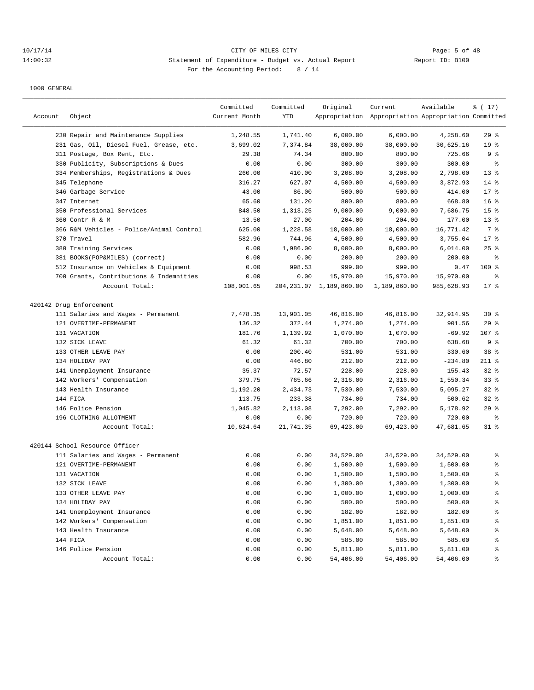## 10/17/14 CITY OF MILES CITY Page: 5 of 48 14:00:32 Statement of Expenditure - Budget vs. Actual Report Report ID: B100 For the Accounting Period: 8 / 14

| Account | Object                                                       | Committed<br>Current Month | Committed<br><b>YTD</b> | Original                   | Current<br>Appropriation Appropriation Appropriation Committed | Available  | $\frac{1}{6}$ ( 17)      |
|---------|--------------------------------------------------------------|----------------------------|-------------------------|----------------------------|----------------------------------------------------------------|------------|--------------------------|
|         | 230 Repair and Maintenance Supplies                          | 1,248.55                   | 1,741.40                | 6,000.00                   | 6,000.00                                                       | 4,258.60   | 29%                      |
|         | 231 Gas, Oil, Diesel Fuel, Grease, etc.                      | 3,699.02                   | 7,374.84                | 38,000.00                  | 38,000.00                                                      | 30,625.16  | 19 <sup>°</sup>          |
|         | 311 Postage, Box Rent, Etc.                                  | 29.38                      | 74.34                   | 800.00                     | 800.00                                                         | 725.66     | 9%                       |
|         | 330 Publicity, Subscriptions & Dues                          | 0.00                       | 0.00                    | 300.00                     | 300.00                                                         | 300.00     | နွ                       |
|         | 334 Memberships, Registrations & Dues                        | 260.00                     | 410.00                  | 3,208.00                   | 3,208.00                                                       | 2,798.00   | $13*$                    |
|         | 345 Telephone                                                | 316.27                     | 627.07                  | 4,500.00                   | 4,500.00                                                       | 3,872.93   | $14$ %                   |
|         | 346 Garbage Service                                          | 43.00                      | 86.00                   | 500.00                     | 500.00                                                         | 414.00     | $17$ %                   |
|         | 347 Internet                                                 | 65.60                      | 131.20                  | 800.00                     | 800.00                                                         | 668.80     | 16 <sup>8</sup>          |
|         | 350 Professional Services                                    | 848.50                     | 1,313.25                | 9,000.00                   | 9,000.00                                                       | 7,686.75   | 15 <sup>°</sup>          |
|         | 360 Contr R & M                                              | 13.50                      | 27.00                   | 204.00                     | 204.00                                                         | 177.00     | $13*$                    |
|         | 366 R&M Vehicles - Police/Animal Control                     | 625.00                     | 1,228.58                | 18,000.00                  | 18,000.00                                                      | 16,771.42  | 7 %                      |
|         | 370 Travel                                                   | 582.96                     | 744.96                  | 4,500.00                   | 4,500.00                                                       | 3,755.04   | $17$ %                   |
|         | 380 Training Services                                        | 0.00                       | 1,986.00                | 8,000.00                   | 8,000.00                                                       | 6,014.00   | $25$ %                   |
|         | 381 BOOKS(POP&MILES) (correct)                               | 0.00                       | 0.00                    | 200.00                     | 200.00                                                         | 200.00     | နွ                       |
|         | 512 Insurance on Vehicles & Equipment                        | 0.00                       | 998.53                  | 999.00                     | 999.00                                                         | 0.47       | 100 %                    |
|         | 700 Grants, Contributions & Indemnities                      | 0.00                       | 0.00                    | 15,970.00                  | 15,970.00                                                      | 15,970.00  | န္                       |
|         | Account Total:                                               | 108,001.65                 |                         | 204, 231.07 1, 189, 860.00 | 1,189,860.00                                                   | 985,628.93 | $17$ %                   |
|         | 420142 Drug Enforcement                                      |                            |                         |                            |                                                                |            |                          |
|         | 111 Salaries and Wages - Permanent                           | 7,478.35                   | 13,901.05               | 46,816.00                  | 46,816.00                                                      | 32,914.95  | $30*$                    |
|         | 121 OVERTIME-PERMANENT                                       | 136.32                     | 372.44                  | 1,274.00                   | 1,274.00                                                       | 901.56     | 29%                      |
|         | 131 VACATION                                                 | 181.76                     | 1,139.92                | 1,070.00                   | 1,070.00                                                       | $-69.92$   | 107 %                    |
|         | 132 SICK LEAVE                                               | 61.32                      | 61.32                   | 700.00                     | 700.00                                                         | 638.68     | 9%                       |
|         | 133 OTHER LEAVE PAY                                          | 0.00                       | 200.40                  | 531.00                     | 531.00                                                         | 330.60     | 38 %                     |
|         | 134 HOLIDAY PAY                                              | 0.00                       | 446.80                  | 212.00                     | 212.00                                                         | $-234.80$  | $211$ %                  |
|         | 141 Unemployment Insurance                                   | 35.37                      | 72.57                   | 228.00                     | 228.00                                                         | 155.43     | $32$ $%$                 |
|         | 142 Workers' Compensation                                    | 379.75                     | 765.66                  | 2,316.00                   | 2,316.00                                                       | 1,550.34   | 33%                      |
|         | 143 Health Insurance                                         | 1,192.20                   | 2,434.73                | 7,530.00                   | 7,530.00                                                       | 5,095.27   | $32$ $%$                 |
|         | 144 FICA                                                     | 113.75                     | 233.38                  | 734.00                     | 734.00                                                         | 500.62     | $32$ $%$                 |
|         | 146 Police Pension                                           | 1,045.82                   | 2,113.08                | 7,292.00                   | 7,292.00                                                       | 5,178.92   | 29%                      |
|         | 196 CLOTHING ALLOTMENT                                       | 0.00                       | 0.00                    | 720.00                     | 720.00                                                         | 720.00     | ႜ                        |
|         | Account Total:                                               | 10,624.64                  | 21,741.35               | 69,423.00                  | 69,423.00                                                      | 47,681.65  | $31$ %                   |
|         |                                                              |                            |                         |                            |                                                                |            |                          |
|         | 420144 School Resource Officer                               |                            |                         |                            |                                                                |            |                          |
|         | 111 Salaries and Wages - Permanent<br>121 OVERTIME-PERMANENT | 0.00                       | 0.00                    | 34,529.00                  | 34,529.00                                                      | 34,529.00  | နွ                       |
|         |                                                              | 0.00                       | 0.00                    | 1,500.00                   | 1,500.00                                                       | 1,500.00   | ి                        |
|         | 131 VACATION                                                 | 0.00                       | 0.00                    | 1,500.00                   | 1,500.00                                                       | 1,500.00   | န္<br>÷                  |
|         | 132 SICK LEAVE                                               | 0.00                       | 0.00                    | 1,300.00                   | 1,300.00                                                       | 1,300.00   |                          |
|         | 133 OTHER LEAVE PAY                                          | 0.00                       | 0.00                    | 1,000.00                   | 1,000.00                                                       | 1,000.00   | ៖                        |
|         | 134 HOLIDAY PAY                                              | 0.00                       | 0.00                    | 500.00                     | 500.00                                                         | 500.00     | $\,{}^{\circ}\!\!\delta$ |
|         | 141 Unemployment Insurance                                   | 0.00                       | 0.00                    | 182.00                     | 182.00                                                         | 182.00     | $\,{}^{\circ}\!\!\delta$ |
|         | 142 Workers' Compensation                                    | 0.00                       | 0.00                    | 1,851.00                   | 1,851.00                                                       | 1,851.00   | $\,{}^{\circ}\!\!\delta$ |
|         | 143 Health Insurance                                         | 0.00                       | 0.00                    | 5,648.00                   | 5,648.00                                                       | 5,648.00   | $\,{}^{\circ}\!\!\delta$ |
|         | 144 FICA                                                     | 0.00                       | 0.00                    | 585.00                     | 585.00                                                         | 585.00     | $\,{}^{\circ}\!\!\delta$ |
|         | 146 Police Pension                                           | 0.00                       | 0.00                    | 5,811.00                   | 5,811.00                                                       | 5,811.00   | $\,{}^{\circ}\!\!\delta$ |
|         | Account Total:                                               | 0.00                       | 0.00                    | 54,406.00                  | 54,406.00                                                      | 54,406.00  | $\,{}^{\circ}\!\!\delta$ |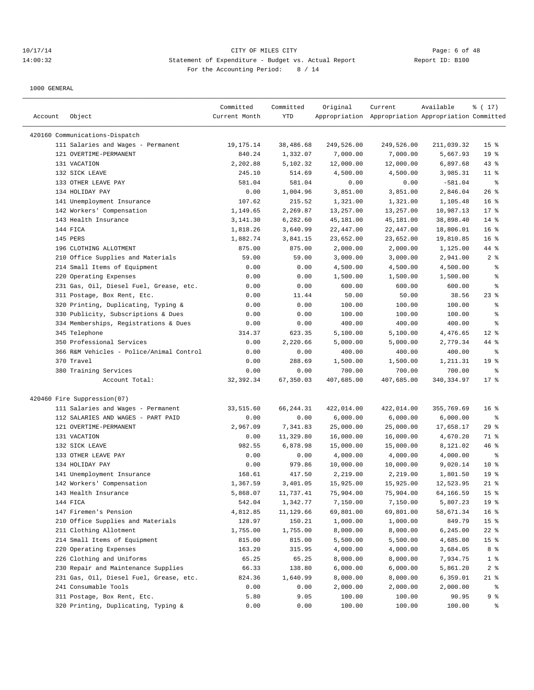## 10/17/14 CITY OF MILES CITY Page: 6 of 48 14:00:32 Statement of Expenditure - Budget vs. Actual Report Report ID: B100 For the Accounting Period: 8 / 14

| Account | Object                                   | Committed<br>Current Month | Committed<br>YTD | Original   | Current<br>Appropriation Appropriation Appropriation Committed | Available   | ៖ ( 17)         |
|---------|------------------------------------------|----------------------------|------------------|------------|----------------------------------------------------------------|-------------|-----------------|
|         |                                          |                            |                  |            |                                                                |             |                 |
|         | 420160 Communications-Dispatch           |                            |                  |            |                                                                |             |                 |
|         | 111 Salaries and Wages - Permanent       | 19, 175. 14                | 38,486.68        | 249,526.00 | 249,526.00                                                     | 211,039.32  | 15 <sup>°</sup> |
|         | 121 OVERTIME-PERMANENT                   | 840.24                     | 1,332.07         | 7,000.00   | 7,000.00                                                       | 5,667.93    | 19 <sup>°</sup> |
|         | 131 VACATION                             | 2,202.88                   | 5,102.32         | 12,000.00  | 12,000.00                                                      | 6,897.68    | 43%             |
|         | 132 SICK LEAVE                           | 245.10                     | 514.69           | 4,500.00   | 4,500.00                                                       | 3,985.31    | $11$ %          |
|         | 133 OTHER LEAVE PAY                      | 581.04                     | 581.04           | 0.00       | 0.00                                                           | $-581.04$   | နွ              |
|         | 134 HOLIDAY PAY                          | 0.00                       | 1,004.96         | 3,851.00   | 3,851.00                                                       | 2,846.04    | 26%             |
|         | 141 Unemployment Insurance               | 107.62                     | 215.52           | 1,321.00   | 1,321.00                                                       | 1,105.48    | 16 <sup>8</sup> |
|         | 142 Workers' Compensation                | 1,149.65                   | 2,269.87         | 13,257.00  | 13,257.00                                                      | 10,987.13   | 17.8            |
|         | 143 Health Insurance                     | 3, 141.30                  | 6,282.60         | 45,181.00  | 45,181.00                                                      | 38,898.40   | $14$ %          |
|         | 144 FICA                                 | 1,818.26                   | 3,640.99         | 22,447.00  | 22,447.00                                                      | 18,806.01   | 16 <sup>8</sup> |
|         | 145 PERS                                 | 1,882.74                   | 3,841.15         | 23,652.00  | 23,652.00                                                      | 19,810.85   | 16 <sup>8</sup> |
|         | 196 CLOTHING ALLOTMENT                   | 875.00                     | 875.00           | 2,000.00   | 2,000.00                                                       | 1,125.00    | 44 %            |
|         | 210 Office Supplies and Materials        | 59.00                      | 59.00            | 3,000.00   | 3,000.00                                                       | 2,941.00    | 2 <sub>8</sub>  |
|         | 214 Small Items of Equipment             | 0.00                       | 0.00             | 4,500.00   | 4,500.00                                                       | 4,500.00    | နွ              |
|         | 220 Operating Expenses                   | 0.00                       | 0.00             | 1,500.00   | 1,500.00                                                       | 1,500.00    | ి               |
|         | 231 Gas, Oil, Diesel Fuel, Grease, etc.  | 0.00                       | 0.00             | 600.00     | 600.00                                                         | 600.00      | ి               |
|         | 311 Postage, Box Rent, Etc.              | 0.00                       | 11.44            | 50.00      | 50.00                                                          | 38.56       | $23$ $%$        |
|         | 320 Printing, Duplicating, Typing &      | 0.00                       | 0.00             | 100.00     | 100.00                                                         | 100.00      | န္              |
|         | 330 Publicity, Subscriptions & Dues      | 0.00                       | 0.00             | 100.00     | 100.00                                                         | 100.00      | န္              |
|         | 334 Memberships, Registrations & Dues    | 0.00                       | 0.00             | 400.00     | 400.00                                                         | 400.00      | ి               |
|         | 345 Telephone                            | 314.37                     | 623.35           | 5,100.00   | 5,100.00                                                       | 4,476.65    | $12*$           |
|         | 350 Professional Services                | 0.00                       | 2,220.66         | 5,000.00   | 5,000.00                                                       | 2,779.34    | 44 %            |
|         | 366 R&M Vehicles - Police/Animal Control | 0.00                       | 0.00             | 400.00     | 400.00                                                         | 400.00      | နွ              |
|         | 370 Travel                               | 0.00                       | 288.69           | 1,500.00   | 1,500.00                                                       | 1,211.31    | 19 <sup>°</sup> |
|         | 380 Training Services                    | 0.00                       | 0.00             | 700.00     | 700.00                                                         | 700.00      | ႜ               |
|         | Account Total:                           | 32, 392.34                 | 67,350.03        | 407,685.00 | 407,685.00                                                     | 340, 334.97 | $17*$           |
|         | 420460 Fire Suppression(07)              |                            |                  |            |                                                                |             |                 |
|         | 111 Salaries and Wages - Permanent       | 33,515.60                  | 66,244.31        | 422,014.00 | 422,014.00                                                     | 355,769.69  | 16 <sup>8</sup> |
|         | 112 SALARIES AND WAGES - PART PAID       | 0.00                       | 0.00             | 6,000.00   | 6,000.00                                                       | 6,000.00    | နွ              |
|         | 121 OVERTIME-PERMANENT                   | 2,967.09                   | 7,341.83         | 25,000.00  | 25,000.00                                                      | 17,658.17   | 29%             |
|         | 131 VACATION                             | 0.00                       | 11,329.80        | 16,000.00  | 16,000.00                                                      | 4,670.20    | 71 %            |
|         | 132 SICK LEAVE                           | 982.55                     | 6,878.98         | 15,000.00  | 15,000.00                                                      | 8,121.02    | 46 %            |
|         | 133 OTHER LEAVE PAY                      | 0.00                       | 0.00             | 4,000.00   | 4,000.00                                                       | 4,000.00    | နွ              |
|         | 134 HOLIDAY PAY                          | 0.00                       | 979.86           | 10,000.00  | 10,000.00                                                      | 9,020.14    | $10*$           |
|         | 141 Unemployment Insurance               | 168.61                     | 417.50           | 2,219.00   | 2,219.00                                                       | 1,801.50    | 19 <sup>°</sup> |
|         | 142 Workers' Compensation                | 1,367.59                   | 3,401.05         | 15,925.00  | 15,925.00                                                      | 12,523.95   | $21$ %          |
|         | 143 Health Insurance                     | 5,868.07                   | 11,737.41        | 75,904.00  | 75,904.00                                                      | 64,166.59   | 15 <sup>°</sup> |
|         | 144 FICA                                 | 542.04                     | 1,342.77         | 7,150.00   | 7,150.00                                                       | 5,807.23    | 19 <sup>°</sup> |
|         | 147 Firemen's Pension                    | 4,812.85                   | 11,129.66        | 69,801.00  | 69,801.00                                                      | 58,671.34   | 16 <sup>°</sup> |
|         | 210 Office Supplies and Materials        | 128.97                     | 150.21           | 1,000.00   | 1,000.00                                                       | 849.79      | 15 <sub>8</sub> |
|         | 211 Clothing Allotment                   | 1,755.00                   | 1,755.00         | 8,000.00   | 8,000.00                                                       | 6,245.00    | $22$ %          |
|         | 214 Small Items of Equipment             | 815.00                     | 815.00           | 5,500.00   | 5,500.00                                                       | 4,685.00    | 15 <sub>8</sub> |
|         | 220 Operating Expenses                   | 163.20                     | 315.95           | 4,000.00   | 4,000.00                                                       | 3,684.05    | 8 %             |
|         | 226 Clothing and Uniforms                | 65.25                      | 65.25            | 8,000.00   | 8,000.00                                                       | 7,934.75    | $1$ %           |
|         | 230 Repair and Maintenance Supplies      | 66.33                      | 138.80           | 6,000.00   | 6,000.00                                                       | 5,861.20    | 2 <sup>8</sup>  |
|         | 231 Gas, Oil, Diesel Fuel, Grease, etc.  | 824.36                     | 1,640.99         | 8,000.00   | 8,000.00                                                       | 6,359.01    | $21$ %          |
|         | 241 Consumable Tools                     | 0.00                       | 0.00             | 2,000.00   | 2,000.00                                                       | 2,000.00    | ಿ               |
|         | 311 Postage, Box Rent, Etc.              | 5.80                       | 9.05             | 100.00     | 100.00                                                         | 90.95       | 9 %             |
|         | 320 Printing, Duplicating, Typing &      | 0.00                       | 0.00             | 100.00     | 100.00                                                         | 100.00      | ್ಠಿ             |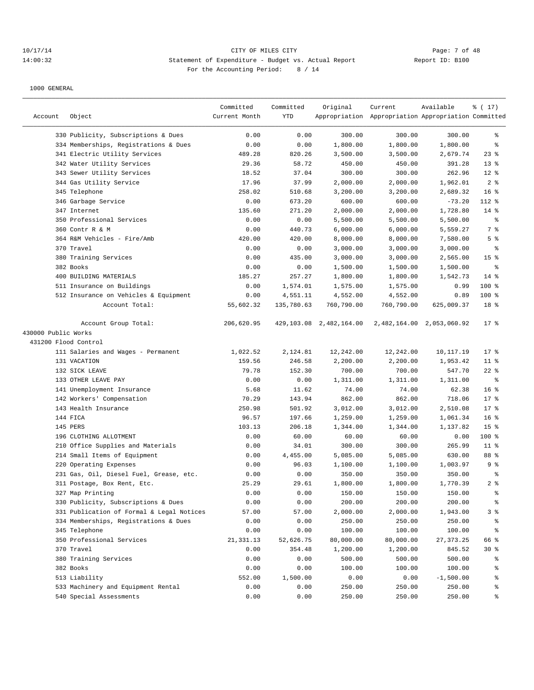## 10/17/14 CITY OF MILES CITY Page: 7 of 48 14:00:32 Statement of Expenditure - Budget vs. Actual Report Changer Report ID: B100 For the Accounting Period: 8 / 14

|                      |                                           | Committed     | Committed  | Original                   | Current                                             | Available                 | % (17)          |
|----------------------|-------------------------------------------|---------------|------------|----------------------------|-----------------------------------------------------|---------------------------|-----------------|
| Account              | Object                                    | Current Month | YTD        |                            | Appropriation Appropriation Appropriation Committed |                           |                 |
|                      |                                           |               |            |                            |                                                     |                           |                 |
|                      | 330 Publicity, Subscriptions & Dues       | 0.00          | 0.00       | 300.00                     | 300.00                                              | 300.00                    | ႜ               |
|                      | 334 Memberships, Registrations & Dues     | 0.00          | 0.00       | 1,800.00                   | 1,800.00                                            | 1,800.00                  | နွ              |
|                      | 341 Electric Utility Services             | 489.28        | 820.26     | 3,500.00                   | 3,500.00                                            | 2,679.74                  | $23$ $%$        |
|                      | 342 Water Utility Services                | 29.36         | 58.72      | 450.00                     | 450.00                                              | 391.28                    | $13*$           |
|                      | 343 Sewer Utility Services                | 18.52         | 37.04      | 300.00                     | 300.00                                              | 262.96                    | $12*$           |
|                      | 344 Gas Utility Service                   | 17.96         | 37.99      | 2,000.00                   | 2,000.00                                            | 1,962.01                  | 2 <sup>8</sup>  |
|                      | 345 Telephone                             | 258.02        | 510.68     | 3,200.00                   | 3,200.00                                            | 2,689.32                  | $16*$           |
|                      | 346 Garbage Service                       | 0.00          | 673.20     | 600.00                     | 600.00                                              | $-73.20$                  | 112 %           |
|                      | 347 Internet                              | 135.60        | 271.20     | 2,000.00                   | 2,000.00                                            | 1,728.80                  | $14*$           |
|                      | 350 Professional Services                 | 0.00          | 0.00       | 5,500.00                   | 5,500.00                                            | 5,500.00                  | ႜ               |
|                      | 360 Contr R & M                           | 0.00          | 440.73     | 6,000.00                   | 6,000.00                                            | 5,559.27                  | 7 %             |
|                      | 364 R&M Vehicles - Fire/Amb               | 420.00        | 420.00     | 8,000.00                   | 8,000.00                                            | 7,580.00                  | 5 <sup>°</sup>  |
|                      | 370 Travel                                | 0.00          | 0.00       | 3,000.00                   | 3,000.00                                            | 3,000.00                  | ႜ               |
|                      | 380 Training Services                     | 0.00          | 435.00     | 3,000.00                   | 3,000.00                                            | 2,565.00                  | 15 <sup>°</sup> |
|                      | 382 Books                                 | 0.00          | 0.00       | 1,500.00                   | 1,500.00                                            | 1,500.00                  | နွ              |
|                      | 400 BUILDING MATERIALS                    | 185.27        | 257.27     | 1,800.00                   | 1,800.00                                            | 1,542.73                  | $14*$           |
|                      | 511 Insurance on Buildings                | 0.00          | 1,574.01   | 1,575.00                   | 1,575.00                                            | 0.99                      | 100 %           |
|                      | 512 Insurance on Vehicles & Equipment     | 0.00          | 4,551.11   | 4,552.00                   | 4,552.00                                            | 0.89                      | 100 %           |
|                      | Account Total:                            | 55,602.32     | 135,780.63 | 760,790.00                 | 760,790.00                                          | 625,009.37                | 18 %            |
|                      | Account Group Total:                      | 206,620.95    |            | 429, 103.08 2, 482, 164.00 |                                                     | 2,482,164.00 2,053,060.92 | $17$ %          |
| 430000 Public Works  |                                           |               |            |                            |                                                     |                           |                 |
| 431200 Flood Control |                                           |               |            |                            |                                                     |                           |                 |
|                      | 111 Salaries and Wages - Permanent        | 1,022.52      | 2,124.81   | 12,242.00                  | 12,242.00                                           | 10,117.19                 | $17*$           |
|                      | 131 VACATION                              | 159.56        | 246.58     | 2,200.00                   | 2,200.00                                            | 1,953.42                  | $11$ %          |
|                      | 132 SICK LEAVE                            | 79.78         | 152.30     | 700.00                     | 700.00                                              | 547.70                    | $22$ %          |
|                      | 133 OTHER LEAVE PAY                       | 0.00          | 0.00       | 1,311.00                   | 1,311.00                                            | 1,311.00                  | နွ              |
|                      | 141 Unemployment Insurance                | 5.68          | 11.62      | 74.00                      | 74.00                                               | 62.38                     | 16 <sup>8</sup> |
|                      | 142 Workers' Compensation                 | 70.29         | 143.94     | 862.00                     | 862.00                                              | 718.06                    | 17.8            |
|                      | 143 Health Insurance                      | 250.98        | 501.92     | 3,012.00                   | 3,012.00                                            | 2,510.08                  | $17*$           |
|                      | 144 FICA                                  | 96.57         | 197.66     | 1,259.00                   | 1,259.00                                            | 1,061.34                  | 16 <sup>°</sup> |
|                      | 145 PERS                                  | 103.13        | 206.18     | 1,344.00                   | 1,344.00                                            | 1,137.82                  | 15 <sup>°</sup> |
|                      | 196 CLOTHING ALLOTMENT                    | 0.00          | 60.00      | 60.00                      | 60.00                                               | 0.00                      | 100 %           |
|                      | 210 Office Supplies and Materials         | 0.00          | 34.01      | 300.00                     | 300.00                                              | 265.99                    | $11$ %          |
|                      | 214 Small Items of Equipment              | 0.00          | 4,455.00   | 5,085.00                   | 5,085.00                                            | 630.00                    | 88 %            |
|                      | 220 Operating Expenses                    | 0.00          | 96.03      | 1,100.00                   | 1,100.00                                            | 1,003.97                  | 9 <sup>°</sup>  |
|                      | 231 Gas, Oil, Diesel Fuel, Grease, etc.   | 0.00          | 0.00       | 350.00                     | 350.00                                              | 350.00                    | $\epsilon$      |
|                      | 311 Postage, Box Rent, Etc.               | 25.29         | 29.61      | 1,800.00                   | 1,800.00                                            | 1,770.39                  | 2 <sup>8</sup>  |
|                      | 327 Map Printing                          | 0.00          | 0.00       | 150.00                     | 150.00                                              | 150.00                    | န့              |
|                      | 330 Publicity, Subscriptions & Dues       | 0.00          | 0.00       | 200.00                     | 200.00                                              | 200.00                    | န့              |
|                      | 331 Publication of Formal & Legal Notices | 57.00         | 57.00      | 2,000.00                   | 2,000.00                                            | 1,943.00                  | 3%              |
|                      | 334 Memberships, Registrations & Dues     | 0.00          | 0.00       | 250.00                     | 250.00                                              | 250.00                    | နွ              |
|                      | 345 Telephone                             | 0.00          | 0.00       | 100.00                     | 100.00                                              | 100.00                    | ್ಠಿ             |
|                      | 350 Professional Services                 | 21,331.13     | 52,626.75  | 80,000.00                  | 80,000.00                                           | 27, 373. 25               | 66 %            |
|                      | 370 Travel                                | 0.00          | 354.48     | 1,200.00                   | 1,200.00                                            | 845.52                    | $30*$           |
|                      | 380 Training Services                     | 0.00          | 0.00       | 500.00                     | 500.00                                              | 500.00                    | ွေ              |
|                      | 382 Books                                 | 0.00          | 0.00       | 100.00                     | 100.00                                              | 100.00                    | ್ಠಿ             |
|                      | 513 Liability                             | 552.00        | 1,500.00   | 0.00                       | 0.00                                                | $-1,500.00$               | ್ಠಿ             |
|                      | 533 Machinery and Equipment Rental        | 0.00          | 0.00       | 250.00                     | 250.00                                              | 250.00                    | န္စ             |
|                      | 540 Special Assessments                   | 0.00          | 0.00       | 250.00                     | 250.00                                              | 250.00                    | နွ              |
|                      |                                           |               |            |                            |                                                     |                           |                 |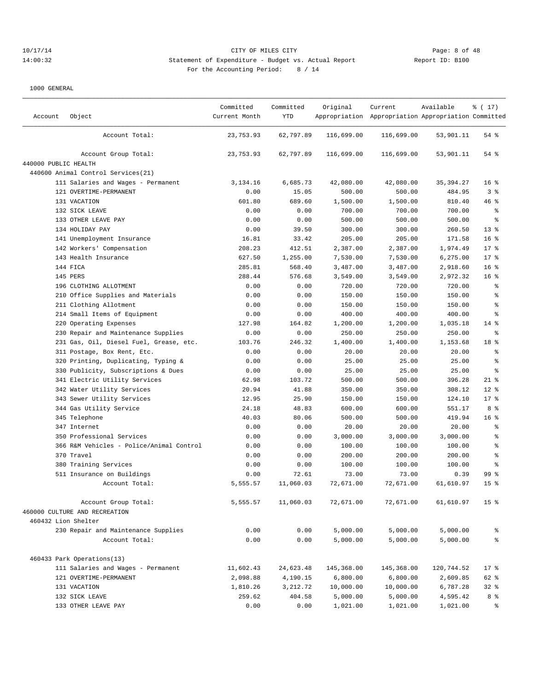## 10/17/14 CITY OF MILES CITY Page: 8 of 48 14:00:32 Statement of Expenditure - Budget vs. Actual Report Report ID: B100 For the Accounting Period: 8 / 14

| Account              | Object                                   | Committed<br>Current Month | Committed<br>YTD | Original   | Current<br>Appropriation Appropriation Appropriation Committed | Available  | % (17)           |
|----------------------|------------------------------------------|----------------------------|------------------|------------|----------------------------------------------------------------|------------|------------------|
|                      | Account Total:                           | 23,753.93                  | 62,797.89        | 116,699.00 | 116,699.00                                                     | 53,901.11  | 54 %             |
|                      | Account Group Total:                     | 23,753.93                  | 62,797.89        | 116,699.00 | 116,699.00                                                     | 53,901.11  | 54 %             |
| 440000 PUBLIC HEALTH |                                          |                            |                  |            |                                                                |            |                  |
|                      | 440600 Animal Control Services (21)      |                            |                  |            |                                                                |            |                  |
|                      | 111 Salaries and Wages - Permanent       | 3,134.16                   | 6,685.73         | 42,080.00  | 42,080.00                                                      | 35, 394.27 | 16 <sup>°</sup>  |
|                      | 121 OVERTIME-PERMANENT                   | 0.00                       | 15.05            | 500.00     | 500.00                                                         | 484.95     | 3 <sup>°</sup>   |
|                      | 131 VACATION                             | 601.80                     | 689.60           | 1,500.00   | 1,500.00                                                       | 810.40     | 46 %             |
|                      | 132 SICK LEAVE                           | 0.00                       | 0.00             | 700.00     | 700.00                                                         | 700.00     | $\epsilon$       |
|                      | 133 OTHER LEAVE PAY                      | 0.00                       | 0.00             | 500.00     | 500.00                                                         | 500.00     | နွ               |
|                      | 134 HOLIDAY PAY                          | 0.00                       | 39.50            | 300.00     | 300.00                                                         | 260.50     | $13*$            |
|                      | 141 Unemployment Insurance               | 16.81                      | 33.42            | 205.00     | 205.00                                                         | 171.58     | 16 <sup>°</sup>  |
|                      | 142 Workers' Compensation                | 208.23                     | 412.51           | 2,387.00   | 2,387.00                                                       | 1,974.49   | $17*$            |
|                      | 143 Health Insurance                     | 627.50                     | 1,255.00         | 7,530.00   | 7,530.00                                                       | 6,275.00   | $17*$            |
|                      | 144 FICA                                 | 285.81                     | 568.40           | 3,487.00   | 3,487.00                                                       | 2,918.60   | 16 %             |
|                      | 145 PERS                                 | 288.44                     | 576.68           | 3,549.00   | 3,549.00                                                       | 2,972.32   | 16 <sup>°</sup>  |
|                      | 196 CLOTHING ALLOTMENT                   | 0.00                       | 0.00             | 720.00     | 720.00                                                         | 720.00     | $\epsilon$       |
|                      | 210 Office Supplies and Materials        | 0.00                       | 0.00             | 150.00     | 150.00                                                         | 150.00     | $\,{}^{\circ}\!$ |
|                      | 211 Clothing Allotment                   | 0.00                       | 0.00             | 150.00     | 150.00                                                         | 150.00     | $\,{}^{\circ}\!$ |
|                      | 214 Small Items of Equipment             | 0.00                       | 0.00             | 400.00     | 400.00                                                         | 400.00     | နွ               |
|                      | 220 Operating Expenses                   | 127.98                     | 164.82           | 1,200.00   | 1,200.00                                                       | 1,035.18   | $14$ %           |
|                      | 230 Repair and Maintenance Supplies      | 0.00                       | 0.00             | 250.00     | 250.00                                                         | 250.00     | နွ               |
|                      | 231 Gas, Oil, Diesel Fuel, Grease, etc.  | 103.76                     | 246.32           | 1,400.00   | 1,400.00                                                       | 1,153.68   | 18 %             |
|                      | 311 Postage, Box Rent, Etc.              | 0.00                       | 0.00             | 20.00      | 20.00                                                          | 20.00      | $\epsilon$       |
|                      | 320 Printing, Duplicating, Typing &      | 0.00                       | 0.00             | 25.00      | 25.00                                                          | 25.00      | $\epsilon$       |
|                      | 330 Publicity, Subscriptions & Dues      | 0.00                       | 0.00             | 25.00      | 25.00                                                          | 25.00      | $\epsilon$       |
|                      | 341 Electric Utility Services            | 62.98                      | 103.72           | 500.00     | 500.00                                                         | 396.28     | $21$ %           |
|                      | 342 Water Utility Services               | 20.94                      | 41.88            | 350.00     | 350.00                                                         | 308.12     | $12*$            |
|                      | 343 Sewer Utility Services               | 12.95                      | 25.90            | 150.00     | 150.00                                                         | 124.10     | 17.8             |
|                      | 344 Gas Utility Service                  | 24.18                      | 48.83            | 600.00     | 600.00                                                         | 551.17     | 8 %              |
|                      | 345 Telephone                            | 40.03                      | 80.06            | 500.00     | 500.00                                                         | 419.94     | 16 %             |
|                      | 347 Internet                             | 0.00                       | 0.00             | 20.00      | 20.00                                                          | 20.00      | $\,{}^{\circ}\!$ |
|                      | 350 Professional Services                | 0.00                       | 0.00             | 3,000.00   | 3,000.00                                                       | 3,000.00   | ి                |
|                      | 366 R&M Vehicles - Police/Animal Control | 0.00                       | 0.00             | 100.00     | 100.00                                                         | 100.00     | ి                |
|                      | 370 Travel                               | 0.00                       | 0.00             | 200.00     | 200.00                                                         | 200.00     | $\,$ $\,$ $\,$   |
|                      | 380 Training Services                    | 0.00                       | 0.00             | 100.00     | 100.00                                                         | 100.00     | ి                |
|                      | 511 Insurance on Buildings               | 0.00                       | 72.61            | 73.00      | 73.00                                                          | 0.39       | 99%              |
|                      | Account Total:                           | 5,555.57                   | 11,060.03        | 72,671.00  | 72,671.00                                                      | 61,610.97  | 15 <sup>°</sup>  |
|                      | Account Group Total:                     | 5,555.57                   | 11,060.03        | 72,671.00  | 72,671.00                                                      | 61,610.97  | 15 <sup>°</sup>  |
|                      | 460000 CULTURE AND RECREATION            |                            |                  |            |                                                                |            |                  |
|                      | 460432 Lion Shelter                      |                            |                  |            |                                                                |            |                  |
|                      | 230 Repair and Maintenance Supplies      | 0.00                       | 0.00             | 5,000.00   | 5,000.00                                                       | 5,000.00   | နွ               |
|                      | Account Total:                           | 0.00                       | 0.00             | 5,000.00   | 5,000.00                                                       | 5,000.00   | ి                |
|                      | 460433 Park Operations(13)               |                            |                  |            |                                                                |            |                  |
|                      | 111 Salaries and Wages - Permanent       | 11,602.43                  | 24,623.48        | 145,368.00 | 145,368.00                                                     | 120,744.52 | $17$ %           |
|                      | 121 OVERTIME-PERMANENT                   | 2,098.88                   | 4,190.15         | 6,800.00   | 6,800.00                                                       | 2,609.85   | 62 %             |
|                      | 131 VACATION                             | 1,810.26                   | 3,212.72         | 10,000.00  | 10,000.00                                                      | 6,787.28   | $32$ %           |
|                      | 132 SICK LEAVE                           | 259.62                     | 404.58           | 5,000.00   | 5,000.00                                                       | 4,595.42   | 8 <sup>8</sup>   |
|                      | 133 OTHER LEAVE PAY                      | 0.00                       | 0.00             | 1,021.00   | 1,021.00                                                       | 1,021.00   | ႜွ               |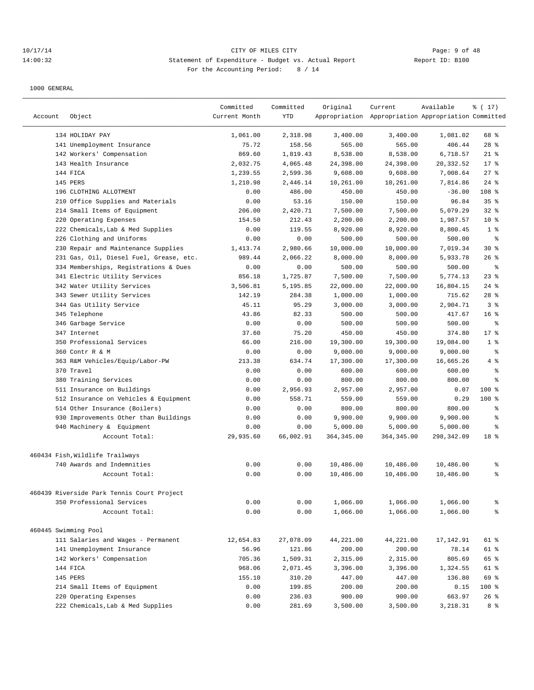## 10/17/14 CITY OF MILES CITY Page: 9 of 48 14:00:32 Statement of Expenditure - Budget vs. Actual Report Report ID: B100 For the Accounting Period: 8 / 14

| Account | Object                                     | Committed<br>Current Month | Committed<br><b>YTD</b> | Original            | Current<br>Appropriation Appropriation Appropriation Committed | Available          | % (17)          |
|---------|--------------------------------------------|----------------------------|-------------------------|---------------------|----------------------------------------------------------------|--------------------|-----------------|
|         | 134 HOLIDAY PAY                            | 1,061.00                   | 2,318.98                |                     | 3,400.00                                                       |                    | 68 %            |
|         | 141 Unemployment Insurance                 | 75.72                      | 158.56                  | 3,400.00<br>565.00  | 565.00                                                         | 1,081.02<br>406.44 | $28$ %          |
|         | 142 Workers' Compensation                  | 869.60                     | 1,819.43                | 8,538.00            | 8,538.00                                                       | 6,718.57           | $21$ %          |
|         | 143 Health Insurance                       | 2,032.75                   | 4,065.48                | 24,398.00           | 24,398.00                                                      | 20,332.52          | 17.8            |
|         | 144 FICA                                   | 1,239.55                   | 2,599.36                | 9,608.00            | 9,608.00                                                       | 7,008.64           | 27%             |
|         | <b>145 PERS</b>                            | 1,210.98                   | 2,446.14                | 10,261.00           | 10,261.00                                                      | 7.814.86           | $24$ %          |
|         | 196 CLOTHING ALLOTMENT                     | 0.00                       | 486.00                  | 450.00              | 450.00                                                         | $-36.00$           | 108 %           |
|         | 210 Office Supplies and Materials          | 0.00                       | 53.16                   | 150.00              | 150.00                                                         | 96.84              | 35%             |
|         | 214 Small Items of Equipment               | 206.00                     | 2,420.71                | 7,500.00            | 7,500.00                                                       | 5,079.29           | 32%             |
| 220     | Operating Expenses                         | 154.50                     | 212.43                  | 2,200.00            | 2,200.00                                                       | 1,987.57           | $10*$           |
| 222     |                                            | 0.00                       | 119.55                  |                     |                                                                |                    | 1 <sup>8</sup>  |
|         | Chemicals, Lab & Med Supplies              |                            |                         | 8,920.00            | 8,920.00                                                       | 8,800.45           |                 |
|         | 226 Clothing and Uniforms                  | 0.00<br>1,413.74           | 0.00                    | 500.00<br>10,000.00 | 500.00                                                         | 500.00             | ి<br>$30*$      |
|         | 230 Repair and Maintenance Supplies        |                            | 2,980.66                |                     | 10,000.00                                                      | 7,019.34           | 26%             |
|         | 231 Gas, Oil, Diesel Fuel, Grease, etc.    | 989.44                     | 2,066.22                | 8,000.00            | 8,000.00                                                       | 5,933.78           | $\epsilon$      |
|         | 334 Memberships, Registrations & Dues      | 0.00                       | 0.00                    | 500.00              | 500.00                                                         | 500.00             |                 |
|         | 341 Electric Utility Services              | 856.18                     | 1,725.87                | 7,500.00            | 7,500.00                                                       | 5,774.13           | 23%             |
|         | 342 Water Utility Services                 | 3,506.81                   | 5,195.85                | 22,000.00           | 22,000.00                                                      | 16,804.15          | $24$ %          |
|         | 343 Sewer Utility Services                 | 142.19                     | 284.38                  | 1,000.00            | 1,000.00                                                       | 715.62             | $28$ %          |
|         | 344 Gas Utility Service                    | 45.11                      | 95.29                   | 3,000.00            | 3,000.00                                                       | 2,904.71           | 3%              |
|         | 345 Telephone                              | 43.86                      | 82.33                   | 500.00              | 500.00                                                         | 417.67             | 16 <sup>8</sup> |
|         | 346 Garbage Service                        | 0.00                       | 0.00                    | 500.00              | 500.00                                                         | 500.00             | ి               |
|         | 347 Internet                               | 37.60                      | 75.20                   | 450.00              | 450.00                                                         | 374.80             | $17*$           |
|         | 350 Professional Services                  | 66.00                      | 216.00                  | 19,300.00           | 19,300.00                                                      | 19,084.00          | 1 <sup>8</sup>  |
|         | 360 Contr R & M                            | 0.00                       | 0.00                    | 9,000.00            | 9,000.00                                                       | 9,000.00           | $\epsilon$      |
|         | 363 R&M Vehicles/Equip/Labor-PW            | 213.38                     | 634.74                  | 17,300.00           | 17,300.00                                                      | 16,665.26          | 4%              |
|         | 370 Travel                                 | 0.00                       | 0.00                    | 600.00              | 600.00                                                         | 600.00             | $\epsilon$      |
|         | 380 Training Services                      | 0.00                       | 0.00                    | 800.00              | 800.00                                                         | 800.00             | $\epsilon$      |
|         | 511 Insurance on Buildings                 | 0.00                       | 2,956.93                | 2,957.00            | 2,957.00                                                       | 0.07               | $100$ %         |
|         | 512 Insurance on Vehicles & Equipment      | 0.00                       | 558.71                  | 559.00              | 559.00                                                         | 0.29               | 100 %           |
|         | 514 Other Insurance (Boilers)              | 0.00                       | 0.00                    | 800.00              | 800.00                                                         | 800.00             | နွ              |
|         | 930 Improvements Other than Buildings      | 0.00                       | 0.00                    | 9,900.00            | 9,900.00                                                       | 9,900.00           | နွ              |
|         | 940 Machinery & Equipment                  | 0.00                       | 0.00                    | 5,000.00            | 5,000.00                                                       | 5,000.00           | နွ              |
|         | Account Total:                             | 29,935.60                  | 66,002.91               | 364, 345.00         | 364, 345.00                                                    | 298,342.09         | 18 <sup>8</sup> |
|         | 460434 Fish, Wildlife Trailways            |                            |                         |                     |                                                                |                    |                 |
|         | 740 Awards and Indemnities                 | 0.00                       | 0.00                    | 10,486.00           | 10,486.00                                                      | 10,486.00          | ి               |
|         | Account Total:                             | 0.00                       | 0.00                    | 10,486.00           | 10,486.00                                                      | 10,486.00          | ి               |
|         | 460439 Riverside Park Tennis Court Project |                            |                         |                     |                                                                |                    |                 |
|         | 350 Professional Services                  | 0.00                       | 0.00                    | 1,066.00            | 1,066.00                                                       | 1,066.00           | ి               |
|         | Account Total:                             | 0.00                       | 0.00                    | 1,066.00            | 1,066.00                                                       | 1,066.00           | နွ              |
|         | 460445 Swimming Pool                       |                            |                         |                     |                                                                |                    |                 |
|         | 111 Salaries and Wages - Permanent         | 12,654.83                  | 27,078.09               | 44,221.00           | 44,221.00                                                      | 17,142.91          | 61 %            |
|         | 141 Unemployment Insurance                 | 56.96                      | 121.86                  | 200.00              | 200.00                                                         | 78.14              | 61 %            |
|         | 142 Workers' Compensation                  | 705.36                     | 1,509.31                | 2,315.00            | 2,315.00                                                       | 805.69             | 65 %            |
|         | 144 FICA                                   | 968.06                     | 2,071.45                | 3,396.00            | 3,396.00                                                       | 1,324.55           | 61 %            |
|         | 145 PERS                                   | 155.10                     | 310.20                  | 447.00              | 447.00                                                         | 136.80             | 69 %            |
|         | 214 Small Items of Equipment               | 0.00                       | 199.85                  | 200.00              | 200.00                                                         | 0.15               | 100 %           |
|         | 220 Operating Expenses                     | 0.00                       | 236.03                  | 900.00              | 900.00                                                         | 663.97             | 26%             |
|         | 222 Chemicals, Lab & Med Supplies          | 0.00                       | 281.69                  | 3,500.00            | 3,500.00                                                       | 3,218.31           | 8 %             |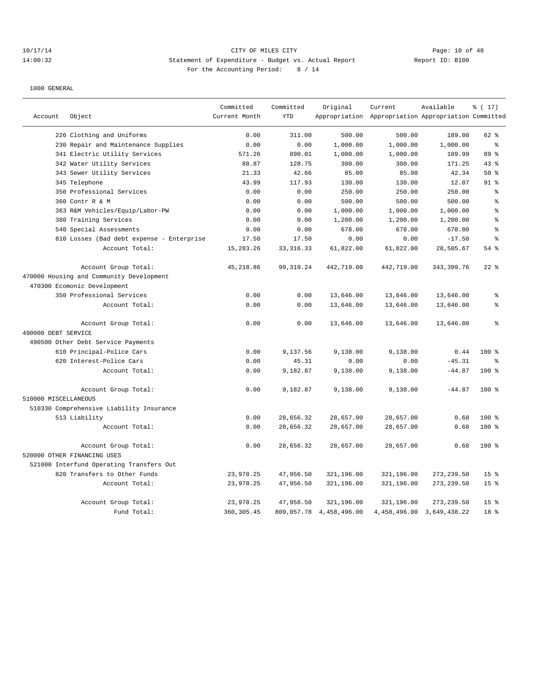## 10/17/14 Page: 10 of 48 14:00:32 Statement of Expenditure - Budget vs. Actual Report Report ID: B100 For the Accounting Period: 8 / 14

|                      |                                           | Committed     | Committed   | Original     | Current                                             | Available                     | % (17)          |
|----------------------|-------------------------------------------|---------------|-------------|--------------|-----------------------------------------------------|-------------------------------|-----------------|
| Account              | Object                                    | Current Month | <b>YTD</b>  |              | Appropriation Appropriation Appropriation Committed |                               |                 |
|                      | 226 Clothing and Uniforms                 | 0.00          | 311.00      | 500.00       | 500.00                                              | 189.00                        | 62 %            |
|                      | 230 Repair and Maintenance Supplies       | 0.00          | 0.00        | 1,000.00     | 1,000.00                                            | 1,000.00                      | $\epsilon$      |
|                      | 341 Electric Utility Services             | 571.26        | 890.01      | 1,000.00     | 1,000.00                                            | 109.99                        | 89 %            |
|                      | 342 Water Utility Services                | 88.87         | 128.75      | 300.00       | 300.00                                              | 171.25                        | 43%             |
|                      | 343 Sewer Utility Services                | 21.33         | 42.66       | 85.00        | 85.00                                               | 42.34                         | 50%             |
|                      | 345 Telephone                             | 43.99         | 117.93      | 130.00       | 130.00                                              | 12.07                         | 91 <sub>8</sub> |
|                      | 350 Professional Services                 | 0.00          | 0.00        | 250.00       | 250.00                                              | 250.00                        | ి               |
|                      | 360 Contr R & M                           | 0.00          | 0.00        | 500.00       | 500.00                                              | 500.00                        | န္              |
|                      | 363 R&M Vehicles/Equip/Labor-PW           | 0.00          | 0.00        | 1,000.00     | 1,000.00                                            | 1,000.00                      | $\approx$       |
|                      | 380 Training Services                     | 0.00          | 0.00        | 1,200.00     | 1,200.00                                            | 1,200.00                      | $\,$ $\,$ $\,$  |
|                      | 540 Special Assessments                   | 0.00          | 0.00        | 678.00       | 678.00                                              | 678.00                        | နွ              |
|                      | 810 Losses (Bad debt expense - Enterprise | 17.50         | 17.50       | 0.00         | 0.00                                                | $-17.50$                      | $\approx$       |
|                      | Account Total:                            | 15, 283. 26   | 33, 316. 33 | 61,822.00    | 61,822.00                                           | 28,505.67                     | 54%             |
|                      | Account Group Total:                      | 45, 218.86    | 99, 319.24  | 442,719.00   | 442,719.00                                          | 343, 399. 76                  | $22$ $%$        |
|                      | 470000 Housing and Community Development  |               |             |              |                                                     |                               |                 |
|                      | 470300 Ecomonic Development               |               |             |              |                                                     |                               |                 |
|                      | 350 Professional Services                 | 0.00          | 0.00        | 13,646.00    | 13,646.00                                           | 13,646.00                     | $\,$ $\,$ $\,$  |
|                      | Account Total:                            | 0.00          | 0.00        | 13,646.00    | 13,646.00                                           | 13,646.00                     | $\approx$       |
|                      | Account Group Total:                      | 0.00          | 0.00        | 13,646.00    | 13,646.00                                           | 13,646.00                     | ÷.              |
| 490000 DEBT SERVICE  |                                           |               |             |              |                                                     |                               |                 |
|                      | 490500 Other Debt Service Payments        |               |             |              |                                                     |                               |                 |
|                      | 610 Principal-Police Cars                 | 0.00          | 9,137.56    | 9,138.00     | 9,138.00                                            | 0.44                          | $100*$          |
|                      | 620 Interest-Police Cars                  | 0.00          | 45.31       | 0.00         | 0.00                                                | $-45.31$                      | $\approx$       |
|                      | Account Total:                            | 0.00          | 9,182.87    | 9,138.00     | 9,138.00                                            | $-44.87$                      | $100*$          |
|                      | Account Group Total:                      | 0.00          | 9,182.87    | 9,138.00     | 9,138.00                                            | $-44.87$                      | $100*$          |
| 510000 MISCELLANEOUS |                                           |               |             |              |                                                     |                               |                 |
|                      | 510330 Comprehensive Liability Insurance  |               |             |              |                                                     |                               |                 |
|                      | 513 Liability                             | 0.00          | 28,656.32   | 28,657.00    | 28,657.00                                           | 0.68                          | 100 %           |
|                      | Account Total:                            | 0.00          | 28,656.32   | 28,657.00    | 28,657.00                                           | 0.68                          | $100*$          |
|                      | Account Group Total:                      | 0.00          | 28,656.32   | 28,657.00    | 28,657.00                                           | 0.68                          | 100 %           |
|                      | 520000 OTHER FINANCING USES               |               |             |              |                                                     |                               |                 |
|                      | 521000 Interfund Operating Transfers Out  |               |             |              |                                                     |                               |                 |
|                      | 820 Transfers to Other Funds              | 23,978.25     | 47,956.50   | 321,196.00   | 321,196.00                                          | 273, 239.50                   | 15 <sup>°</sup> |
|                      | Account Total:                            | 23,978.25     | 47,956.50   | 321,196.00   | 321,196.00                                          | 273, 239.50                   | 15 <sup>°</sup> |
|                      | Account Group Total:                      | 23,978.25     | 47,956.50   | 321,196.00   | 321,196.00                                          | 273, 239.50                   | 15 <sup>°</sup> |
|                      | Fund Total:                               | 360, 305.45   | 809,057.78  | 4,458,496.00 |                                                     | 4, 458, 496.00 3, 649, 438.22 | 18 <sup>8</sup> |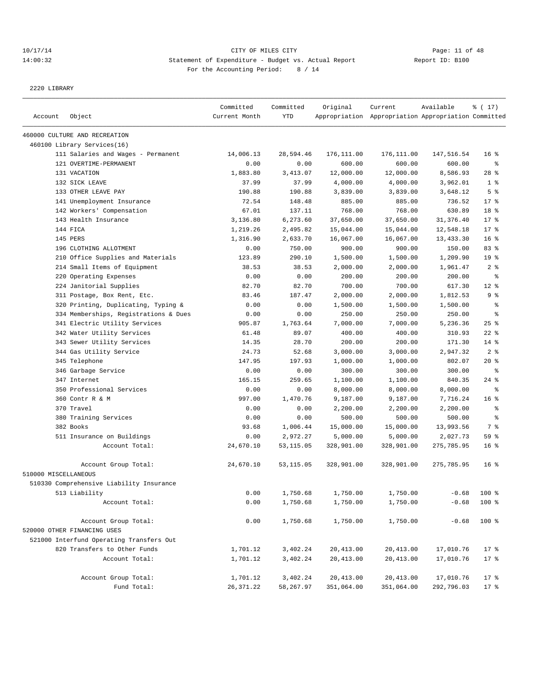## 10/17/14 Page: 11 of 48 14:00:32 Statement of Expenditure - Budget vs. Actual Report Changer Report ID: B100 For the Accounting Period: 8 / 14

2220 LIBRARY

| Account              | Object                                   | Committed<br>Current Month | Committed<br><b>YTD</b> | Original   | Current<br>Appropriation Appropriation Appropriation Committed | Available  | % (17)          |
|----------------------|------------------------------------------|----------------------------|-------------------------|------------|----------------------------------------------------------------|------------|-----------------|
|                      |                                          |                            |                         |            |                                                                |            |                 |
|                      | 460000 CULTURE AND RECREATION            |                            |                         |            |                                                                |            |                 |
|                      | 460100 Library Services(16)              |                            |                         |            |                                                                |            |                 |
|                      | 111 Salaries and Wages - Permanent       | 14,006.13                  | 28,594.46               | 176,111.00 | 176,111.00                                                     | 147,516.54 | 16 <sup>8</sup> |
|                      | 121 OVERTIME-PERMANENT                   | 0.00                       | 0.00                    | 600.00     | 600.00                                                         | 600.00     | နွ              |
|                      | 131 VACATION                             | 1,883.80                   | 3,413.07                | 12,000.00  | 12,000.00                                                      | 8,586.93   | $28$ %          |
|                      | 132 SICK LEAVE                           | 37.99                      | 37.99                   | 4,000.00   | 4,000.00                                                       | 3,962.01   | 1 <sup>8</sup>  |
|                      | 133 OTHER LEAVE PAY                      | 190.88                     | 190.88                  | 3,839.00   | 3,839.00                                                       | 3,648.12   | 5 <sup>°</sup>  |
|                      | 141 Unemployment Insurance               | 72.54                      | 148.48                  | 885.00     | 885.00                                                         | 736.52     | 17.8            |
|                      | 142 Workers' Compensation                | 67.01                      | 137.11                  | 768.00     | 768.00                                                         | 630.89     | 18 %            |
|                      | 143 Health Insurance                     | 3,136.80                   | 6,273.60                | 37,650.00  | 37,650.00                                                      | 31,376.40  | 17.8            |
|                      | 144 FICA                                 | 1,219.26                   | 2,495.82                | 15,044.00  | 15,044.00                                                      | 12,548.18  | $17$ %          |
|                      | 145 PERS                                 | 1,316.90                   | 2,633.70                | 16,067.00  | 16,067.00                                                      | 13,433.30  | 16 <sup>8</sup> |
|                      | 196 CLOTHING ALLOTMENT                   | 0.00                       | 750.00                  | 900.00     | 900.00                                                         | 150.00     | 83%             |
|                      | 210 Office Supplies and Materials        | 123.89                     | 290.10                  | 1,500.00   | 1,500.00                                                       | 1,209.90   | 19 <sup>°</sup> |
|                      | 214 Small Items of Equipment             | 38.53                      | 38.53                   | 2,000.00   | 2,000.00                                                       | 1,961.47   | 2 <sup>8</sup>  |
|                      | 220 Operating Expenses                   | 0.00                       | 0.00                    | 200.00     | 200.00                                                         | 200.00     | နွ              |
|                      | 224 Janitorial Supplies                  | 82.70                      | 82.70                   | 700.00     | 700.00                                                         | 617.30     | $12*$           |
|                      | 311 Postage, Box Rent, Etc.              | 83.46                      | 187.47                  | 2,000.00   | 2,000.00                                                       | 1,812.53   | 9 %             |
|                      | 320 Printing, Duplicating, Typing &      | 0.00                       | 0.00                    | 1,500.00   | 1,500.00                                                       | 1,500.00   | $\epsilon$      |
|                      | 334 Memberships, Registrations & Dues    | 0.00                       | 0.00                    | 250.00     | 250.00                                                         | 250.00     | နွ              |
|                      | 341 Electric Utility Services            | 905.87                     | 1,763.64                | 7,000.00   | 7,000.00                                                       | 5,236.36   | $25$ %          |
|                      | 342 Water Utility Services               | 61.48                      | 89.07                   | 400.00     | 400.00                                                         | 310.93     | $22$ %          |
|                      | 343 Sewer Utility Services               | 14.35                      | 28.70                   | 200.00     | 200.00                                                         | 171.30     | $14*$           |
|                      | 344 Gas Utility Service                  | 24.73                      | 52.68                   | 3,000.00   | 3,000.00                                                       | 2,947.32   | 2 <sup>8</sup>  |
|                      | 345 Telephone                            | 147.95                     | 197.93                  | 1,000.00   | 1,000.00                                                       | 802.07     | 20%             |
|                      | 346 Garbage Service                      | 0.00                       | 0.00                    | 300.00     | 300.00                                                         | 300.00     | နွ              |
|                      | 347 Internet                             | 165.15                     | 259.65                  | 1,100.00   | 1,100.00                                                       | 840.35     | $24$ %          |
|                      | 350 Professional Services                | 0.00                       | 0.00                    | 8,000.00   | 8,000.00                                                       | 8,000.00   | ႜ               |
|                      | 360 Contr R & M                          | 997.00                     | 1,470.76                | 9,187.00   | 9,187.00                                                       | 7,716.24   | 16 <sup>8</sup> |
|                      | 370 Travel                               | 0.00                       | 0.00                    | 2,200.00   | 2,200.00                                                       | 2,200.00   | နွ              |
|                      | 380 Training Services                    | 0.00                       | 0.00                    | 500.00     | 500.00                                                         | 500.00     | နွ              |
|                      | 382 Books                                | 93.68                      | 1,006.44                | 15,000.00  | 15,000.00                                                      | 13,993.56  | 7 %             |
|                      | 511 Insurance on Buildings               | 0.00                       | 2,972.27                | 5,000.00   | 5,000.00                                                       | 2,027.73   | 59 %            |
|                      | Account Total:                           | 24,670.10                  | 53,115.05               | 328,901.00 | 328,901.00                                                     | 275,785.95 | 16 <sup>8</sup> |
|                      | Account Group Total:                     | 24,670.10                  | 53,115.05               | 328,901.00 | 328,901.00                                                     | 275,785.95 | 16 <sup>°</sup> |
| 510000 MISCELLANEOUS |                                          |                            |                         |            |                                                                |            |                 |
|                      | 510330 Comprehensive Liability Insurance |                            |                         |            |                                                                |            |                 |
|                      | 513 Liability                            | 0.00                       | 1,750.68                | 1,750.00   | 1,750.00                                                       | $-0.68$    | 100 %           |
|                      | Account Total:                           | 0.00                       | 1,750.68                | 1,750.00   | 1,750.00                                                       | $-0.68$    | 100 %           |
|                      | Account Group Total:                     | 0.00                       | 1,750.68                | 1,750.00   | 1,750.00                                                       | $-0.68$    | 100 %           |
|                      | 520000 OTHER FINANCING USES              |                            |                         |            |                                                                |            |                 |
|                      | 521000 Interfund Operating Transfers Out |                            |                         |            |                                                                |            |                 |
|                      | 820 Transfers to Other Funds             | 1,701.12                   | 3,402.24                | 20,413.00  | 20,413.00                                                      | 17,010.76  | 17%             |
|                      | Account Total:                           | 1,701.12                   | 3,402.24                | 20,413.00  | 20,413.00                                                      | 17,010.76  | 17 <sup>°</sup> |
|                      | Account Group Total:                     | 1,701.12                   | 3,402.24                | 20,413.00  | 20,413.00                                                      | 17,010.76  | 17 <sup>°</sup> |
|                      | Fund Total:                              | 26, 371.22                 | 58, 267.97              | 351,064.00 | 351,064.00                                                     | 292,796.03 | $17$ %          |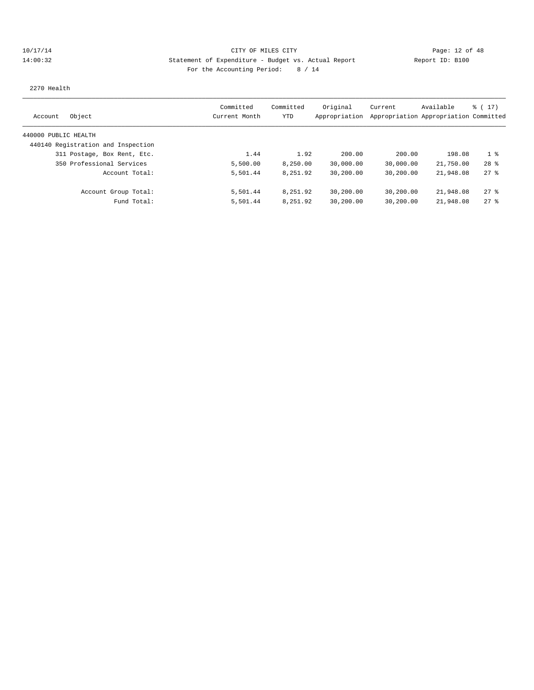## 10/17/14 Page: 12 of 48 14:00:32 Statement of Expenditure - Budget vs. Actual Report Report ID: B100 For the Accounting Period: 8 / 14

2270 Health

|                                    | Committed     | Committed | Original      | Current                               | Available | $\frac{1}{2}$ (17) |
|------------------------------------|---------------|-----------|---------------|---------------------------------------|-----------|--------------------|
| Object<br>Account                  | Current Month | YTD       | Appropriation | Appropriation Appropriation Committed |           |                    |
| 440000 PUBLIC HEALTH               |               |           |               |                                       |           |                    |
| 440140 Registration and Inspection |               |           |               |                                       |           |                    |
| 311 Postage, Box Rent, Etc.        | 1.44          | 1.92      | 200.00        | 200.00                                | 198.08    | $1 \approx$        |
| 350 Professional Services          | 5,500.00      | 8,250.00  | 30,000.00     | 30,000.00                             | 21,750.00 | $28$ $%$           |
| Account Total:                     | 5,501.44      | 8,251.92  | 30,200.00     | 30,200.00                             | 21,948.08 | $27$ %             |
| Account Group Total:               | 5,501.44      | 8,251.92  | 30,200.00     | 30,200.00                             | 21,948.08 | 278                |
| Fund Total:                        | 5,501.44      | 8,251.92  | 30,200.00     | 30,200.00                             | 21,948.08 | 278                |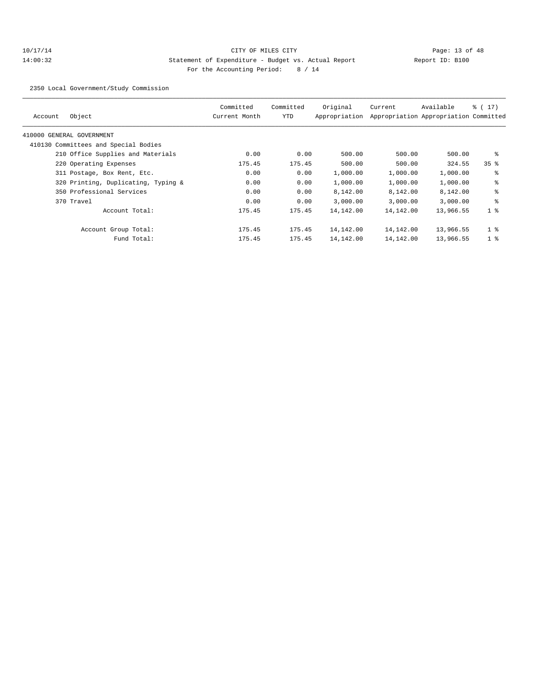## 10/17/14 Page: 13 of 48 14:00:32 Statement of Expenditure - Budget vs. Actual Report Changer Report ID: B100 For the Accounting Period: 8 / 14

2350 Local Government/Study Commission

| Object<br>Account                    |                | Committed<br>Current Month | Committed<br>YTD | Original<br>Appropriation | Current   | Available<br>Appropriation Appropriation Committed | $\frac{1}{6}$ ( 17 ) |
|--------------------------------------|----------------|----------------------------|------------------|---------------------------|-----------|----------------------------------------------------|----------------------|
| 410000 GENERAL GOVERNMENT            |                |                            |                  |                           |           |                                                    |                      |
| 410130 Committees and Special Bodies |                |                            |                  |                           |           |                                                    |                      |
| 210 Office Supplies and Materials    |                | 0.00                       | 0.00             | 500.00                    | 500.00    | 500.00                                             | နွ                   |
| 220 Operating Expenses               |                | 175.45                     | 175.45           | 500.00                    | 500.00    | 324.55                                             | 35 <sup>8</sup>      |
| 311 Postage, Box Rent, Etc.          |                | 0.00                       | 0.00             | 1,000.00                  | 1,000.00  | 1,000.00                                           | နွ                   |
| 320 Printing, Duplicating, Typing &  |                | 0.00                       | 0.00             | 1,000.00                  | 1,000.00  | 1,000.00                                           | နွ                   |
| 350 Professional Services            |                | 0.00                       | 0.00             | 8,142.00                  | 8,142.00  | 8,142.00                                           | ៖                    |
| 370 Travel                           |                | 0.00                       | 0.00             | 3,000.00                  | 3,000.00  | 3,000.00                                           | နွ                   |
|                                      | Account Total: | 175.45                     | 175.45           | 14,142.00                 | 14,142.00 | 13,966.55                                          | 1 <sup>8</sup>       |
| Account Group Total:                 |                | 175.45                     | 175.45           | 14,142.00                 | 14,142.00 | 13,966.55                                          | 1 <sup>8</sup>       |
|                                      | Fund Total:    | 175.45                     | 175.45           | 14,142.00                 | 14,142.00 | 13,966.55                                          | 1 <sup>8</sup>       |
|                                      |                |                            |                  |                           |           |                                                    |                      |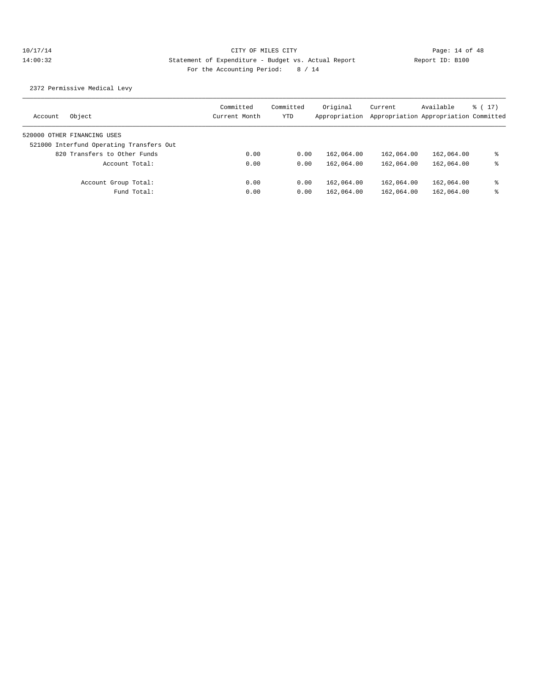2372 Permissive Medical Levy

| Object<br>Account                        | Committed<br>Current Month | Committed<br>YTD | Original<br>Appropriation | Current    | Available<br>Appropriation Appropriation Committed | $\frac{1}{6}$ (17) |
|------------------------------------------|----------------------------|------------------|---------------------------|------------|----------------------------------------------------|--------------------|
| 520000 OTHER FINANCING USES              |                            |                  |                           |            |                                                    |                    |
| 521000 Interfund Operating Transfers Out |                            |                  |                           |            |                                                    |                    |
| 820 Transfers to Other Funds             | 0.00                       | 0.00             | 162,064.00                | 162,064.00 | 162,064.00                                         | ႜ                  |
| Account Total:                           | 0.00                       | 0.00             | 162,064.00                | 162,064.00 | 162,064.00                                         | ႜ                  |
| Account Group Total:                     | 0.00                       | 0.00             | 162,064.00                | 162,064.00 | 162,064.00                                         | ႜ                  |
| Fund Total:                              | 0.00                       | 0.00             | 162,064.00                | 162,064.00 | 162,064.00                                         | ႜ                  |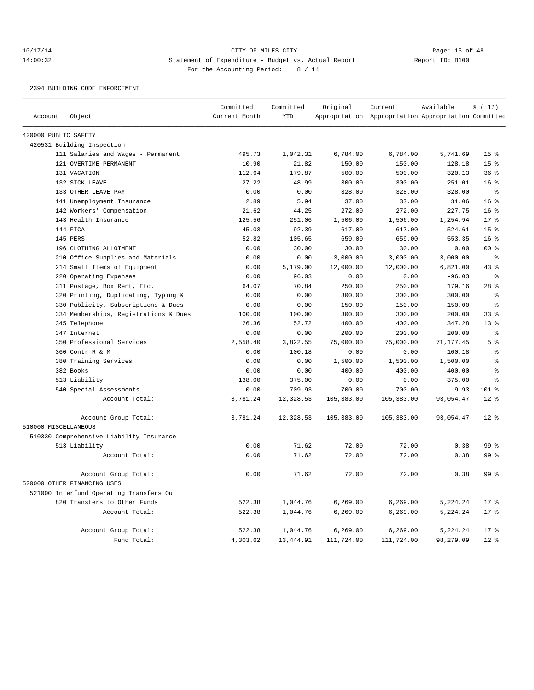# 10/17/14 Page: 15 of 48 14:00:32 Statement of Expenditure - Budget vs. Actual Report Changer Report ID: B100 For the Accounting Period: 8 / 14

#### 2394 BUILDING CODE ENFORCEMENT

|                      |                                          | Committed     | Committed  | Original   | Current                                             | Available | % (17)          |
|----------------------|------------------------------------------|---------------|------------|------------|-----------------------------------------------------|-----------|-----------------|
| Account              | Object                                   | Current Month | <b>YTD</b> |            | Appropriation Appropriation Appropriation Committed |           |                 |
| 420000 PUBLIC SAFETY |                                          |               |            |            |                                                     |           |                 |
|                      | 420531 Building Inspection               |               |            |            |                                                     |           |                 |
|                      | 111 Salaries and Wages - Permanent       | 495.73        | 1,042.31   | 6,784.00   | 6,784.00                                            | 5,741.69  | 15 <sup>°</sup> |
|                      | 121 OVERTIME-PERMANENT                   | 10.90         | 21.82      | 150.00     | 150.00                                              | 128.18    | 15 <sup>8</sup> |
|                      | 131 VACATION                             | 112.64        | 179.87     | 500.00     | 500.00                                              | 320.13    | 36%             |
|                      | 132 SICK LEAVE                           | 27.22         | 48.99      | 300.00     | 300.00                                              | 251.01    | 16 <sup>°</sup> |
|                      | 133 OTHER LEAVE PAY                      | 0.00          | 0.00       | 328.00     | 328.00                                              | 328.00    | ႜ               |
|                      | 141 Unemployment Insurance               | 2.89          | 5.94       | 37.00      | 37.00                                               | 31.06     | 16 <sup>8</sup> |
|                      | 142 Workers' Compensation                | 21.62         | 44.25      | 272.00     | 272.00                                              | 227.75    | 16%             |
|                      | 143 Health Insurance                     | 125.56        | 251.06     | 1,506.00   | 1,506.00                                            | 1,254.94  | $17*$           |
|                      | 144 FICA                                 | 45.03         | 92.39      | 617.00     | 617.00                                              | 524.61    | 15 <sup>8</sup> |
|                      | 145 PERS                                 | 52.82         | 105.65     | 659.00     | 659.00                                              | 553.35    | 16 <sup>8</sup> |
|                      | 196 CLOTHING ALLOTMENT                   | 0.00          | 30.00      | 30.00      | 30.00                                               | 0.00      | $100*$          |
|                      | 210 Office Supplies and Materials        | 0.00          | 0.00       | 3,000.00   | 3,000.00                                            | 3,000.00  | နွ              |
|                      | 214 Small Items of Equipment             | 0.00          | 5,179.00   | 12,000.00  | 12,000.00                                           | 6,821.00  | $43*$           |
|                      | 220 Operating Expenses                   | 0.00          | 96.03      | 0.00       | 0.00                                                | $-96.03$  | $\epsilon$      |
|                      | 311 Postage, Box Rent, Etc.              | 64.07         | 70.84      | 250.00     | 250.00                                              | 179.16    | $28$ %          |
|                      | 320 Printing, Duplicating, Typing &      | 0.00          | 0.00       | 300.00     | 300.00                                              | 300.00    | နွ              |
|                      | 330 Publicity, Subscriptions & Dues      | 0.00          | 0.00       | 150.00     | 150.00                                              | 150.00    | $\approx$       |
|                      | 334 Memberships, Registrations & Dues    | 100.00        | 100.00     | 300.00     | 300.00                                              | 200.00    | 33 <sup>8</sup> |
|                      | 345 Telephone                            | 26.36         | 52.72      | 400.00     | 400.00                                              | 347.28    | $13*$           |
|                      | 347 Internet                             | 0.00          | 0.00       | 200.00     | 200.00                                              | 200.00    | $\epsilon$      |
|                      | 350 Professional Services                | 2,558.40      | 3,822.55   | 75,000.00  | 75,000.00                                           | 71,177.45 | 5 <sup>°</sup>  |
|                      | 360 Contr R & M                          | 0.00          | 100.18     | 0.00       | 0.00                                                | $-100.18$ | $\,$ $\,$ $\,$  |
|                      | 380 Training Services                    | 0.00          | 0.00       | 1,500.00   | 1,500.00                                            | 1,500.00  | န္              |
|                      | 382 Books                                | 0.00          | 0.00       | 400.00     | 400.00                                              | 400.00    | န္              |
|                      | 513 Liability                            | 138.00        | 375.00     | 0.00       | 0.00                                                | $-375.00$ | $\approx$       |
|                      | 540 Special Assessments                  | 0.00          | 709.93     | 700.00     | 700.00                                              | $-9.93$   | $101$ %         |
|                      | Account Total:                           | 3,781.24      | 12,328.53  | 105,383.00 | 105,383.00                                          | 93,054.47 | $12*$           |
| 510000 MISCELLANEOUS | Account Group Total:                     | 3,781.24      | 12,328.53  | 105,383.00 | 105,383.00                                          | 93,054.47 | $12*$           |
|                      | 510330 Comprehensive Liability Insurance |               |            |            |                                                     |           |                 |
|                      | 513 Liability                            | 0.00          | 71.62      | 72.00      | 72.00                                               | 0.38      | 99 <sup>8</sup> |
|                      | Account Total:                           | 0.00          | 71.62      | 72.00      | 72.00                                               | 0.38      | 99 %            |
|                      | Account Group Total:                     | 0.00          | 71.62      | 72.00      | 72.00                                               | 0.38      | 99 %            |
|                      | 520000 OTHER FINANCING USES              |               |            |            |                                                     |           |                 |
|                      | 521000 Interfund Operating Transfers Out |               |            |            |                                                     |           |                 |
|                      | 820 Transfers to Other Funds             | 522.38        | 1,044.76   | 6, 269.00  | 6, 269.00                                           | 5,224.24  | 17 <sup>8</sup> |
|                      | Account Total:                           | 522.38        | 1,044.76   | 6, 269.00  | 6, 269.00                                           | 5,224.24  | $17*$           |
|                      | Account Group Total:                     | 522.38        | 1,044.76   | 6, 269.00  | 6, 269.00                                           | 5,224.24  | $17*$           |
|                      | Fund Total:                              | 4,303.62      | 13,444.91  | 111,724.00 | 111,724.00                                          | 98,279.09 | 12 <sup>8</sup> |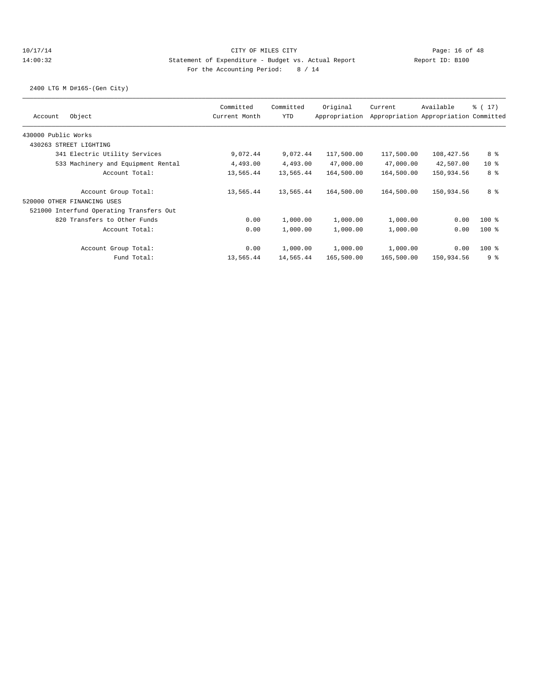2400 LTG M D#165-(Gen City)

| Committed<br>Current Month                                                                                                                                                                                                                         | Committed<br><b>YTD</b> | Original<br>Appropriation | Current                            | Available                             | $\frac{1}{6}$ ( 17)                                                                                                   |
|----------------------------------------------------------------------------------------------------------------------------------------------------------------------------------------------------------------------------------------------------|-------------------------|---------------------------|------------------------------------|---------------------------------------|-----------------------------------------------------------------------------------------------------------------------|
|                                                                                                                                                                                                                                                    |                         |                           |                                    | Appropriation Appropriation Committed |                                                                                                                       |
|                                                                                                                                                                                                                                                    |                         |                           |                                    |                                       |                                                                                                                       |
|                                                                                                                                                                                                                                                    |                         |                           |                                    |                                       |                                                                                                                       |
| 9,072.44                                                                                                                                                                                                                                           |                         | 117,500.00                | 117,500.00                         |                                       | 8 %                                                                                                                   |
| 4,493.00                                                                                                                                                                                                                                           |                         | 47,000.00                 | 47,000.00                          |                                       | 10 <sub>8</sub>                                                                                                       |
| 13,565.44                                                                                                                                                                                                                                          |                         | 164,500.00                |                                    |                                       | 8 %                                                                                                                   |
| 13,565.44                                                                                                                                                                                                                                          |                         | 164,500.00                | 164,500.00                         |                                       | 8 %                                                                                                                   |
|                                                                                                                                                                                                                                                    |                         |                           |                                    |                                       |                                                                                                                       |
|                                                                                                                                                                                                                                                    |                         |                           |                                    |                                       |                                                                                                                       |
| 0.00                                                                                                                                                                                                                                               | 1,000.00                | 1,000.00                  | 1,000.00                           |                                       | $100$ %                                                                                                               |
| 0.00                                                                                                                                                                                                                                               | 1,000.00                | 1,000.00                  | 1,000.00                           |                                       | $100$ %                                                                                                               |
| 0.00                                                                                                                                                                                                                                               | 1,000.00                | 1,000.00                  | 1,000.00                           |                                       | $100$ %                                                                                                               |
| 13,565.44                                                                                                                                                                                                                                          |                         | 165,500.00                |                                    |                                       | 9 <sup>°</sup>                                                                                                        |
| 341 Electric Utility Services<br>533 Machinery and Equipment Rental<br>Account Total:<br>Account Group Total:<br>521000 Interfund Operating Transfers Out<br>820 Transfers to Other Funds<br>Account Total:<br>Account Group Total:<br>Fund Total: |                         | 4,493.00<br>13,565.44     | 9,072.44<br>13,565.44<br>14,565.44 |                                       | 108,427.56<br>42,507.00<br>164,500.00<br>150,934.56<br>150,934.56<br>0.00<br>0.00<br>0.00<br>165,500.00<br>150,934.56 |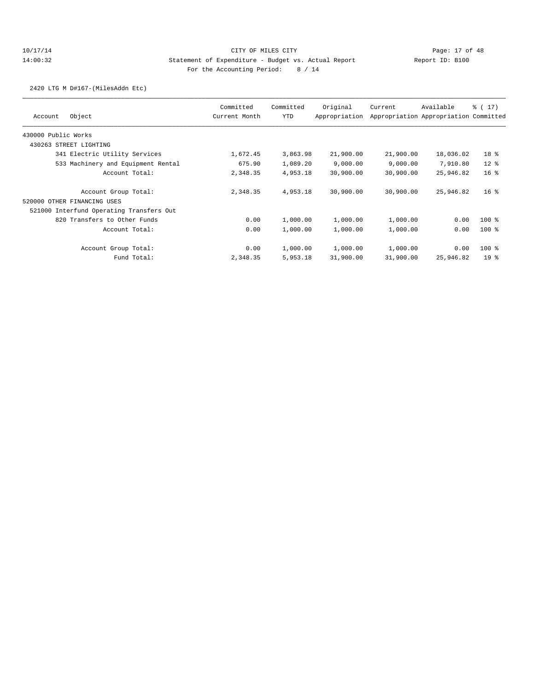2420 LTG M D#167-(MilesAddn Etc)

| Object<br>Account                        | Committed<br>Current Month | Committed<br><b>YTD</b> | Original<br>Appropriation | Current   | Available<br>Appropriation Appropriation Committed | $\frac{1}{6}$ ( 17 ) |
|------------------------------------------|----------------------------|-------------------------|---------------------------|-----------|----------------------------------------------------|----------------------|
| 430000 Public Works                      |                            |                         |                           |           |                                                    |                      |
| 430263 STREET LIGHTING                   |                            |                         |                           |           |                                                    |                      |
| 341 Electric Utility Services            | 1,672.45                   | 3,863.98                | 21,900.00                 | 21,900.00 | 18,036.02                                          | 18 <sup>8</sup>      |
| 533 Machinery and Equipment Rental       | 675.90                     | 1,089.20                | 9,000.00                  | 9,000.00  | 7,910.80                                           | $12$ %               |
| Account Total:                           | 2,348.35                   | 4,953.18                | 30,900.00                 | 30,900.00 | 25,946.82                                          | 16 <sup>8</sup>      |
| Account Group Total:                     | 2,348.35                   | 4,953.18                | 30,900.00                 | 30,900.00 | 25,946.82                                          | 16 <sup>8</sup>      |
| 520000 OTHER FINANCING USES              |                            |                         |                           |           |                                                    |                      |
| 521000 Interfund Operating Transfers Out |                            |                         |                           |           |                                                    |                      |
| 820 Transfers to Other Funds             | 0.00                       | 1,000.00                | 1,000.00                  | 1,000.00  | 0.00                                               | $100$ %              |
| Account Total:                           | 0.00                       | 1,000.00                | 1,000.00                  | 1,000.00  | 0.00                                               | $100$ %              |
| Account Group Total:                     | 0.00                       | 1,000.00                | 1,000.00                  | 1,000.00  | 0.00                                               | $100$ %              |
| Fund Total:                              | 2,348.35                   | 5,953.18                | 31,900.00                 | 31,900.00 | 25,946.82                                          | 19 <sup>8</sup>      |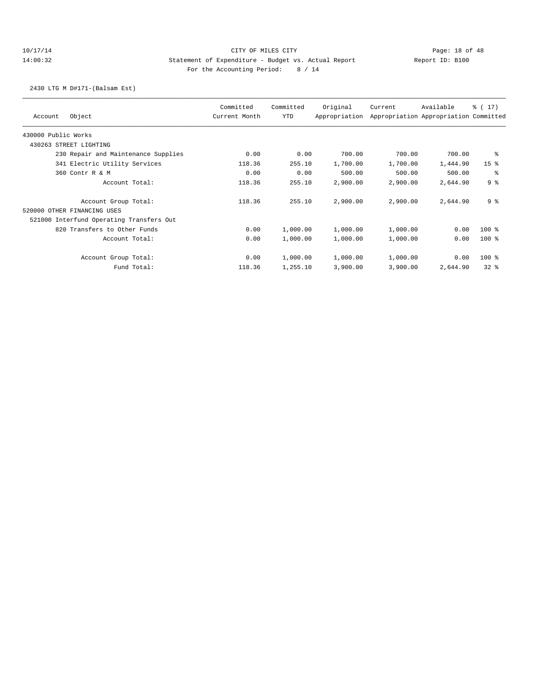2430 LTG M D#171-(Balsam Est)

| Object<br>Account                        | Committed<br>Current Month | Committed<br>YTD | Original<br>Appropriation | Current  | Available<br>Appropriation Appropriation Committed | % (17)          |
|------------------------------------------|----------------------------|------------------|---------------------------|----------|----------------------------------------------------|-----------------|
| 430000 Public Works                      |                            |                  |                           |          |                                                    |                 |
| 430263 STREET LIGHTING                   |                            |                  |                           |          |                                                    |                 |
| 230 Repair and Maintenance Supplies      | 0.00                       | 0.00             | 700.00                    | 700.00   | 700.00                                             | ႜ               |
| 341 Electric Utility Services            | 118.36                     | 255.10           | 1,700.00                  | 1,700.00 | 1,444.90                                           | 15 <sup>°</sup> |
| 360 Contr R & M                          | 0.00                       | 0.00             | 500.00                    | 500.00   | 500.00                                             | နွ              |
| Account Total:                           | 118.36                     | 255.10           | 2,900.00                  | 2,900.00 | 2,644.90                                           | 98              |
| Account Group Total:                     | 118.36                     | 255.10           | 2,900.00                  | 2,900.00 | 2,644.90                                           | 9 <sup>8</sup>  |
| 520000 OTHER FINANCING USES              |                            |                  |                           |          |                                                    |                 |
| 521000 Interfund Operating Transfers Out |                            |                  |                           |          |                                                    |                 |
| 820 Transfers to Other Funds             | 0.00                       | 1,000.00         | 1,000.00                  | 1,000.00 | 0.00                                               | $100$ %         |
| Account Total:                           | 0.00                       | 1,000.00         | 1,000.00                  | 1,000.00 | 0.00                                               | $100$ %         |
| Account Group Total:                     | 0.00                       | 1,000.00         | 1,000.00                  | 1,000.00 | 0.00                                               | $100$ %         |
| Fund Total:                              | 118.36                     | 1,255.10         | 3,900.00                  | 3,900.00 | 2,644.90                                           | 328             |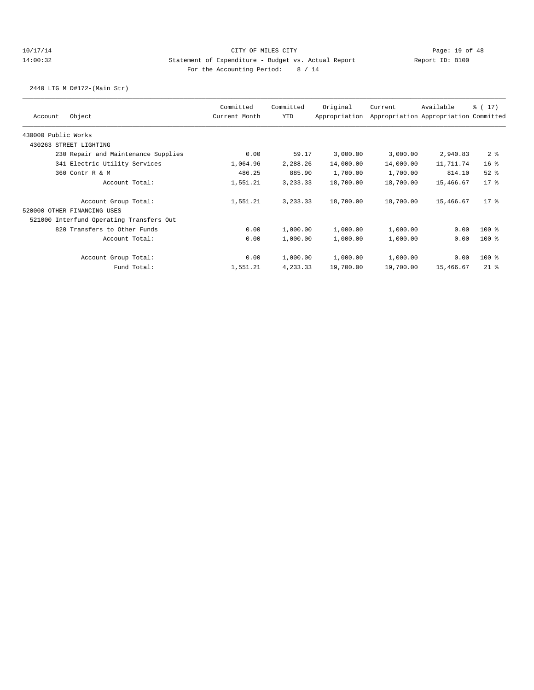2440 LTG M D#172-(Main Str)

| Object<br>Account                        | Committed<br>Current Month | Committed<br>YTD | Original<br>Appropriation | Current   | Available<br>Appropriation Appropriation Committed | % (17)          |
|------------------------------------------|----------------------------|------------------|---------------------------|-----------|----------------------------------------------------|-----------------|
| 430000 Public Works                      |                            |                  |                           |           |                                                    |                 |
| 430263 STREET LIGHTING                   |                            |                  |                           |           |                                                    |                 |
| 230 Repair and Maintenance Supplies      | 0.00                       | 59.17            | 3,000.00                  | 3,000.00  | 2,940.83                                           | 2 <sup>8</sup>  |
| 341 Electric Utility Services            | 1,064.96                   | 2,288.26         | 14,000.00                 | 14,000.00 | 11,711.74                                          | 16 <sup>°</sup> |
| 360 Contr R & M                          | 486.25                     | 885.90           | 1,700.00                  | 1,700.00  | 814.10                                             | $52$ $%$        |
| Account Total:                           | 1,551.21                   | 3, 233. 33       | 18,700.00                 | 18,700.00 | 15,466.67                                          | $17*$           |
| Account Group Total:                     | 1,551.21                   | 3, 233.33        | 18,700.00                 | 18,700.00 | 15,466.67                                          | 17 <sub>8</sub> |
| 520000 OTHER FINANCING USES              |                            |                  |                           |           |                                                    |                 |
| 521000 Interfund Operating Transfers Out |                            |                  |                           |           |                                                    |                 |
| 820 Transfers to Other Funds             | 0.00                       | 1,000.00         | 1,000.00                  | 1,000.00  | 0.00                                               | $100$ %         |
| Account Total:                           | 0.00                       | 1,000.00         | 1,000.00                  | 1,000.00  | 0.00                                               | $100*$          |
| Account Group Total:                     | 0.00                       | 1,000.00         | 1,000.00                  | 1,000.00  | 0.00                                               | $100$ %         |
| Fund Total:                              | 1,551.21                   | 4,233.33         | 19,700.00                 | 19,700.00 | 15,466.67                                          | $21$ %          |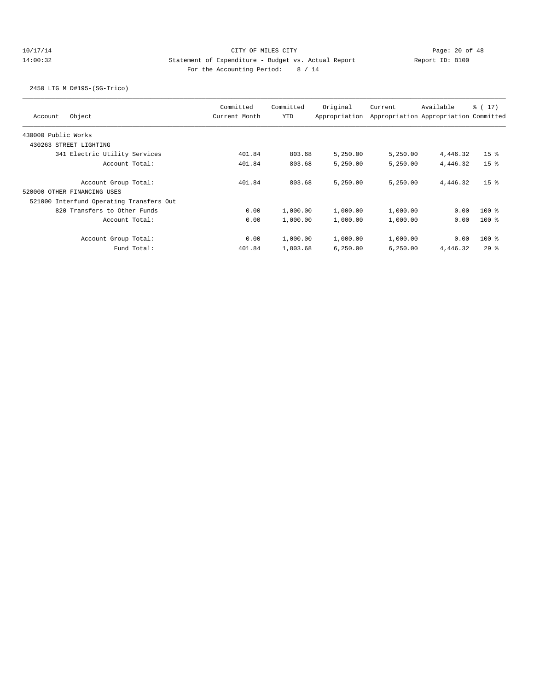## 10/17/14 Page: 20 of 48 14:00:32 Statement of Expenditure - Budget vs. Actual Report Report ID: B100 For the Accounting Period: 8 / 14

2450 LTG M D#195-(SG-Trico)

| Object<br>Account                        | Committed<br>Current Month | Committed<br><b>YTD</b> | Original<br>Appropriation | Current  | Available<br>Appropriation Appropriation Committed | $\frac{1}{6}$ ( 17 ) |
|------------------------------------------|----------------------------|-------------------------|---------------------------|----------|----------------------------------------------------|----------------------|
| 430000 Public Works                      |                            |                         |                           |          |                                                    |                      |
| 430263 STREET LIGHTING                   |                            |                         |                           |          |                                                    |                      |
| 341 Electric Utility Services            | 401.84                     | 803.68                  | 5,250.00                  | 5,250.00 | 4,446.32                                           | 15 <sup>8</sup>      |
| Account Total:                           | 401.84                     | 803.68                  | 5,250.00                  | 5,250.00 | 4,446.32                                           | 15 <sup>8</sup>      |
| Account Group Total:                     | 401.84                     | 803.68                  | 5,250.00                  | 5.250.00 | 4,446.32                                           | 15 <sup>8</sup>      |
| 520000 OTHER FINANCING USES              |                            |                         |                           |          |                                                    |                      |
| 521000 Interfund Operating Transfers Out |                            |                         |                           |          |                                                    |                      |
| 820 Transfers to Other Funds             | 0.00                       | 1,000.00                | 1,000.00                  | 1,000.00 | 0.00                                               | $100*$               |
| Account Total:                           | 0.00                       | 1,000.00                | 1,000.00                  | 1,000.00 | 0.00                                               | $100$ %              |
| Account Group Total:                     | 0.00                       | 1,000.00                | 1,000.00                  | 1,000.00 | 0.00                                               | $100$ %              |
| Fund Total:                              | 401.84                     | 1,803.68                | 6,250.00                  | 6,250.00 | 4,446.32                                           | 298                  |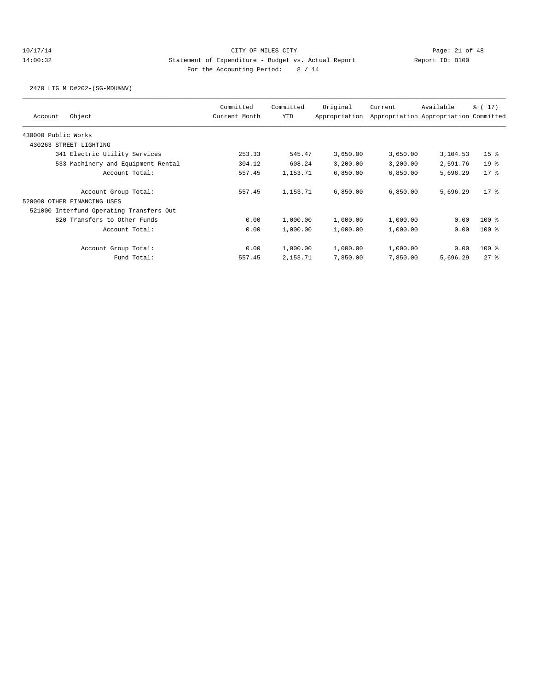2470 LTG M D#202-(SG-MDU&NV)

| Object<br>Account                        | Committed<br>Current Month | Committed<br><b>YTD</b> | Original<br>Appropriation | Current  | Available<br>Appropriation Appropriation Committed | $\frac{1}{6}$ ( 17) |
|------------------------------------------|----------------------------|-------------------------|---------------------------|----------|----------------------------------------------------|---------------------|
| 430000 Public Works                      |                            |                         |                           |          |                                                    |                     |
| 430263 STREET LIGHTING                   |                            |                         |                           |          |                                                    |                     |
| 341 Electric Utility Services            | 253.33                     | 545.47                  | 3,650.00                  | 3,650.00 | 3,104.53                                           | 15 <sup>8</sup>     |
| 533 Machinery and Equipment Rental       | 304.12                     | 608.24                  | 3,200.00                  | 3,200.00 | 2,591.76                                           | 19 <sup>°</sup>     |
| Account Total:                           | 557.45                     | 1,153.71                | 6,850.00                  | 6,850.00 | 5,696.29                                           | $17*$               |
| Account Group Total:                     | 557.45                     | 1,153.71                | 6,850.00                  | 6,850.00 | 5,696.29                                           | $17*$               |
| 520000 OTHER FINANCING USES              |                            |                         |                           |          |                                                    |                     |
| 521000 Interfund Operating Transfers Out |                            |                         |                           |          |                                                    |                     |
| 820 Transfers to Other Funds             | 0.00                       | 1,000.00                | 1,000.00                  | 1,000.00 | 0.00                                               | $100$ %             |
| Account Total:                           | 0.00                       | 1,000.00                | 1,000.00                  | 1,000.00 | 0.00                                               | $100$ %             |
| Account Group Total:                     | 0.00                       | 1,000.00                | 1,000.00                  | 1,000.00 | 0.00                                               | $100$ %             |
| Fund Total:                              | 557.45                     | 2,153.71                | 7,850.00                  | 7,850.00 | 5,696.29                                           | 278                 |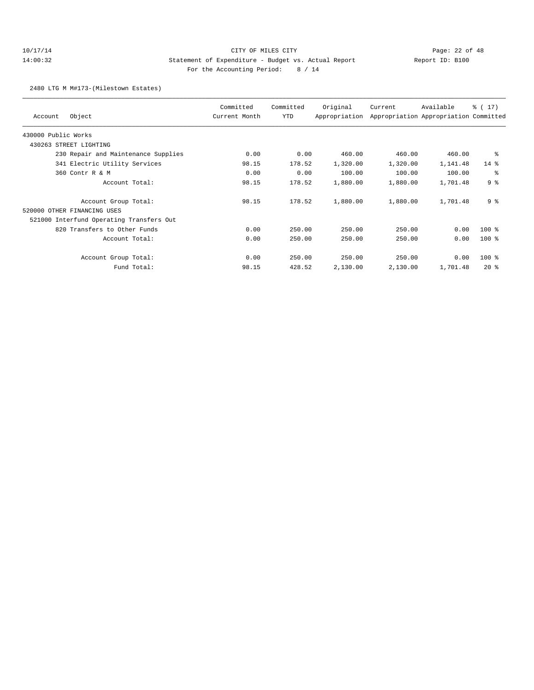2480 LTG M M#173-(Milestown Estates)

| Object<br>Account                        | Committed<br>Current Month | Committed<br>YTD | Original<br>Appropriation | Current  | Available<br>Appropriation Appropriation Committed | $\frac{1}{6}$ ( 17) |
|------------------------------------------|----------------------------|------------------|---------------------------|----------|----------------------------------------------------|---------------------|
| 430000 Public Works                      |                            |                  |                           |          |                                                    |                     |
| 430263<br>STREET LIGHTING                |                            |                  |                           |          |                                                    |                     |
| 230 Repair and Maintenance Supplies      | 0.00                       | 0.00             | 460.00                    | 460.00   | 460.00                                             | ႜ                   |
| 341 Electric Utility Services            | 98.15                      | 178.52           | 1,320.00                  | 1,320.00 | 1,141.48                                           | $14*$               |
| 360 Contr R & M                          | 0.00                       | 0.00             | 100.00                    | 100.00   | 100.00                                             | နွ                  |
| Account Total:                           | 98.15                      | 178.52           | 1,880.00                  | 1,880.00 | 1,701.48                                           | 9 <sup>°</sup>      |
| Account Group Total:                     | 98.15                      | 178.52           | 1,880.00                  | 1,880.00 | 1,701.48                                           | 9 <sup>8</sup>      |
| 520000 OTHER FINANCING USES              |                            |                  |                           |          |                                                    |                     |
| 521000 Interfund Operating Transfers Out |                            |                  |                           |          |                                                    |                     |
| 820 Transfers to Other Funds             | 0.00                       | 250.00           | 250.00                    | 250.00   | 0.00                                               | 100 %               |
| Account Total:                           | 0.00                       | 250.00           | 250.00                    | 250.00   | 0.00                                               | $100$ %             |
| Account Group Total:                     | 0.00                       | 250.00           | 250.00                    | 250.00   | 0.00                                               | $100$ %             |
| Fund Total:                              | 98.15                      | 428.52           | 2,130.00                  | 2,130.00 | 1,701.48                                           | $20*$               |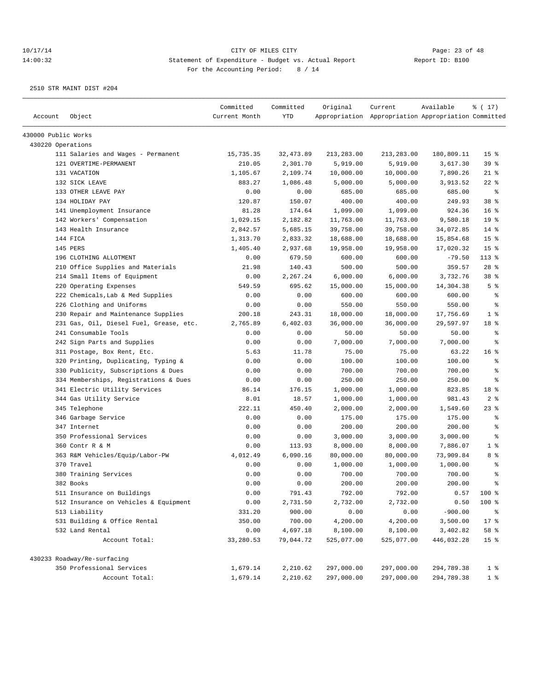| Account             | Object                                  | Committed<br>Current Month | Committed<br><b>YTD</b> | Original   | Current<br>Appropriation Appropriation Appropriation Committed | Available  | % (17)          |
|---------------------|-----------------------------------------|----------------------------|-------------------------|------------|----------------------------------------------------------------|------------|-----------------|
| 430000 Public Works |                                         |                            |                         |            |                                                                |            |                 |
| 430220 Operations   |                                         |                            |                         |            |                                                                |            |                 |
|                     | 111 Salaries and Wages - Permanent      | 15,735.35                  | 32, 473.89              | 213,283.00 | 213,283.00                                                     | 180,809.11 | 15 <sup>°</sup> |
|                     | 121 OVERTIME-PERMANENT                  | 210.05                     | 2,301.70                | 5,919.00   | 5,919.00                                                       | 3,617.30   | 39 %            |
|                     | 131 VACATION                            | 1,105.67                   | 2,109.74                | 10,000.00  | 10,000.00                                                      | 7,890.26   | $21$ %          |
|                     | 132 SICK LEAVE                          | 883.27                     | 1,086.48                | 5,000.00   | 5,000.00                                                       | 3,913.52   | $22$ %          |
|                     | 133 OTHER LEAVE PAY                     | 0.00                       | 0.00                    | 685.00     | 685.00                                                         | 685.00     | နွ              |
|                     | 134 HOLIDAY PAY                         | 120.87                     | 150.07                  | 400.00     | 400.00                                                         | 249.93     | 38 %            |
|                     | 141 Unemployment Insurance              | 81.28                      | 174.64                  | 1,099.00   | 1,099.00                                                       | 924.36     | 16 <sup>8</sup> |
|                     | 142 Workers' Compensation               | 1,029.15                   | 2,182.82                | 11,763.00  | 11,763.00                                                      | 9,580.18   | 19 <sup>°</sup> |
|                     | 143 Health Insurance                    | 2,842.57                   | 5,685.15                | 39,758.00  | 39,758.00                                                      | 34,072.85  | $14$ %          |
|                     | 144 FICA                                | 1,313.70                   | 2,833.32                | 18,688.00  | 18,688.00                                                      | 15,854.68  | 15 <sup>°</sup> |
|                     | 145 PERS                                | 1,405.40                   | 2,937.68                | 19,958.00  | 19,958.00                                                      | 17,020.32  | 15 <sup>8</sup> |
|                     | 196 CLOTHING ALLOTMENT                  | 0.00                       | 679.50                  | 600.00     | 600.00                                                         | $-79.50$   | $113*$          |
|                     | 210 Office Supplies and Materials       | 21.98                      | 140.43                  | 500.00     | 500.00                                                         | 359.57     | $28$ %          |
|                     | 214 Small Items of Equipment            | 0.00                       | 2,267.24                | 6,000.00   | 6,000.00                                                       | 3,732.76   | 38 %            |
|                     | 220 Operating Expenses                  | 549.59                     | 695.62                  | 15,000.00  | 15,000.00                                                      | 14,304.38  | 5 <sup>8</sup>  |
|                     | 222 Chemicals, Lab & Med Supplies       | 0.00                       | 0.00                    | 600.00     | 600.00                                                         | 600.00     | $\epsilon$      |
|                     | 226 Clothing and Uniforms               | 0.00                       | 0.00                    | 550.00     | 550.00                                                         | 550.00     | $\epsilon$      |
|                     | 230 Repair and Maintenance Supplies     | 200.18                     | 243.31                  | 18,000.00  | 18,000.00                                                      | 17,756.69  | 1 <sup>°</sup>  |
|                     | 231 Gas, Oil, Diesel Fuel, Grease, etc. | 2,765.89                   | 6,402.03                | 36,000.00  | 36,000.00                                                      | 29,597.97  | 18 %            |
|                     | 241 Consumable Tools                    | 0.00                       | 0.00                    | 50.00      | 50.00                                                          | 50.00      | နွ              |
|                     | 242 Sign Parts and Supplies             | 0.00                       | 0.00                    | 7,000.00   | 7,000.00                                                       | 7,000.00   | ి               |
|                     | 311 Postage, Box Rent, Etc.             | 5.63                       | 11.78                   | 75.00      | 75.00                                                          | 63.22      | 16 <sup>8</sup> |
|                     | 320 Printing, Duplicating, Typing &     | 0.00                       | 0.00                    | 100.00     | 100.00                                                         | 100.00     | ៖               |
|                     | 330 Publicity, Subscriptions & Dues     | 0.00                       | 0.00                    | 700.00     | 700.00                                                         | 700.00     | န္              |
|                     | 334 Memberships, Registrations & Dues   | 0.00                       | 0.00                    | 250.00     | 250.00                                                         | 250.00     | ి               |
|                     | 341 Electric Utility Services           | 86.14                      | 176.15                  | 1,000.00   | 1,000.00                                                       | 823.85     | 18 %            |
|                     | 344 Gas Utility Service                 | 8.01                       | 18.57                   | 1,000.00   | 1,000.00                                                       | 981.43     | 2 <sub>8</sub>  |
|                     | 345 Telephone                           | 222.11                     | 450.40                  | 2,000.00   | 2,000.00                                                       | 1,549.60   | $23$ %          |
|                     | 346 Garbage Service                     | 0.00                       | 0.00                    | 175.00     | 175.00                                                         | 175.00     | နွ              |
|                     | 347 Internet                            | 0.00                       | 0.00                    | 200.00     | 200.00                                                         | 200.00     | ి               |
|                     | 350 Professional Services               | 0.00                       | 0.00                    | 3,000.00   | 3,000.00                                                       | 3,000.00   | ి               |
|                     | 360 Contr R & M                         | 0.00                       | 113.93                  | 8,000.00   | 8,000.00                                                       | 7,886.07   | 1 <sup>°</sup>  |
|                     | 363 R&M Vehicles/Equip/Labor-PW         | 4,012.49                   | 6,090.16                | 80,000.00  | 80,000.00                                                      | 73,909.84  | 8 %             |
|                     | 370 Travel                              | 0.00                       | 0.00                    | 1,000.00   | 1,000.00                                                       | 1,000.00   | နွ              |
|                     | 380 Training Services                   | 0.00                       | 0.00                    | 700.00     | 700.00                                                         | 700.00     | န္              |
|                     | 382 Books                               | 0.00                       | 0.00                    | 200.00     | 200.00                                                         | 200.00     | န္              |
|                     | 511 Insurance on Buildings              | 0.00                       | 791.43                  | 792.00     | 792.00                                                         | 0.57       | 100 %           |
|                     | 512 Insurance on Vehicles & Equipment   | 0.00                       | 2,731.50                | 2,732.00   | 2,732.00                                                       | 0.50       | 100 %           |
|                     | 513 Liability                           | 331.20                     | 900.00                  | 0.00       | 0.00                                                           | $-900.00$  | ိ               |
|                     | 531 Building & Office Rental            | 350.00                     | 700.00                  | 4,200.00   | 4,200.00                                                       | 3,500.00   | $17$ %          |
|                     | 532 Land Rental                         | 0.00                       | 4,697.18                | 8,100.00   | 8,100.00                                                       | 3,402.82   | 58 %            |
|                     | Account Total:                          | 33,280.53                  | 79,044.72               | 525,077.00 | 525,077.00                                                     | 446,032.28 | 15 <sup>°</sup> |
|                     | 430233 Roadway/Re-surfacing             |                            |                         |            |                                                                |            |                 |
|                     | 350 Professional Services               | 1,679.14                   | 2,210.62                | 297,000.00 | 297,000.00                                                     | 294,789.38 | 1 <sup>8</sup>  |
|                     | Account Total:                          | 1,679.14                   | 2,210.62                | 297,000.00 | 297,000.00                                                     | 294,789.38 | 1 <sup>8</sup>  |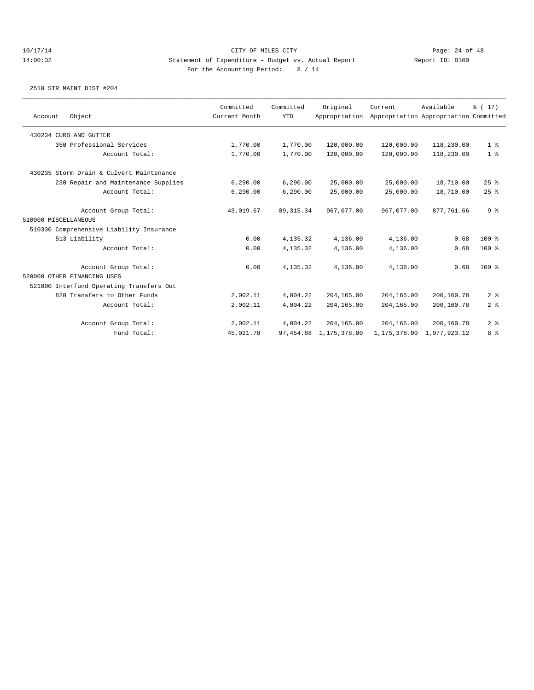|                      |                                          | Committed     | Committed   | Original      | Current      | Available                             | % (17)         |
|----------------------|------------------------------------------|---------------|-------------|---------------|--------------|---------------------------------------|----------------|
| Account              | Object                                   | Current Month | <b>YTD</b>  | Appropriation |              | Appropriation Appropriation Committed |                |
|                      | 430234 CURB AND GUTTER                   |               |             |               |              |                                       |                |
|                      | 350 Professional Services                | 1,770.00      | 1,770.00    | 120,000.00    | 120,000.00   | 118,230.00                            | 1 <sup>8</sup> |
|                      | Account Total:                           | 1,770.00      | 1,770.00    | 120,000.00    | 120,000.00   | 118,230.00                            | 1 <sup>8</sup> |
|                      | 430235 Storm Drain & Culvert Maintenance |               |             |               |              |                                       |                |
|                      | 230 Repair and Maintenance Supplies      | 6, 290.00     | 6,290.00    | 25,000.00     | 25,000.00    | 18,710.00                             | 25%            |
|                      | Account Total:                           | 6, 290.00     | 6,290.00    | 25,000.00     | 25,000.00    | 18,710.00                             | 25%            |
|                      | Account Group Total:                     | 43,019.67     | 89, 315. 34 | 967,077.00    | 967,077.00   | 877,761.66                            | 9 <sup>8</sup> |
| 510000 MISCELLANEOUS |                                          |               |             |               |              |                                       |                |
|                      | 510330 Comprehensive Liability Insurance |               |             |               |              |                                       |                |
|                      | 513 Liability                            | 0.00          | 4, 135.32   | 4,136.00      | 4,136.00     | 0.68                                  | 100 %          |
|                      | Account Total:                           | 0.00          | 4,135.32    | 4,136.00      | 4,136.00     | 0.68                                  | 100 %          |
|                      | Account Group Total:                     | 0.00          | 4, 135.32   | 4,136.00      | 4,136.00     | 0.68                                  | $100$ %        |
|                      | 520000 OTHER FINANCING USES              |               |             |               |              |                                       |                |
|                      | 521000 Interfund Operating Transfers Out |               |             |               |              |                                       |                |
|                      | 820 Transfers to Other Funds             | 2,002.11      | 4,004.22    | 204,165.00    | 204,165.00   | 200,160.78                            | 2 <sup>8</sup> |
|                      | Account Total:                           | 2,002.11      | 4,004.22    | 204,165.00    | 204,165.00   | 200,160.78                            | 2 <sup>8</sup> |
|                      | Account Group Total:                     | 2,002.11      | 4,004.22    | 204, 165, 00  | 204,165.00   | 200,160.78                            | 2 <sup>8</sup> |
|                      | Fund Total:                              | 45,021.78     | 97, 454.88  | 1,175,378.00  | 1,175,378.00 | 1,077,923.12                          | 8 %            |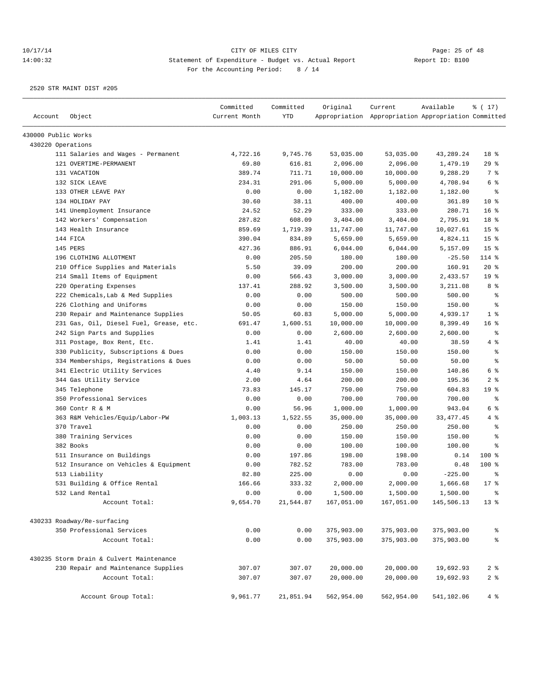|                     |                                          | Committed     | Committed  | Original   | Current                                             | Available   | % (17)          |
|---------------------|------------------------------------------|---------------|------------|------------|-----------------------------------------------------|-------------|-----------------|
| Account             | Object                                   | Current Month | <b>YTD</b> |            | Appropriation Appropriation Appropriation Committed |             |                 |
| 430000 Public Works |                                          |               |            |            |                                                     |             |                 |
| 430220 Operations   |                                          |               |            |            |                                                     |             |                 |
|                     | 111 Salaries and Wages - Permanent       | 4,722.16      | 9,745.76   | 53,035.00  | 53,035.00                                           | 43,289.24   | 18 %            |
|                     | 121 OVERTIME-PERMANENT                   | 69.80         | 616.81     | 2,096.00   | 2,096.00                                            | 1,479.19    | 29%             |
|                     | 131 VACATION                             | 389.74        | 711.71     | 10,000.00  | 10,000.00                                           | 9,288.29    | 7 %             |
|                     | 132 SICK LEAVE                           | 234.31        | 291.06     | 5,000.00   | 5,000.00                                            | 4,708.94    | 6 %             |
|                     | 133 OTHER LEAVE PAY                      | 0.00          | 0.00       | 1,182.00   | 1,182.00                                            | 1,182.00    | နွ              |
|                     | 134 HOLIDAY PAY                          | 30.60         | 38.11      | 400.00     | 400.00                                              | 361.89      | $10*$           |
|                     | 141 Unemployment Insurance               | 24.52         | 52.29      | 333.00     | 333.00                                              | 280.71      | 16 <sup>8</sup> |
|                     | 142 Workers' Compensation                | 287.82        | 608.09     | 3,404.00   | 3,404.00                                            | 2,795.91    | 18 %            |
|                     | 143 Health Insurance                     | 859.69        | 1,719.39   | 11,747.00  | 11,747.00                                           | 10,027.61   | 15 <sup>°</sup> |
|                     | 144 FICA                                 | 390.04        | 834.89     | 5,659.00   | 5,659.00                                            | 4,824.11    | 15 <sup>°</sup> |
|                     | 145 PERS                                 | 427.36        | 886.91     | 6,044.00   | 6,044.00                                            | 5,157.09    | 15 <sup>°</sup> |
|                     | 196 CLOTHING ALLOTMENT                   | 0.00          | 205.50     | 180.00     | 180.00                                              | $-25.50$    | 114 %           |
|                     | 210 Office Supplies and Materials        | 5.50          | 39.09      | 200.00     | 200.00                                              | 160.91      | 20%             |
|                     | 214 Small Items of Equipment             | 0.00          | 566.43     | 3,000.00   | 3,000.00                                            | 2,433.57    | 19 <sup>°</sup> |
|                     | 220 Operating Expenses                   | 137.41        | 288.92     | 3,500.00   | 3,500.00                                            | 3,211.08    | 8%              |
|                     | 222 Chemicals, Lab & Med Supplies        | 0.00          | 0.00       | 500.00     | 500.00                                              | 500.00      | န္              |
|                     | 226 Clothing and Uniforms                | 0.00          | 0.00       | 150.00     | 150.00                                              | 150.00      | $\epsilon$      |
|                     | 230 Repair and Maintenance Supplies      | 50.05         | 60.83      | 5,000.00   | 5,000.00                                            | 4,939.17    | 1 <sup>°</sup>  |
|                     | 231 Gas, Oil, Diesel Fuel, Grease, etc.  | 691.47        | 1,600.51   | 10,000.00  | 10,000.00                                           | 8,399.49    | 16 <sup>8</sup> |
|                     | 242 Sign Parts and Supplies              | 0.00          | 0.00       | 2,600.00   | 2,600.00                                            | 2,600.00    | $\epsilon$      |
|                     | 311 Postage, Box Rent, Etc.              | 1.41          | 1.41       | 40.00      | 40.00                                               | 38.59       | 4 %             |
|                     | 330 Publicity, Subscriptions & Dues      | 0.00          | 0.00       | 150.00     | 150.00                                              | 150.00      | $\epsilon$      |
|                     | 334 Memberships, Registrations & Dues    | 0.00          | 0.00       | 50.00      | 50.00                                               | 50.00       | ి               |
|                     | 341 Electric Utility Services            | 4.40          | 9.14       | 150.00     | 150.00                                              | 140.86      | 6 %             |
|                     | 344 Gas Utility Service                  | 2.00          | 4.64       | 200.00     | 200.00                                              | 195.36      | 2 <sup>8</sup>  |
|                     | 345 Telephone                            | 73.83         | 145.17     | 750.00     | 750.00                                              | 604.83      | 19 <sup>°</sup> |
|                     | 350 Professional Services                | 0.00          | 0.00       | 700.00     | 700.00                                              | 700.00      | နွ              |
|                     | 360 Contr R & M                          | 0.00          | 56.96      | 1,000.00   | 1,000.00                                            | 943.04      | 6 %             |
|                     | 363 R&M Vehicles/Equip/Labor-PW          | 1,003.13      | 1,522.55   | 35,000.00  | 35,000.00                                           | 33, 477. 45 | 4%              |
|                     | 370 Travel                               | 0.00          | 0.00       | 250.00     | 250.00                                              | 250.00      | နွ              |
|                     | 380 Training Services                    | 0.00          | 0.00       | 150.00     | 150.00                                              | 150.00      | ి               |
|                     | 382 Books                                | 0.00          | 0.00       | 100.00     | 100.00                                              | 100.00      | ి               |
|                     | 511 Insurance on Buildings               | 0.00          | 197.86     | 198.00     | 198.00                                              | 0.14        | $100$ %         |
|                     | 512 Insurance on Vehicles & Equipment    | 0.00          | 782.52     | 783.00     | 783.00                                              | 0.48        | $100$ %         |
|                     | 513 Liability                            | 82.80         | 225.00     | 0.00       | 0.00                                                | $-225.00$   | ి               |
|                     | 531 Building & Office Rental             | 166.66        | 333.32     | 2,000.00   | 2,000.00                                            | 1,666.68    | $17*$           |
|                     | 532 Land Rental                          | 0.00          | 0.00       | 1,500.00   | 1,500.00                                            | 1,500.00    | န္              |
|                     | Account Total:                           | 9,654.70      | 21,544.87  | 167,051.00 | 167,051.00                                          | 145,506.13  | $13*$           |
|                     |                                          |               |            |            |                                                     |             |                 |
|                     | 430233 Roadway/Re-surfacing              |               |            |            |                                                     |             |                 |
|                     | 350 Professional Services                | 0.00          | 0.00       | 375,903.00 | 375,903.00                                          | 375,903.00  | ್ಠಿ             |
|                     | Account Total:                           | 0.00          | 0.00       | 375,903.00 | 375,903.00                                          | 375,903.00  | $\rm ^{o}$      |
|                     | 430235 Storm Drain & Culvert Maintenance |               |            |            |                                                     |             |                 |
|                     | 230 Repair and Maintenance Supplies      | 307.07        | 307.07     | 20,000.00  | 20,000.00                                           | 19,692.93   | 2 <sup>°</sup>  |
|                     | Account Total:                           | 307.07        | 307.07     | 20,000.00  | 20,000.00                                           | 19,692.93   | 2 <sup>8</sup>  |
|                     | Account Group Total:                     | 9,961.77      | 21,851.94  | 562,954.00 | 562,954.00                                          | 541,102.06  | 4%              |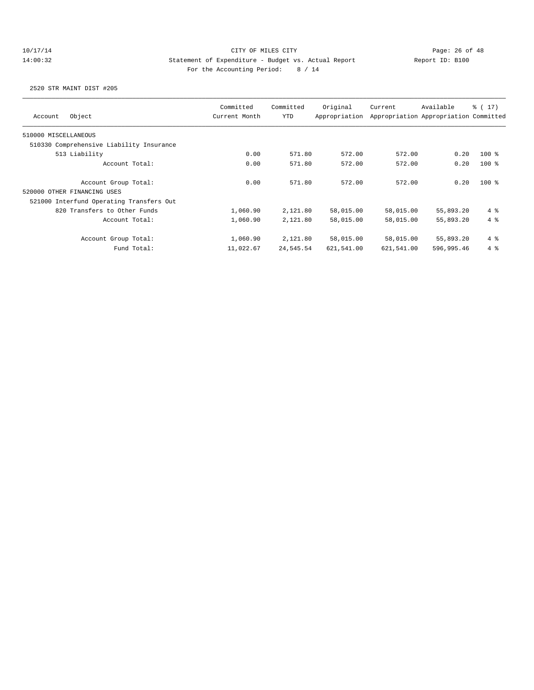## 10/17/14 Page: 26 of 48 14:00:32 Statement of Expenditure - Budget vs. Actual Report Report ID: B100 For the Accounting Period: 8 / 14

| Object<br>Account                        | Committed<br>Current Month | Committed<br><b>YTD</b> | Original<br>Appropriation | Current    | Available<br>Appropriation Appropriation Committed | $\frac{1}{6}$ ( 17 ) |
|------------------------------------------|----------------------------|-------------------------|---------------------------|------------|----------------------------------------------------|----------------------|
| 510000 MISCELLANEOUS                     |                            |                         |                           |            |                                                    |                      |
| 510330 Comprehensive Liability Insurance |                            |                         |                           |            |                                                    |                      |
| 513 Liability                            | 0.00                       | 571.80                  | 572.00                    | 572.00     | 0.20                                               | $100*$               |
| Account Total:                           | 0.00                       | 571.80                  | 572.00                    | 572.00     | 0.20                                               | $100*$               |
| Account Group Total:                     | 0.00                       | 571.80                  | 572.00                    | 572.00     | 0.20                                               | $100*$               |
| 520000 OTHER FINANCING USES              |                            |                         |                           |            |                                                    |                      |
| 521000 Interfund Operating Transfers Out |                            |                         |                           |            |                                                    |                      |
| 820 Transfers to Other Funds             | 1,060.90                   | 2,121.80                | 58,015.00                 | 58,015.00  | 55,893.20                                          | 4%                   |
| Account Total:                           | 1,060.90                   | 2,121.80                | 58,015.00                 | 58,015.00  | 55,893.20                                          | $4\degree$           |
| Account Group Total:                     | 1,060.90                   | 2,121.80                | 58,015.00                 | 58,015.00  | 55,893.20                                          | 4%                   |
| Fund Total:                              | 11,022.67                  | 24,545.54               | 621,541.00                | 621,541.00 | 596,995.46                                         | $4\degree$           |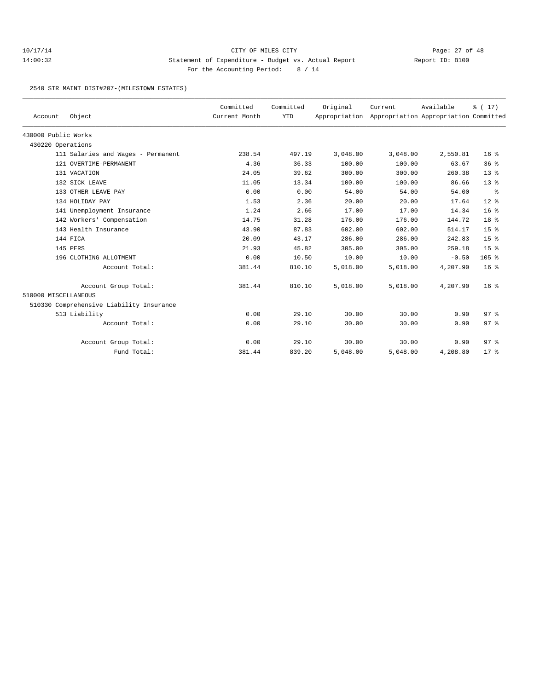2540 STR MAINT DIST#207-(MILESTOWN ESTATES)

| Account              | Object                                   | Committed<br>Current Month | Committed<br><b>YTD</b> | Original<br>Appropriation | Current  | Available<br>Appropriation Appropriation Committed | $\frac{1}{6}$ ( 17) |
|----------------------|------------------------------------------|----------------------------|-------------------------|---------------------------|----------|----------------------------------------------------|---------------------|
| 430000 Public Works  |                                          |                            |                         |                           |          |                                                    |                     |
| 430220 Operations    |                                          |                            |                         |                           |          |                                                    |                     |
|                      | 111 Salaries and Wages - Permanent       | 238.54                     | 497.19                  | 3,048.00                  | 3,048.00 | 2,550.81                                           | 16 <sup>8</sup>     |
|                      | 121 OVERTIME-PERMANENT                   | 4.36                       | 36.33                   | 100.00                    | 100.00   | 63.67                                              | 36%                 |
|                      | 131 VACATION                             | 24.05                      | 39.62                   | 300.00                    | 300.00   | 260.38                                             | $13*$               |
|                      | 132 SICK LEAVE                           | 11.05                      | 13.34                   | 100.00                    | 100.00   | 86.66                                              | $13*$               |
|                      | 133 OTHER LEAVE PAY                      | 0.00                       | 0.00                    | 54.00                     | 54.00    | 54.00                                              | ႜ                   |
|                      | 134 HOLIDAY PAY                          | 1.53                       | 2.36                    | 20.00                     | 20.00    | 17.64                                              | $12*$               |
|                      | 141 Unemployment Insurance               | 1.24                       | 2.66                    | 17.00                     | 17.00    | 14.34                                              | 16 <sup>8</sup>     |
|                      | 142 Workers' Compensation                | 14.75                      | 31.28                   | 176.00                    | 176.00   | 144.72                                             | 18 %                |
|                      | 143 Health Insurance                     | 43.90                      | 87.83                   | 602.00                    | 602.00   | 514.17                                             | 15 <sup>8</sup>     |
|                      | 144 FICA                                 | 20.09                      | 43.17                   | 286.00                    | 286.00   | 242.83                                             | 15 <sup>°</sup>     |
|                      | 145 PERS                                 | 21.93                      | 45.82                   | 305.00                    | 305.00   | 259.18                                             | 15 <sup>°</sup>     |
|                      | 196 CLOTHING ALLOTMENT                   | 0.00                       | 10.50                   | 10.00                     | 10.00    | $-0.50$                                            | $105$ %             |
|                      | Account Total:                           | 381.44                     | 810.10                  | 5,018.00                  | 5,018.00 | 4,207.90                                           | 16 <sup>8</sup>     |
|                      | Account Group Total:                     | 381.44                     | 810.10                  | 5,018.00                  | 5,018.00 | 4,207.90                                           | 16 <sup>8</sup>     |
| 510000 MISCELLANEOUS |                                          |                            |                         |                           |          |                                                    |                     |
|                      | 510330 Comprehensive Liability Insurance |                            |                         |                           |          |                                                    |                     |
|                      | 513 Liability                            | 0.00                       | 29.10                   | 30.00                     | 30.00    | 0.90                                               | 97 <sub>8</sub>     |
|                      | Account Total:                           | 0.00                       | 29.10                   | 30.00                     | 30.00    | 0.90                                               | 97%                 |
|                      | Account Group Total:                     | 0.00                       | 29.10                   | 30.00                     | 30.00    | 0.90                                               | 97 <sub>8</sub>     |
|                      | Fund Total:                              | 381.44                     | 839.20                  | 5,048.00                  | 5,048.00 | 4,208.80                                           | $17*$               |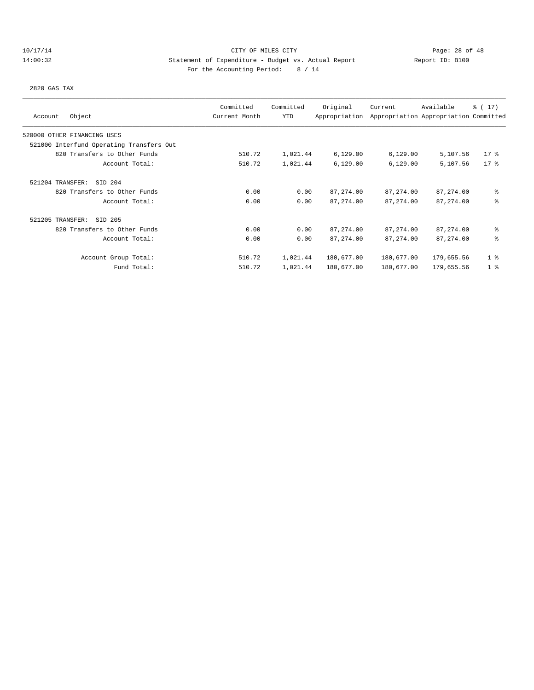## 10/17/14 Page: 28 of 48 14:00:32 Statement of Expenditure - Budget vs. Actual Report Report ID: B100 For the Accounting Period: 8 / 14

2820 GAS TAX

|                                          | Committed     | Committed | Original      | Current    | Available                             | $\frac{1}{6}$ ( 17) |
|------------------------------------------|---------------|-----------|---------------|------------|---------------------------------------|---------------------|
| Object<br>Account                        | Current Month | YTD       | Appropriation |            | Appropriation Appropriation Committed |                     |
| 520000 OTHER FINANCING USES              |               |           |               |            |                                       |                     |
| 521000 Interfund Operating Transfers Out |               |           |               |            |                                       |                     |
| 820 Transfers to Other Funds             | 510.72        | 1,021.44  | 6,129.00      | 6,129.00   | 5,107.56                              | $17$ %              |
| Account Total:                           | 510.72        | 1,021.44  | 6,129.00      | 6,129.00   | 5,107.56                              | $17*$               |
| 521204 TRANSFER:<br>SID 204              |               |           |               |            |                                       |                     |
| 820 Transfers to Other Funds             | 0.00          | 0.00      | 87, 274.00    | 87, 274.00 | 87,274.00                             | နွ                  |
| Account Total:                           | 0.00          | 0.00      | 87, 274.00    | 87, 274.00 | 87, 274.00                            | နွ                  |
| 521205 TRANSFER:<br>SID 205              |               |           |               |            |                                       |                     |
| 820 Transfers to Other Funds             | 0.00          | 0.00      | 87, 274.00    | 87, 274.00 | 87,274.00                             | နွ                  |
| Account Total:                           | 0.00          | 0.00      | 87, 274.00    | 87, 274.00 | 87, 274.00                            | ៖                   |
| Account Group Total:                     | 510.72        | 1,021.44  | 180,677.00    | 180,677.00 | 179,655.56                            | 1 <sup>°</sup>      |
| Fund Total:                              | 510.72        | 1,021.44  | 180,677.00    | 180,677.00 | 179,655.56                            | 1 <sup>8</sup>      |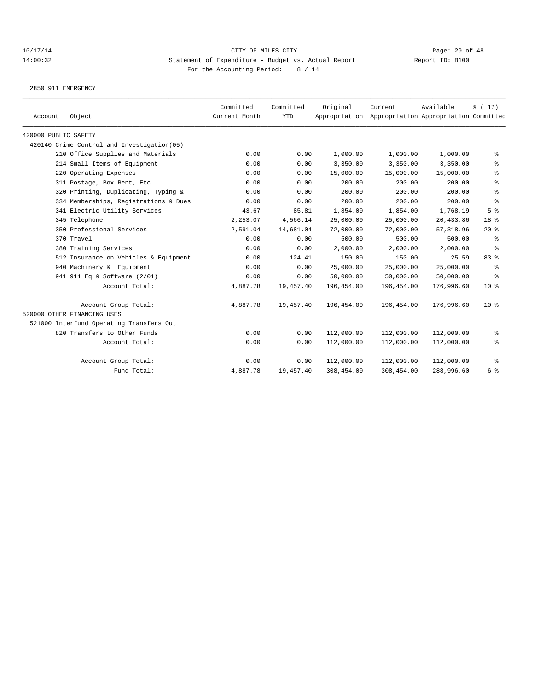## 10/17/14 Page: 29 of 48 14:00:32 Statement of Expenditure - Budget vs. Actual Report Changer Report ID: B100 For the Accounting Period: 8 / 14

2850 911 EMERGENCY

| Account              | Object                                     | Committed<br>Current Month | Committed<br><b>YTD</b> | Original   | Current<br>Appropriation Appropriation Appropriation Committed | Available  | % (17)                                   |
|----------------------|--------------------------------------------|----------------------------|-------------------------|------------|----------------------------------------------------------------|------------|------------------------------------------|
| 420000 PUBLIC SAFETY |                                            |                            |                         |            |                                                                |            |                                          |
|                      | 420140 Crime Control and Investigation(05) |                            |                         |            |                                                                |            |                                          |
|                      | 210 Office Supplies and Materials          | 0.00                       | 0.00                    | 1,000.00   | 1,000.00                                                       | 1,000.00   | နွ                                       |
|                      | 214 Small Items of Equipment               | 0.00                       | 0.00                    | 3,350.00   | 3,350.00                                                       | 3,350.00   | ွေ                                       |
|                      | 220 Operating Expenses                     | 0.00                       | 0.00                    | 15,000.00  | 15,000.00                                                      | 15,000.00  | နွ                                       |
|                      | 311 Postage, Box Rent, Etc.                | 0.00                       | 0.00                    | 200.00     | 200.00                                                         | 200.00     | ి                                        |
|                      | 320 Printing, Duplicating, Typing &        | 0.00                       | 0.00                    | 200.00     | 200.00                                                         | 200.00     | $\, \raisebox{0.6ex}{\scriptsize{*}} \,$ |
|                      | 334 Memberships, Registrations & Dues      | 0.00                       | 0.00                    | 200.00     | 200.00                                                         | 200.00     | $\,{}^{\circ}\!$                         |
|                      | 341 Electric Utility Services              | 43.67                      | 85.81                   | 1,854.00   | 1,854.00                                                       | 1,768.19   | 5 <sup>°</sup>                           |
|                      | 345 Telephone                              | 2,253.07                   | 4,566.14                | 25,000.00  | 25,000.00                                                      | 20,433.86  | 18 %                                     |
|                      | 350 Professional Services                  | 2,591.04                   | 14,681.04               | 72,000.00  | 72,000.00                                                      | 57, 318.96 | 20%                                      |
|                      | 370 Travel                                 | 0.00                       | 0.00                    | 500.00     | 500.00                                                         | 500.00     | ႜ                                        |
|                      | 380 Training Services                      | 0.00                       | 0.00                    | 2,000.00   | 2,000.00                                                       | 2,000.00   | ႜ                                        |
|                      | 512 Insurance on Vehicles & Equipment      | 0.00                       | 124.41                  | 150.00     | 150.00                                                         | 25.59      | 83%                                      |
|                      | 940 Machinery & Equipment                  | 0.00                       | 0.00                    | 25,000.00  | 25,000.00                                                      | 25,000.00  | $\epsilon$                               |
|                      | 941 911 Eq & Software (2/01)               | 0.00                       | 0.00                    | 50,000.00  | 50,000.00                                                      | 50,000.00  | နွ                                       |
|                      | Account Total:                             | 4,887.78                   | 19,457.40               | 196,454.00 | 196,454.00                                                     | 176,996.60 | 10 <sup>8</sup>                          |
|                      | Account Group Total:                       | 4,887.78                   | 19,457.40               | 196,454.00 | 196,454.00                                                     | 176,996.60 | 10 <sup>8</sup>                          |
|                      | 520000 OTHER FINANCING USES                |                            |                         |            |                                                                |            |                                          |
|                      | 521000 Interfund Operating Transfers Out   |                            |                         |            |                                                                |            |                                          |
|                      | 820 Transfers to Other Funds               | 0.00                       | 0.00                    | 112,000.00 | 112,000.00                                                     | 112,000.00 | နွ                                       |
|                      | Account Total:                             | 0.00                       | 0.00                    | 112,000.00 | 112,000.00                                                     | 112,000.00 | နွ                                       |
|                      | Account Group Total:                       | 0.00                       | 0.00                    | 112,000.00 | 112,000.00                                                     | 112,000.00 | ႜ                                        |
|                      | Fund Total:                                | 4,887.78                   | 19,457.40               | 308,454.00 | 308,454.00                                                     | 288,996.60 | 6 %                                      |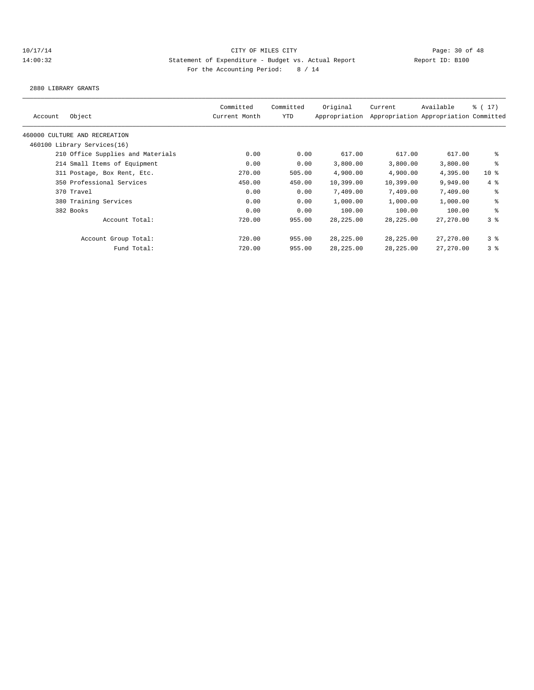## 10/17/14 Page: 30 of 48 14:00:32 Statement of Expenditure - Budget vs. Actual Report Changer Report ID: B100 For the Accounting Period: 8 / 14

2880 LIBRARY GRANTS

| Account | Object                            | Committed<br>Current Month | Committed<br>YTD | Original<br>Appropriation | Current    | Available<br>Appropriation Appropriation Committed | $\frac{1}{2}$ ( 17 ) |
|---------|-----------------------------------|----------------------------|------------------|---------------------------|------------|----------------------------------------------------|----------------------|
|         | 460000 CULTURE AND RECREATION     |                            |                  |                           |            |                                                    |                      |
|         | 460100 Library Services(16)       |                            |                  |                           |            |                                                    |                      |
|         | 210 Office Supplies and Materials | 0.00                       | 0.00             | 617.00                    | 617.00     | 617.00                                             | နွ                   |
|         | 214 Small Items of Equipment      | 0.00                       | 0.00             | 3,800.00                  | 3,800.00   | 3,800.00                                           | ి                    |
|         | 311 Postage, Box Rent, Etc.       | 270.00                     | 505.00           | 4,900.00                  | 4,900.00   | 4,395.00                                           | 10 <sub>8</sub>      |
|         | 350 Professional Services         | 450.00                     | 450.00           | 10,399.00                 | 10,399.00  | 9,949.00                                           | $4 \text{ }$         |
|         | 370 Travel                        | 0.00                       | 0.00             | 7,409.00                  | 7,409.00   | 7,409.00                                           | နွ                   |
|         | 380 Training Services             | 0.00                       | 0.00             | 1,000.00                  | 1,000.00   | 1,000.00                                           | နွ                   |
|         | 382 Books                         | 0.00                       | 0.00             | 100.00                    | 100.00     | 100.00                                             | နွ                   |
|         | Account Total:                    | 720.00                     | 955.00           | 28, 225.00                | 28, 225.00 | 27,270.00                                          | 3 <sup>8</sup>       |
|         | Account Group Total:              | 720.00                     | 955.00           | 28, 225.00                | 28,225.00  | 27,270.00                                          | 38                   |
|         | Fund Total:                       | 720.00                     | 955.00           | 28, 225.00                | 28,225.00  | 27,270.00                                          | 3 <sup>8</sup>       |
|         |                                   |                            |                  |                           |            |                                                    |                      |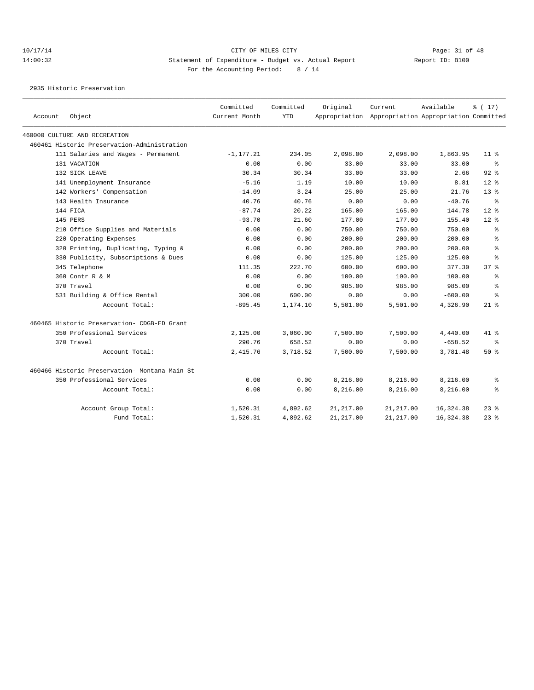2935 Historic Preservation

| Account | Object                                         | Committed<br>Current Month | Committed<br><b>YTD</b> | Original   | Current<br>Appropriation Appropriation Appropriation Committed | Available | $\frac{1}{6}$ ( 17 ) |
|---------|------------------------------------------------|----------------------------|-------------------------|------------|----------------------------------------------------------------|-----------|----------------------|
|         | 460000 CULTURE AND RECREATION                  |                            |                         |            |                                                                |           |                      |
|         | 460461 Historic Preservation-Administration    |                            |                         |            |                                                                |           |                      |
|         | 111 Salaries and Wages - Permanent             | $-1, 177.21$               | 234.05                  | 2,098.00   | 2,098.00                                                       | 1,863.95  | 11 <sup>8</sup>      |
|         | 131 VACATION                                   | 0.00                       | 0.00                    | 33.00      | 33.00                                                          | 33.00     | ွေ                   |
|         | 132 SICK LEAVE                                 | 30.34                      | 30.34                   | 33.00      | 33.00                                                          | 2.66      | $92$ $%$             |
|         | 141 Unemployment Insurance                     | $-5.16$                    | 1.19                    | 10.00      | 10.00                                                          | 8.81      | $12*$                |
|         | 142 Workers' Compensation                      | $-14.09$                   | 3.24                    | 25.00      | 25.00                                                          | 21.76     | $13*$                |
|         | 143 Health Insurance                           | 40.76                      | 40.76                   | 0.00       | 0.00                                                           | $-40.76$  | ႜ                    |
|         | 144 FICA                                       | $-87.74$                   | 20.22                   | 165.00     | 165.00                                                         | 144.78    | $12*$                |
|         | 145 PERS                                       | $-93.70$                   | 21.60                   | 177.00     | 177.00                                                         | 155.40    | $12*$                |
|         | 210 Office Supplies and Materials              | 0.00                       | 0.00                    | 750.00     | 750.00                                                         | 750.00    | ి                    |
|         | 220 Operating Expenses                         | 0.00                       | 0.00                    | 200.00     | 200.00                                                         | 200.00    | ి                    |
|         | 320 Printing, Duplicating, Typing &            | 0.00                       | 0.00                    | 200.00     | 200.00                                                         | 200.00    | ి                    |
|         | 330 Publicity, Subscriptions & Dues            | 0.00                       | 0.00                    | 125.00     | 125.00                                                         | 125.00    | $\approx$            |
|         | 345 Telephone                                  | 111.35                     | 222.70                  | 600.00     | 600.00                                                         | 377.30    | 37 <sup>8</sup>      |
|         | 360 Contr R & M                                | 0.00                       | 0.00                    | 100.00     | 100.00                                                         | 100.00    | ి                    |
|         | 370 Travel                                     | 0.00                       | 0.00                    | 985.00     | 985.00                                                         | 985.00    | ి                    |
|         | 531 Building & Office Rental                   | 300.00                     | 600.00                  | 0.00       | 0.00                                                           | $-600.00$ | ÷                    |
|         | Account Total:                                 | $-895.45$                  | 1,174.10                | 5,501.00   | 5,501.00                                                       | 4,326.90  | $21$ %               |
|         | 460465 Historic Preservation- CDGB-ED Grant    |                            |                         |            |                                                                |           |                      |
|         | 350 Professional Services                      | 2,125.00                   | 3,060.00                | 7,500.00   | 7,500.00                                                       | 4,440.00  | 41 %                 |
|         | 370 Travel                                     | 290.76                     | 658.52                  | 0.00       | 0.00                                                           | $-658.52$ | နွ                   |
|         | Account Total:                                 | 2,415.76                   | 3,718.52                | 7,500.00   | 7,500.00                                                       | 3,781.48  | 50 %                 |
|         | 460466 Historic Preservation- Montana Main St. |                            |                         |            |                                                                |           |                      |
|         | 350 Professional Services                      | 0.00                       | 0.00                    | 8,216.00   | 8,216.00                                                       | 8,216.00  | ႜ                    |
|         | Account Total:                                 | 0.00                       | 0.00                    | 8,216.00   | 8,216.00                                                       | 8,216.00  | နွ                   |
|         | Account Group Total:                           | 1,520.31                   | 4,892.62                | 21,217.00  | 21,217.00                                                      | 16,324.38 | $23$ %               |
|         | Fund Total:                                    | 1,520.31                   | 4.892.62                | 21, 217.00 | 21, 217.00                                                     | 16,324.38 | $23$ %               |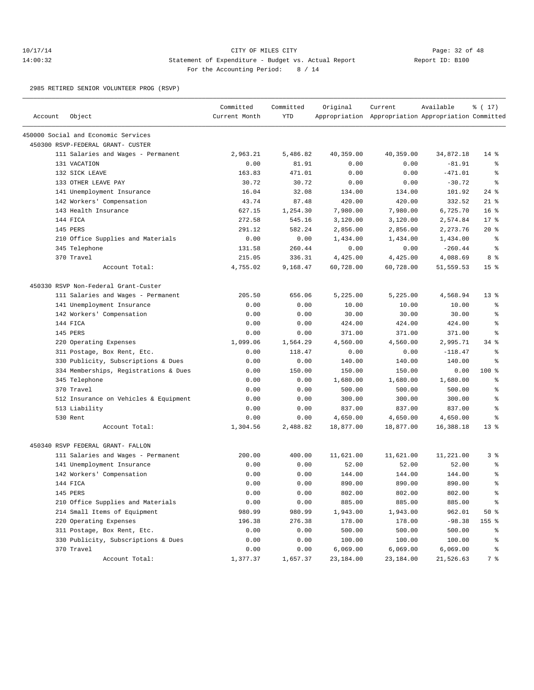## 10/17/14 Page: 32 of 48 14:00:32 Statement of Expenditure - Budget vs. Actual Report Changer Report ID: B100 For the Accounting Period: 8 / 14

2985 RETIRED SENIOR VOLUNTEER PROG (RSVP)

| Account | Object                                | Committed<br>Current Month | Committed<br><b>YTD</b> | Original  | Current<br>Appropriation Appropriation Appropriation Committed | Available | % (17)          |
|---------|---------------------------------------|----------------------------|-------------------------|-----------|----------------------------------------------------------------|-----------|-----------------|
|         | 450000 Social and Economic Services   |                            |                         |           |                                                                |           |                 |
|         | 450300 RSVP-FEDERAL GRANT- CUSTER     |                            |                         |           |                                                                |           |                 |
|         | 111 Salaries and Wages - Permanent    | 2,963.21                   | 5,486.82                | 40,359.00 | 40,359.00                                                      | 34,872.18 | $14*$           |
|         | 131 VACATION                          | 0.00                       | 81.91                   | 0.00      | 0.00                                                           | $-81.91$  | ႜ               |
|         | 132 SICK LEAVE                        | 163.83                     | 471.01                  | 0.00      | 0.00                                                           | $-471.01$ | ి               |
|         | 133 OTHER LEAVE PAY                   | 30.72                      | 30.72                   | 0.00      | 0.00                                                           | $-30.72$  | ి               |
|         | 141 Unemployment Insurance            | 16.04                      | 32.08                   | 134.00    | 134.00                                                         | 101.92    | $24$ %          |
|         | 142 Workers' Compensation             | 43.74                      | 87.48                   | 420.00    | 420.00                                                         | 332.52    | $21*$           |
|         | 143 Health Insurance                  | 627.15                     | 1,254.30                | 7,980.00  | 7,980.00                                                       | 6,725.70  | 16 <sup>8</sup> |
|         | 144 FICA                              | 272.58                     | 545.16                  | 3,120.00  | 3,120.00                                                       | 2,574.84  | $17*$           |
|         | 145 PERS                              | 291.12                     | 582.24                  | 2,856.00  | 2,856.00                                                       | 2,273.76  | $20*$           |
|         | 210 Office Supplies and Materials     | 0.00                       | 0.00                    | 1,434.00  | 1,434.00                                                       | 1,434.00  | နွ              |
|         | 345 Telephone                         | 131.58                     | 260.44                  | 0.00      | 0.00                                                           | $-260.44$ | နွ              |
|         | 370 Travel                            | 215.05                     | 336.31                  | 4,425.00  | 4,425.00                                                       | 4,088.69  | 8%              |
|         | Account Total:                        | 4,755.02                   | 9,168.47                | 60,728.00 | 60,728.00                                                      | 51,559.53 | 15 <sup>8</sup> |
|         | 450330 RSVP Non-Federal Grant-Custer  |                            |                         |           |                                                                |           |                 |
|         | 111 Salaries and Wages - Permanent    | 205.50                     | 656.06                  | 5,225.00  | 5,225.00                                                       | 4,568.94  | $13*$           |
|         | 141 Unemployment Insurance            | 0.00                       | 0.00                    | 10.00     | 10.00                                                          | 10.00     | နွ              |
|         | 142 Workers' Compensation             | 0.00                       | 0.00                    | 30.00     | 30.00                                                          | 30.00     | š               |
|         | 144 FICA                              | 0.00                       | 0.00                    | 424.00    | 424.00                                                         | 424.00    | နွ              |
|         | 145 PERS                              | 0.00                       | 0.00                    | 371.00    | 371.00                                                         | 371.00    | နွ              |
|         | 220 Operating Expenses                | 1,099.06                   | 1,564.29                | 4,560.00  | 4,560.00                                                       | 2,995.71  | $34$ $%$        |
|         | 311 Postage, Box Rent, Etc.           | 0.00                       | 118.47                  | 0.00      | 0.00                                                           | $-118.47$ | န္              |
|         | 330 Publicity, Subscriptions & Dues   | 0.00                       | 0.00                    | 140.00    | 140.00                                                         | 140.00    | နွ              |
|         | 334 Memberships, Registrations & Dues | 0.00                       | 150.00                  | 150.00    | 150.00                                                         | 0.00      | $100$ %         |
|         | 345 Telephone                         | 0.00                       | 0.00                    | 1,680.00  | 1,680.00                                                       | 1,680.00  | နွ              |
|         | 370 Travel                            | 0.00                       | 0.00                    | 500.00    | 500.00                                                         | 500.00    | ి               |
|         | 512 Insurance on Vehicles & Equipment | 0.00                       | 0.00                    | 300.00    | 300.00                                                         | 300.00    | န့              |
|         | 513 Liability                         | 0.00                       | 0.00                    | 837.00    | 837.00                                                         | 837.00    | န့              |
|         | 530 Rent                              | 0.00                       | 0.00                    | 4,650.00  | 4,650.00                                                       | 4,650.00  | နွ              |
|         | Account Total:                        | 1,304.56                   | 2,488.82                | 18,877.00 | 18,877.00                                                      | 16,388.18 | $13*$           |
|         | 450340 RSVP FEDERAL GRANT- FALLON     |                            |                         |           |                                                                |           |                 |
|         | 111 Salaries and Wages - Permanent    | 200.00                     | 400.00                  | 11,621.00 | 11,621.00                                                      | 11,221.00 | 3 <sup>8</sup>  |
|         | 141 Unemployment Insurance            | 0.00                       | 0.00                    | 52.00     | 52.00                                                          | 52.00     | နွ              |
|         | 142 Workers' Compensation             | 0.00                       | 0.00                    | 144.00    | 144.00                                                         | 144.00    | š               |
|         | 144 FICA                              | 0.00                       | 0.00                    | 890.00    | 890.00                                                         | 890.00    | ి               |
|         | 145 PERS                              | 0.00                       | 0.00                    | 802.00    | 802.00                                                         | 802.00    | ి               |
|         | 210 Office Supplies and Materials     | 0.00                       | 0.00                    | 885.00    | 885.00                                                         | 885.00    | န့              |
|         | 214 Small Items of Equipment          | 980.99                     | 980.99                  | 1,943.00  | 1,943.00                                                       | 962.01    | 50%             |
|         | 220 Operating Expenses                | 196.38                     | 276.38                  | 178.00    | 178.00                                                         | $-98.38$  | 155 %           |
|         | 311 Postage, Box Rent, Etc.           | 0.00                       | 0.00                    | 500.00    | 500.00                                                         | 500.00    | န္              |
|         | 330 Publicity, Subscriptions & Dues   | 0.00                       | 0.00                    | 100.00    | 100.00                                                         | 100.00    | ွ               |
|         | 370 Travel                            | 0.00                       | 0.00                    | 6,069.00  | 6,069.00                                                       | 6,069.00  | နွ              |
|         | Account Total:                        | 1,377.37                   | 1,657.37                | 23,184.00 | 23,184.00                                                      | 21,526.63 | 7 %             |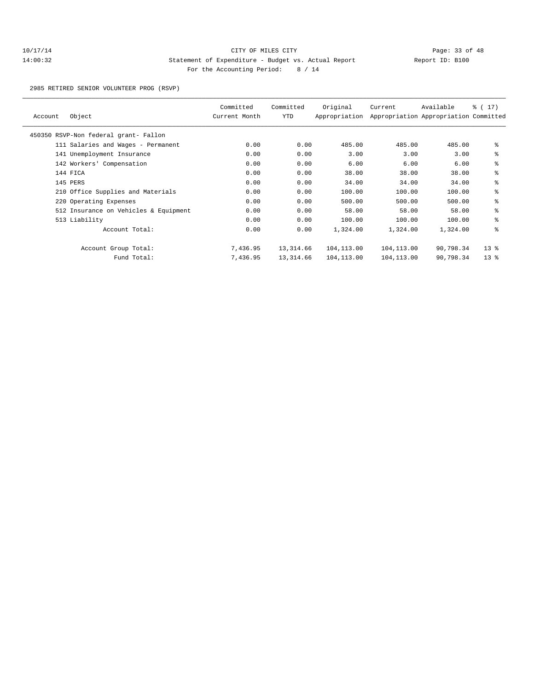2985 RETIRED SENIOR VOLUNTEER PROG (RSVP)

| Account | Object                                | Committed<br>Current Month | Committed<br>YTD | Original<br>Appropriation | Current    | Available<br>Appropriation Appropriation Committed | ៖ ( 17)         |
|---------|---------------------------------------|----------------------------|------------------|---------------------------|------------|----------------------------------------------------|-----------------|
|         | 450350 RSVP-Non federal grant- Fallon |                            |                  |                           |            |                                                    |                 |
|         | 111 Salaries and Wages - Permanent    | 0.00                       | 0.00             | 485.00                    | 485.00     | 485.00                                             | နွ              |
|         | 141 Unemployment Insurance            | 0.00                       | 0.00             | 3.00                      | 3.00       | 3.00                                               | နွ              |
|         | 142 Workers' Compensation             | 0.00                       | 0.00             | 6.00                      | 6.00       | 6.00                                               | နွ              |
|         | 144 FICA                              | 0.00                       | 0.00             | 38.00                     | 38.00      | 38.00                                              | နွ              |
|         | 145 PERS                              | 0.00                       | 0.00             | 34.00                     | 34.00      | 34.00                                              | နွ              |
|         | 210 Office Supplies and Materials     | 0.00                       | 0.00             | 100.00                    | 100.00     | 100.00                                             | နွ              |
|         | 220 Operating Expenses                | 0.00                       | 0.00             | 500.00                    | 500.00     | 500.00                                             | နွ              |
|         | 512 Insurance on Vehicles & Equipment | 0.00                       | 0.00             | 58.00                     | 58.00      | 58.00                                              | နွ              |
|         | 513 Liability                         | 0.00                       | 0.00             | 100.00                    | 100.00     | 100.00                                             | နွ              |
|         | Account Total:                        | 0.00                       | 0.00             | 1,324.00                  | 1,324.00   | 1,324.00                                           | နွ              |
|         | Account Group Total:                  | 7,436.95                   | 13,314.66        | 104,113.00                | 104,113.00 | 90,798.34                                          | 13 <sup>8</sup> |
|         | Fund Total:                           | 7,436.95                   | 13,314.66        | 104,113.00                | 104,113.00 | 90,798.34                                          | $13*$           |
|         |                                       |                            |                  |                           |            |                                                    |                 |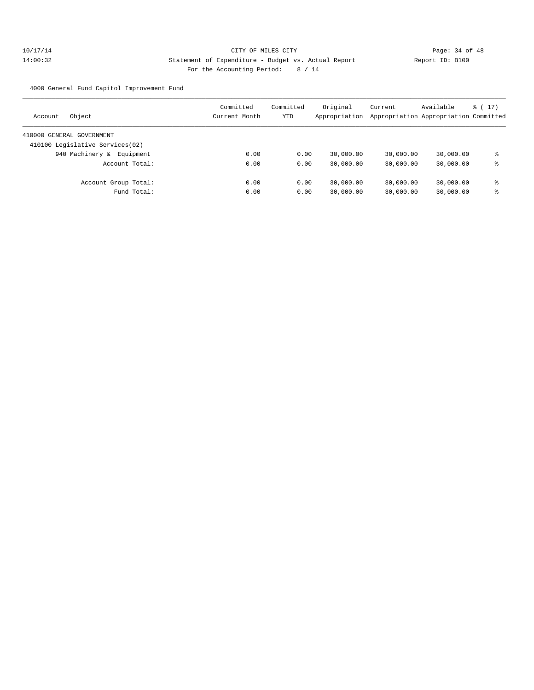4000 General Fund Capitol Improvement Fund

| Object<br>Account               | Committed<br>Current Month | Committed<br>YTD | Original<br>Appropriation | Current   | Available<br>Appropriation Appropriation Committed | $\frac{1}{2}$ (17) |
|---------------------------------|----------------------------|------------------|---------------------------|-----------|----------------------------------------------------|--------------------|
| 410000 GENERAL GOVERNMENT       |                            |                  |                           |           |                                                    |                    |
| 410100 Legislative Services(02) |                            |                  |                           |           |                                                    |                    |
| 940 Machinery &<br>Equipment    | 0.00                       | 0.00             | 30,000.00                 | 30,000.00 | 30,000.00                                          | ႜ                  |
| Account Total:                  | 0.00                       | 0.00             | 30,000.00                 | 30,000.00 | 30,000.00                                          | ႜ                  |
| Account Group Total:            | 0.00                       | 0.00             | 30,000.00                 | 30,000.00 | 30,000.00                                          | ⊱                  |
| Fund Total:                     | 0.00                       | 0.00             | 30,000.00                 | 30,000.00 | 30,000.00                                          | ႜ                  |
|                                 |                            |                  |                           |           |                                                    |                    |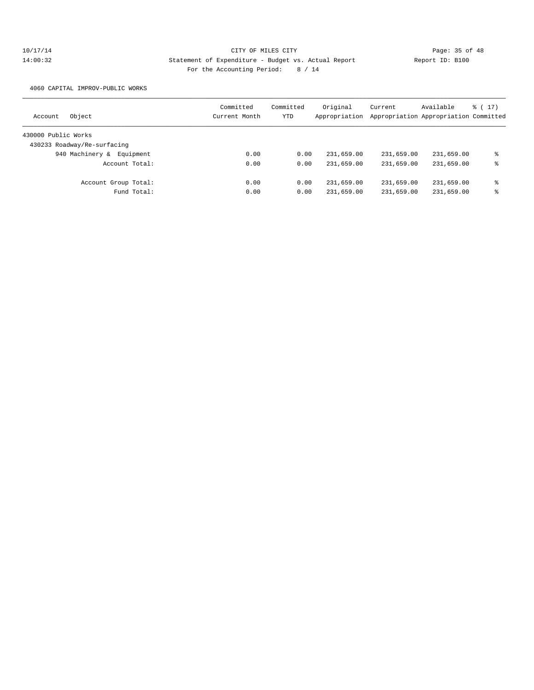4060 CAPITAL IMPROV-PUBLIC WORKS

| Object<br>Account            | Committed<br>Current Month | Committed<br>YTD | Original<br>Appropriation | Current    | Available<br>Appropriation Appropriation Committed | % (17) |
|------------------------------|----------------------------|------------------|---------------------------|------------|----------------------------------------------------|--------|
| 430000 Public Works          |                            |                  |                           |            |                                                    |        |
| 430233 Roadway/Re-surfacing  |                            |                  |                           |            |                                                    |        |
| 940 Machinery &<br>Equipment | 0.00                       | 0.00             | 231,659.00                | 231,659.00 | 231,659.00                                         | ႜ      |
| Account Total:               | 0.00                       | 0.00             | 231,659.00                | 231,659.00 | 231,659.00                                         | ႜ      |
| Account Group Total:         | 0.00                       | 0.00             | 231,659.00                | 231,659.00 | 231,659.00                                         | ႜ      |
| Fund Total:                  | 0.00                       | 0.00             | 231,659.00                | 231,659.00 | 231,659.00                                         | ႜ      |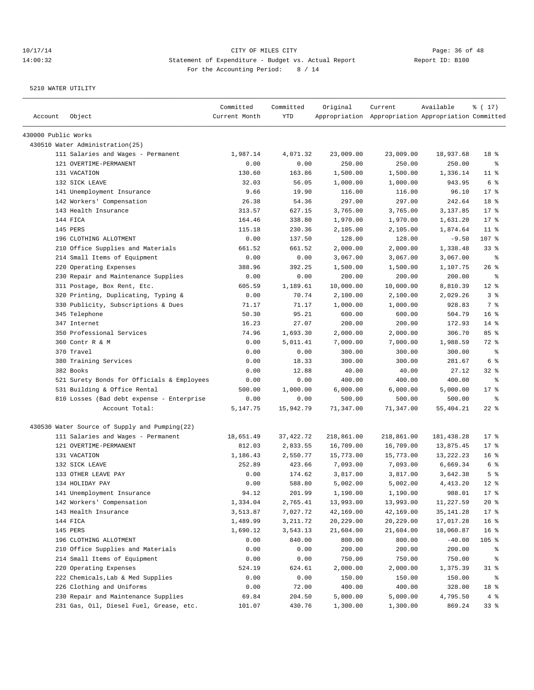| Account             | Object                                        | Committed<br>Current Month | Committed<br>YTD | Original   | Current<br>Appropriation Appropriation Appropriation Committed | Available  | % (17)          |
|---------------------|-----------------------------------------------|----------------------------|------------------|------------|----------------------------------------------------------------|------------|-----------------|
| 430000 Public Works |                                               |                            |                  |            |                                                                |            |                 |
|                     | 430510 Water Administration(25)               |                            |                  |            |                                                                |            |                 |
|                     | 111 Salaries and Wages - Permanent            | 1,987.14                   | 4,071.32         | 23,009.00  | 23,009.00                                                      | 18,937.68  | 18 %            |
|                     | 121 OVERTIME-PERMANENT                        | 0.00                       | 0.00             | 250.00     | 250.00                                                         | 250.00     | နွ              |
|                     | 131 VACATION                                  | 130.60                     | 163.86           | 1,500.00   | 1,500.00                                                       | 1,336.14   | $11$ %          |
|                     | 132 SICK LEAVE                                | 32.03                      | 56.05            | 1,000.00   | 1,000.00                                                       | 943.95     | 6 %             |
|                     | 141 Unemployment Insurance                    | 9.66                       | 19.90            | 116.00     | 116.00                                                         | 96.10      | $17$ %          |
|                     | 142 Workers' Compensation                     | 26.38                      | 54.36            | 297.00     | 297.00                                                         | 242.64     | 18 %            |
|                     | 143 Health Insurance                          | 313.57                     | 627.15           | 3,765.00   | 3,765.00                                                       | 3,137.85   | $17*$           |
|                     | 144 FICA                                      | 164.46                     | 338.80           | 1,970.00   | 1,970.00                                                       | 1,631.20   | $17*$           |
|                     | 145 PERS                                      | 115.18                     | 230.36           | 2,105.00   | 2,105.00                                                       | 1,874.64   | $11$ %          |
|                     | 196 CLOTHING ALLOTMENT                        | 0.00                       | 137.50           | 128.00     | 128.00                                                         | $-9.50$    | 107 %           |
|                     | 210 Office Supplies and Materials             | 661.52                     | 661.52           | 2,000.00   | 2,000.00                                                       | 1,338.48   | 33%             |
|                     | 214 Small Items of Equipment                  | 0.00                       | 0.00             | 3,067.00   | 3,067.00                                                       | 3,067.00   | ႜ               |
|                     | 220 Operating Expenses                        | 388.96                     | 392.25           | 1,500.00   | 1,500.00                                                       | 1,107.75   | $26$ %          |
|                     | 230 Repair and Maintenance Supplies           | 0.00                       | 0.00             | 200.00     | 200.00                                                         | 200.00     | ႜ               |
|                     | 311 Postage, Box Rent, Etc.                   | 605.59                     | 1,189.61         | 10,000.00  | 10,000.00                                                      | 8,810.39   | $12$ %          |
|                     | 320 Printing, Duplicating, Typing &           | 0.00                       | 70.74            | 2,100.00   | 2,100.00                                                       | 2,029.26   | 3%              |
|                     | 330 Publicity, Subscriptions & Dues           | 71.17                      | 71.17            | 1,000.00   | 1,000.00                                                       | 928.83     | 7%              |
|                     | 345 Telephone                                 | 50.30                      | 95.21            | 600.00     | 600.00                                                         | 504.79     | 16 <sup>8</sup> |
|                     | 347 Internet                                  | 16.23                      | 27.07            | 200.00     | 200.00                                                         | 172.93     | $14$ %          |
|                     | 350 Professional Services                     | 74.96                      | 1,693.30         | 2,000.00   | 2,000.00                                                       | 306.70     | 85%             |
|                     | 360 Contr R & M                               | 0.00                       | 5,011.41         | 7,000.00   | 7,000.00                                                       | 1,988.59   | 72 %            |
|                     | 370 Travel                                    | 0.00                       | 0.00             | 300.00     | 300.00                                                         | 300.00     | နွ              |
|                     | 380 Training Services                         | 0.00                       | 18.33            | 300.00     | 300.00                                                         | 281.67     | 6 <sup>°</sup>  |
|                     | 382 Books                                     | 0.00                       | 12.88            | 40.00      | 40.00                                                          | 27.12      | $32$ $%$        |
|                     | 521 Surety Bonds for Officials & Employees    | 0.00                       | 0.00             | 400.00     | 400.00                                                         | 400.00     | ႜ               |
|                     | 531 Building & Office Rental                  | 500.00                     | 1,000.00         | 6,000.00   | 6,000.00                                                       | 5,000.00   | $17*$           |
|                     | 810 Losses (Bad debt expense - Enterprise     | 0.00                       | 0.00             | 500.00     | 500.00                                                         | 500.00     | ႜ               |
|                     | Account Total:                                | 5,147.75                   | 15,942.79        | 71,347.00  | 71,347.00                                                      | 55,404.21  | $22$ %          |
|                     | 430530 Water Source of Supply and Pumping(22) |                            |                  |            |                                                                |            |                 |
|                     | 111 Salaries and Wages - Permanent            | 18,651.49                  | 37, 422. 72      | 218,861.00 | 218,861.00                                                     | 181,438.28 | $17*$           |
|                     | 121 OVERTIME-PERMANENT                        | 812.03                     | 2,833.55         | 16,709.00  | 16,709.00                                                      | 13,875.45  | 17.8            |
|                     | 131 VACATION                                  | 1,186.43                   | 2,550.77         | 15,773.00  | 15,773.00                                                      | 13,222.23  | 16 <sup>8</sup> |
|                     | 132 SICK LEAVE                                | 252.89                     | 423.66           | 7,093.00   | 7,093.00                                                       | 6,669.34   | 6 %             |
|                     | 133 OTHER LEAVE PAY                           | 0.00                       | 174.62           | 3,817.00   | 3,817.00                                                       | 3,642.38   | 5 <sup>°</sup>  |
|                     | 134 HOLIDAY PAY                               | 0.00                       | 588.80           | 5,002.00   | 5,002.00                                                       | 4, 413.20  | $12*$           |
|                     | 141 Unemployment Insurance                    | 94.12                      | 201.99           | 1,190.00   | 1,190.00                                                       | 988.01     | 17 <sup>°</sup> |
|                     | 142 Workers' Compensation                     | 1,334.04                   | 2,765.41         | 13,993.00  | 13,993.00                                                      | 11,227.59  | $20*$           |
|                     | 143 Health Insurance                          | 3,513.87                   | 7,027.72         | 42,169.00  | 42,169.00                                                      | 35, 141.28 | 17 <sub>8</sub> |
|                     | 144 FICA                                      | 1,489.99                   | 3, 211.72        | 20,229.00  | 20,229.00                                                      | 17,017.28  | 16 <sup>°</sup> |
|                     | 145 PERS                                      | 1,690.12                   | 3,543.13         | 21,604.00  | 21,604.00                                                      | 18,060.87  | 16 %            |
|                     | 196 CLOTHING ALLOTMENT                        | 0.00                       | 840.00           | 800.00     | 800.00                                                         | $-40.00$   | 105 %           |
|                     | 210 Office Supplies and Materials             | 0.00                       | 0.00             | 200.00     | 200.00                                                         | 200.00     | ိင              |
|                     | 214 Small Items of Equipment                  | 0.00                       | 0.00             | 750.00     | 750.00                                                         | 750.00     | ៖               |
|                     | 220 Operating Expenses                        | 524.19                     | 624.61           | 2,000.00   | 2,000.00                                                       | 1,375.39   | $31$ %          |
|                     | 222 Chemicals, Lab & Med Supplies             | 0.00                       | 0.00             | 150.00     | 150.00                                                         | 150.00     | ႜွ              |
|                     | 226 Clothing and Uniforms                     | 0.00                       | 72.00            | 400.00     | 400.00                                                         | 328.00     | 18 %            |
|                     | 230 Repair and Maintenance Supplies           | 69.84                      | 204.50           | 5,000.00   | 5,000.00                                                       | 4,795.50   | $4\degree$      |
|                     | 231 Gas, Oil, Diesel Fuel, Grease, etc.       | 101.07                     | 430.76           | 1,300.00   | 1,300.00                                                       | 869.24     | 33 <sup>8</sup> |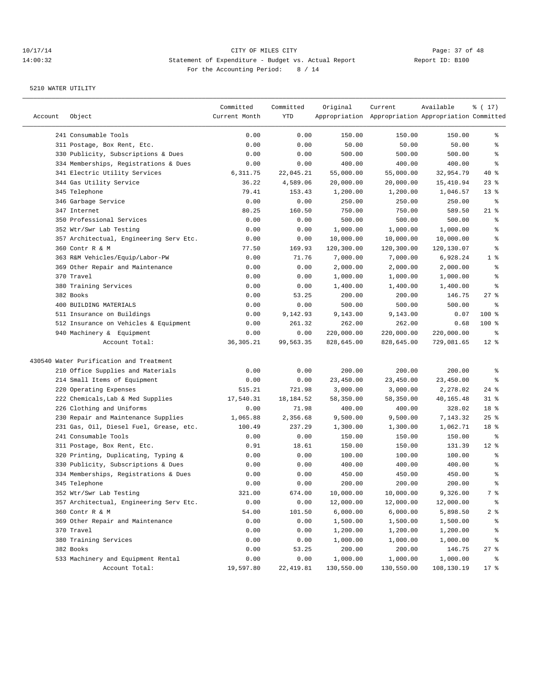| Account | Object                                  | Committed<br>Current Month | Committed<br>YTD | Original   | Current<br>Appropriation Appropriation Appropriation Committed | Available  | ៖ ( 17)          |
|---------|-----------------------------------------|----------------------------|------------------|------------|----------------------------------------------------------------|------------|------------------|
|         | 241 Consumable Tools                    | 0.00                       | 0.00             | 150.00     | 150.00                                                         | 150.00     | ွေ               |
|         | 311 Postage, Box Rent, Etc.             | 0.00                       | 0.00             | 50.00      | 50.00                                                          | 50.00      | ి                |
|         | 330 Publicity, Subscriptions & Dues     | 0.00                       | 0.00             | 500.00     | 500.00                                                         | 500.00     | န္               |
|         | 334 Memberships, Registrations & Dues   | 0.00                       | 0.00             | 400.00     | 400.00                                                         | 400.00     | န္               |
|         | 341 Electric Utility Services           | 6,311.75                   | 22,045.21        | 55,000.00  | 55,000.00                                                      | 32,954.79  | $40*$            |
|         | 344 Gas Utility Service                 | 36.22                      | 4,589.06         | 20,000.00  | 20,000.00                                                      | 15,410.94  | $23$ $%$         |
|         | 345 Telephone                           | 79.41                      | 153.43           | 1,200.00   | 1,200.00                                                       | 1,046.57   | $13*$            |
|         | 346 Garbage Service                     | 0.00                       | 0.00             | 250.00     | 250.00                                                         | 250.00     | ႜ                |
|         | 347 Internet                            | 80.25                      | 160.50           | 750.00     | 750.00                                                         | 589.50     | $21$ %           |
|         | 350 Professional Services               | 0.00                       | 0.00             | 500.00     | 500.00                                                         | 500.00     | န္               |
|         | 352 Wtr/Swr Lab Testing                 | 0.00                       | 0.00             | 1,000.00   | 1,000.00                                                       | 1,000.00   | န္               |
|         | 357 Architectual, Engineering Serv Etc. | 0.00                       | 0.00             | 10,000.00  | 10,000.00                                                      | 10,000.00  | ి                |
|         | 360 Contr R & M                         | 77.50                      | 169.93           | 120,300.00 | 120,300.00                                                     | 120,130.07 | န္               |
|         | 363 R&M Vehicles/Equip/Labor-PW         | 0.00                       | 71.76            | 7,000.00   | 7,000.00                                                       | 6,928.24   | 1 <sup>8</sup>   |
|         | 369 Other Repair and Maintenance        | 0.00                       | 0.00             | 2,000.00   | 2,000.00                                                       | 2,000.00   | $\,$ %           |
|         | 370 Travel                              | 0.00                       | 0.00             | 1,000.00   | 1,000.00                                                       | 1,000.00   | န္               |
|         | 380 Training Services                   | 0.00                       | 0.00             | 1,400.00   | 1,400.00                                                       | 1,400.00   | $\,{}^{\circ}\!$ |
|         | 382 Books                               | 0.00                       | 53.25            | 200.00     | 200.00                                                         | 146.75     | $27$ %           |
|         | 400 BUILDING MATERIALS                  | 0.00                       | 0.00             | 500.00     | 500.00                                                         | 500.00     | နွ               |
|         | 511 Insurance on Buildings              | 0.00                       | 9,142.93         | 9,143.00   | 9,143.00                                                       | 0.07       | 100 %            |
|         | 512 Insurance on Vehicles & Equipment   | 0.00                       | 261.32           | 262.00     | 262.00                                                         | 0.68       | 100 %            |
|         | 940 Machinery & Equipment               | 0.00                       | 0.00             | 220,000.00 | 220,000.00                                                     | 220,000.00 | ႜ                |
|         | Account Total:                          | 36, 305. 21                | 99,563.35        | 828,645.00 | 828,645.00                                                     | 729,081.65 | $12*$            |
|         |                                         |                            |                  |            |                                                                |            |                  |
|         | 430540 Water Purification and Treatment |                            |                  |            |                                                                |            |                  |
|         | 210 Office Supplies and Materials       | 0.00                       | 0.00             | 200.00     | 200.00                                                         | 200.00     | ႜွ               |
|         | 214 Small Items of Equipment            | 0.00                       | 0.00             | 23,450.00  | 23,450.00                                                      | 23,450.00  | ి                |
|         | 220 Operating Expenses                  | 515.21                     | 721.98           | 3,000.00   | 3,000.00                                                       | 2,278.02   | $24$ %           |
|         | 222 Chemicals, Lab & Med Supplies       | 17,540.31                  | 18, 184.52       | 58,350.00  | 58,350.00                                                      | 40,165.48  | $31$ %           |
|         | 226 Clothing and Uniforms               | 0.00                       | 71.98            | 400.00     | 400.00                                                         | 328.02     | 18 %             |
|         | 230 Repair and Maintenance Supplies     | 1,065.88                   | 2,356.68         | 9,500.00   | 9,500.00                                                       | 7,143.32   | $25$ %           |
|         | 231 Gas, Oil, Diesel Fuel, Grease, etc. | 100.49                     | 237.29           | 1,300.00   | 1,300.00                                                       | 1,062.71   | 18 %             |
|         | 241 Consumable Tools                    | 0.00                       | 0.00             | 150.00     | 150.00                                                         | 150.00     | ႜ                |
|         | 311 Postage, Box Rent, Etc.             | 0.91                       | 18.61            | 150.00     | 150.00                                                         | 131.39     | $12$ %           |
|         | 320 Printing, Duplicating, Typing &     | 0.00                       | 0.00             | 100.00     | 100.00                                                         | 100.00     | နွ               |
|         | 330 Publicity, Subscriptions & Dues     | 0.00                       | 0.00             | 400.00     | 400.00                                                         | 400.00     | နွ               |
|         | 334 Memberships, Registrations & Dues   | 0.00                       | 0.00             | 450.00     | 450.00                                                         | 450.00     | $\,$ %           |
|         | 345 Telephone                           | 0.00                       | 0.00             | 200.00     | 200.00                                                         | 200.00     | ి                |
|         | 352 Wtr/Swr Lab Testing                 | 321.00                     | 674.00           | 10,000.00  | 10,000.00                                                      | 9,326.00   | 7 %              |
|         | 357 Architectual, Engineering Serv Etc. | 0.00                       | 0.00             | 12,000.00  | 12,000.00                                                      | 12,000.00  | ್ಠಿ              |
|         | 360 Contr R & M                         | 54.00                      | 101.50           | 6,000.00   | 6,000.00                                                       | 5,898.50   | 2 <sub>8</sub>   |
|         | 369 Other Repair and Maintenance        | 0.00                       | 0.00             | 1,500.00   | 1,500.00                                                       | 1,500.00   | ိင               |
|         | 370 Travel                              | 0.00                       | 0.00             | 1,200.00   | 1,200.00                                                       | 1,200.00   | ိင               |
|         | 380 Training Services                   | 0.00                       | 0.00             | 1,000.00   | 1,000.00                                                       | 1,000.00   | ိင               |
|         | 382 Books                               | 0.00                       | 53.25            | 200.00     | 200.00                                                         | 146.75     | $27$ %           |
|         | 533 Machinery and Equipment Rental      | 0.00                       | 0.00             | 1,000.00   | 1,000.00                                                       | 1,000.00   | ွေ               |
|         | Account Total:                          | 19,597.80                  | 22, 419.81       | 130,550.00 | 130,550.00                                                     | 108,130.19 | 17 <sub>8</sub>  |
|         |                                         |                            |                  |            |                                                                |            |                  |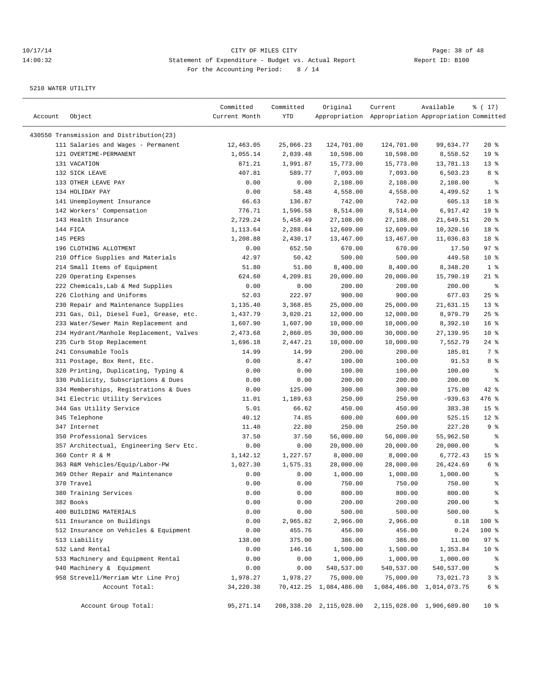| Account | Object                                   | Committed<br>Current Month | Committed<br>YTD | Original                     | Current<br>Appropriation Appropriation Appropriation Committed | Available                 | % (17)          |
|---------|------------------------------------------|----------------------------|------------------|------------------------------|----------------------------------------------------------------|---------------------------|-----------------|
|         | 430550 Transmission and Distribution(23) |                            |                  |                              |                                                                |                           |                 |
|         | 111 Salaries and Wages - Permanent       | 12,463.05                  | 25,066.23        | 124,701.00                   | 124,701.00                                                     | 99,634.77                 | $20*$           |
|         | 121 OVERTIME-PERMANENT                   | 1,055.14                   | 2,039.48         | 10,598.00                    | 10,598.00                                                      | 8,558.52                  | 19 <sup>°</sup> |
|         | 131 VACATION                             | 871.21                     | 1,991.87         | 15,773.00                    | 15,773.00                                                      | 13,781.13                 | 13 <sup>°</sup> |
|         | 132 SICK LEAVE                           | 407.81                     | 589.77           | 7,093.00                     | 7,093.00                                                       | 6,503.23                  | 8 %             |
|         | 133 OTHER LEAVE PAY                      | 0.00                       | 0.00             | 2,108.00                     | 2,108.00                                                       | 2,108.00                  | $\epsilon$      |
|         | 134 HOLIDAY PAY                          | 0.00                       | 58.48            | 4,558.00                     | 4,558.00                                                       | 4,499.52                  | 1 <sup>8</sup>  |
|         | 141 Unemployment Insurance               | 66.63                      | 136.87           | 742.00                       | 742.00                                                         | 605.13                    | 18 %            |
|         | 142 Workers' Compensation                | 776.71                     | 1,596.58         | 8,514.00                     | 8,514.00                                                       | 6,917.42                  | 19 <sup>°</sup> |
|         | 143 Health Insurance                     | 2,729.24                   | 5,458.49         | 27,108.00                    | 27,108.00                                                      | 21,649.51                 | $20*$           |
|         | 144 FICA                                 | 1,113.64                   | 2,288.84         | 12,609.00                    | 12,609.00                                                      | 10,320.16                 | 18 %            |
|         | 145 PERS                                 | 1,208.88                   | 2,430.17         | 13,467.00                    | 13,467.00                                                      | 11,036.83                 | 18 %            |
|         | 196 CLOTHING ALLOTMENT                   | 0.00                       | 652.50           | 670.00                       | 670.00                                                         | 17.50                     | 97%             |
|         | 210 Office Supplies and Materials        | 42.97                      | 50.42            | 500.00                       | 500.00                                                         | 449.58                    | $10*$           |
|         | 214 Small Items of Equipment             | 51.80                      | 51.80            | 8,400.00                     | 8,400.00                                                       | 8,348.20                  | 1 <sup>°</sup>  |
|         | 220 Operating Expenses                   | 624.60                     | 4,209.81         | 20,000.00                    | 20,000.00                                                      | 15,790.19                 | $21$ %          |
|         | 222 Chemicals, Lab & Med Supplies        | 0.00                       | 0.00             | 200.00                       | 200.00                                                         | 200.00                    | န့              |
|         | 226 Clothing and Uniforms                | 52.03                      | 222.97           | 900.00                       | 900.00                                                         | 677.03                    | 25%             |
|         | 230 Repair and Maintenance Supplies      | 1,135.40                   | 3,368.85         | 25,000.00                    | 25,000.00                                                      | 21,631.15                 | 13 <sup>°</sup> |
|         | 231 Gas, Oil, Diesel Fuel, Grease, etc.  | 1,437.79                   | 3,020.21         | 12,000.00                    | 12,000.00                                                      | 8,979.79                  | 25%             |
|         | 233 Water/Sewer Main Replacement and     | 1,607.90                   | 1,607.90         | 10,000.00                    | 10,000.00                                                      | 8,392.10                  | 16 <sup>8</sup> |
|         | 234 Hydrant/Manhole Replacement, Valves  | 2,473.68                   | 2,860.05         | 30,000.00                    | 30,000.00                                                      | 27, 139.95                | 10 <sup>8</sup> |
|         | 235 Curb Stop Replacement                | 1,696.18                   | 2,447.21         | 10,000.00                    | 10,000.00                                                      | 7,552.79                  | $24$ %          |
|         | 241 Consumable Tools                     | 14.99                      | 14.99            | 200.00                       | 200.00                                                         | 185.01                    | 7 %             |
|         | 311 Postage, Box Rent, Etc.              | 0.00                       | 8.47             | 100.00                       | 100.00                                                         | 91.53                     | 8 %             |
|         | 320 Printing, Duplicating, Typing &      | 0.00                       | 0.00             | 100.00                       | 100.00                                                         | 100.00                    | န္              |
|         | 330 Publicity, Subscriptions & Dues      | 0.00                       | 0.00             | 200.00                       | 200.00                                                         | 200.00                    | န့              |
|         | 334 Memberships, Registrations & Dues    | 0.00                       | 125.00           | 300.00                       | 300.00                                                         | 175.00                    | 42 %            |
|         | 341 Electric Utility Services            | 11.01                      | 1,189.63         | 250.00                       | 250.00                                                         | $-939.63$                 | 476 %           |
|         | 344 Gas Utility Service                  | 5.01                       | 66.62            | 450.00                       | 450.00                                                         | 383.38                    | 15 <sup>8</sup> |
|         | 345 Telephone                            | 40.12                      | 74.85            | 600.00                       | 600.00                                                         | 525.15                    | $12$ %          |
|         | 347 Internet                             | 11.40                      | 22.80            | 250.00                       | 250.00                                                         | 227.20                    | 9%              |
|         | 350 Professional Services                | 37.50                      | 37.50            | 56,000.00                    | 56,000.00                                                      | 55,962.50                 | ႜ               |
|         | 357 Architectual, Engineering Serv Etc.  | 0.00                       | 0.00             | 20,000.00                    | 20,000.00                                                      | 20,000.00                 | န့              |
|         | 360 Contr R & M                          | 1,142.12                   | 1,227.57         | 8,000.00                     | 8,000.00                                                       | 6,772.43                  | 15 <sup>8</sup> |
|         | 363 R&M Vehicles/Equip/Labor-PW          | 1,027.30                   | 1,575.31         | 28,000.00                    | 28,000.00                                                      | 26,424.69                 | 6 %             |
|         | 369 Other Repair and Maintenance         | 0.00                       | 0.00             | 1,000.00                     | 1,000.00                                                       | 1,000.00                  | န္              |
|         | 370 Travel                               | 0.00                       | 0.00             | 750.00                       | 750.00                                                         | 750.00                    | ి               |
|         | 380 Training Services                    | 0.00                       | 0.00             | 800.00                       | 800.00                                                         | 800.00                    | ್ಠಿ             |
|         | 382 Books                                | 0.00                       | 0.00             | 200.00                       | 200.00                                                         | 200.00                    | န့              |
|         | 400 BUILDING MATERIALS                   | 0.00                       | 0.00             | 500.00                       | 500.00                                                         | 500.00                    | ್ಠಿ             |
|         | 511 Insurance on Buildings               | 0.00                       | 2,965.82         | 2,966.00                     | 2,966.00                                                       | 0.18                      | 100 %           |
|         | 512 Insurance on Vehicles & Equipment    | 0.00                       | 455.76           | 456.00                       | 456.00                                                         | 0.24                      | 100 %           |
|         | 513 Liability                            | 138.00                     | 375.00           | 386.00                       | 386.00                                                         | 11.00                     | 97%             |
|         | 532 Land Rental                          | 0.00                       | 146.16           | 1,500.00                     | 1,500.00                                                       | 1,353.84                  | $10*$           |
|         | 533 Machinery and Equipment Rental       | 0.00                       | 0.00             | 1,000.00                     | 1,000.00                                                       | 1,000.00                  | ಿ               |
|         | 940 Machinery & Equipment                | 0.00                       | 0.00             | 540,537.00                   | 540,537.00                                                     | 540,537.00                | ಕಿ              |
|         | 958 Strevell/Merriam Wtr Line Proj       | 1,978.27                   | 1,978.27         | 75,000.00                    | 75,000.00                                                      | 73,021.73                 | 3 <sup>°</sup>  |
|         | Account Total:                           | 34,220.38                  |                  | 70, 412. 25 1, 084, 486. 00  |                                                                | 1,084,486.00 1,014,073.75 | 6 %             |
|         | Account Group Total:                     | 95, 271.14                 |                  | 208, 338. 20 2, 115, 028. 00 |                                                                | 2,115,028.00 1,906,689.80 | $10*$           |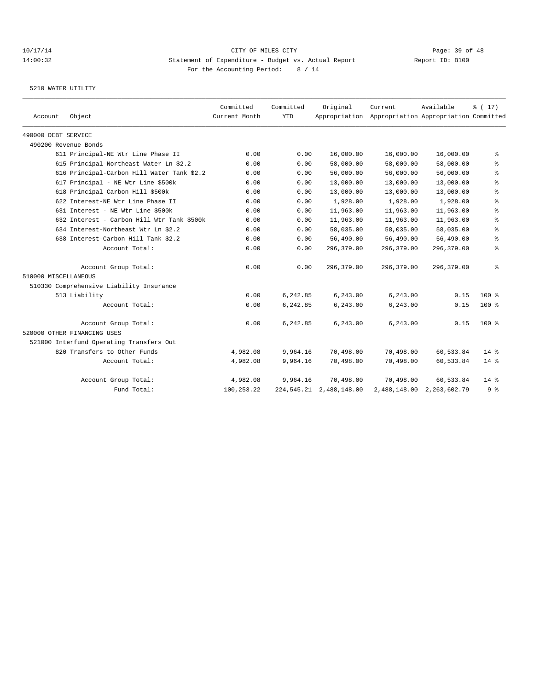|                      |                                            | Committed     | Committed  | Original                     | Current                                             | Available    | $\frac{1}{6}$ ( 17) |
|----------------------|--------------------------------------------|---------------|------------|------------------------------|-----------------------------------------------------|--------------|---------------------|
| Account              | Object                                     | Current Month | <b>YTD</b> |                              | Appropriation Appropriation Appropriation Committed |              |                     |
| 490000 DEBT SERVICE  |                                            |               |            |                              |                                                     |              |                     |
|                      | 490200 Revenue Bonds                       |               |            |                              |                                                     |              |                     |
|                      | 611 Principal-NE Wtr Line Phase II         | 0.00          | 0.00       | 16,000.00                    | 16,000.00                                           | 16,000.00    | ⊱                   |
|                      | 615 Principal-Northeast Water Ln \$2.2     | 0.00          | 0.00       | 58,000.00                    | 58,000.00                                           | 58,000.00    | နွ                  |
|                      | 616 Principal-Carbon Hill Water Tank \$2.2 | 0.00          | 0.00       | 56,000.00                    | 56,000.00                                           | 56,000.00    | ి                   |
|                      | 617 Principal - NE Wtr Line \$500k         | 0.00          | 0.00       | 13,000.00                    | 13,000.00                                           | 13,000.00    | $\,$ %              |
|                      | 618 Principal-Carbon Hill \$500k           | 0.00          | 0.00       | 13,000.00                    | 13,000.00                                           | 13,000.00    | $\,$ %              |
|                      | 622 Interest-NE Wtr Line Phase II          | 0.00          | 0.00       | 1,928.00                     | 1,928.00                                            | 1,928.00     | နွ                  |
|                      | 631 Interest - NE Wtr Line \$500k          | 0.00          | 0.00       | 11,963.00                    | 11,963.00                                           | 11,963.00    | နွ                  |
|                      | 632 Interest - Carbon Hill Wtr Tank \$500k | 0.00          | 0.00       | 11,963.00                    | 11,963.00                                           | 11,963.00    | ి                   |
|                      | 634 Interest-Northeast Wtr Ln \$2.2        | 0.00          | 0.00       | 58,035.00                    | 58,035.00                                           | 58,035.00    | နွ                  |
|                      | 638 Interest-Carbon Hill Tank \$2.2        | 0.00          | 0.00       | 56,490.00                    | 56,490.00                                           | 56,490.00    | နွ                  |
|                      | Account Total:                             | 0.00          | 0.00       | 296,379.00                   | 296,379.00                                          | 296,379.00   | နွ                  |
|                      | Account Group Total:                       | 0.00          | 0.00       | 296,379.00                   | 296,379.00                                          | 296,379.00   | နွ                  |
| 510000 MISCELLANEOUS |                                            |               |            |                              |                                                     |              |                     |
|                      | 510330 Comprehensive Liability Insurance   |               |            |                              |                                                     |              |                     |
|                      | 513 Liability                              | 0.00          | 6,242.85   | 6,243.00                     | 6,243.00                                            | 0.15         | $100*$              |
|                      | Account Total:                             | 0.00          | 6,242.85   | 6,243.00                     | 6,243.00                                            | 0.15         | $100$ %             |
|                      | Account Group Total:                       | 0.00          | 6,242.85   | 6,243.00                     | 6,243.00                                            | 0.15         | $100$ %             |
|                      | 520000 OTHER FINANCING USES                |               |            |                              |                                                     |              |                     |
|                      | 521000 Interfund Operating Transfers Out   |               |            |                              |                                                     |              |                     |
|                      | 820 Transfers to Other Funds               | 4,982.08      | 9,964.16   | 70,498.00                    | 70,498.00                                           | 60,533.84    | $14*$               |
|                      | Account Total:                             | 4,982.08      | 9,964.16   | 70,498.00                    | 70,498.00                                           | 60,533.84    | 14 %                |
|                      | Account Group Total:                       | 4,982.08      | 9,964.16   | 70,498.00                    | 70,498.00                                           | 60,533.84    | $14*$               |
|                      | Fund Total:                                | 100,253.22    |            | 224, 545. 21 2, 488, 148. 00 | 2,488,148.00                                        | 2,263,602.79 | 9 %                 |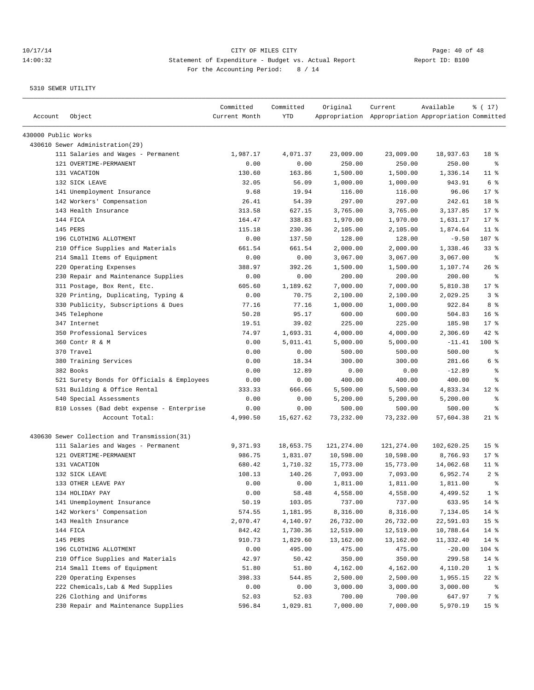| Account             | Object                                       | Committed<br>Current Month | Committed<br>YTD | Original   | Current<br>Appropriation Appropriation Appropriation Committed | Available  | % (17)          |
|---------------------|----------------------------------------------|----------------------------|------------------|------------|----------------------------------------------------------------|------------|-----------------|
| 430000 Public Works |                                              |                            |                  |            |                                                                |            |                 |
|                     | 430610 Sewer Administration(29)              |                            |                  |            |                                                                |            |                 |
|                     | 111 Salaries and Wages - Permanent           | 1,987.17                   | 4,071.37         | 23,009.00  | 23,009.00                                                      | 18,937.63  | 18 %            |
|                     | 121 OVERTIME-PERMANENT                       | 0.00                       | 0.00             | 250.00     | 250.00                                                         | 250.00     | နွ              |
|                     | 131 VACATION                                 | 130.60                     | 163.86           | 1,500.00   | 1,500.00                                                       | 1,336.14   | $11$ %          |
|                     | 132 SICK LEAVE                               | 32.05                      | 56.09            | 1,000.00   | 1,000.00                                                       | 943.91     | 6 %             |
|                     | 141 Unemployment Insurance                   | 9.68                       | 19.94            | 116.00     | 116.00                                                         | 96.06      | $17$ %          |
|                     | 142 Workers' Compensation                    | 26.41                      | 54.39            | 297.00     | 297.00                                                         | 242.61     | 18 %            |
|                     | 143 Health Insurance                         | 313.58                     | 627.15           | 3,765.00   | 3,765.00                                                       | 3,137.85   | $17$ %          |
|                     | 144 FICA                                     | 164.47                     | 338.83           | 1,970.00   | 1,970.00                                                       | 1,631.17   | $17$ %          |
|                     | 145 PERS                                     | 115.18                     | 230.36           | 2,105.00   | 2,105.00                                                       | 1,874.64   | $11$ %          |
|                     | 196 CLOTHING ALLOTMENT                       | 0.00                       | 137.50           | 128.00     | 128.00                                                         | $-9.50$    | 107 %           |
|                     | 210 Office Supplies and Materials            | 661.54                     | 661.54           | 2,000.00   | 2,000.00                                                       | 1,338.46   | 33%             |
|                     | 214 Small Items of Equipment                 | 0.00                       | 0.00             | 3,067.00   | 3,067.00                                                       | 3,067.00   | နွ              |
|                     | 220 Operating Expenses                       | 388.97                     | 392.26           | 1,500.00   | 1,500.00                                                       | 1,107.74   | $26$ %          |
|                     | 230 Repair and Maintenance Supplies          | 0.00                       | 0.00             | 200.00     | 200.00                                                         | 200.00     | ႜ               |
|                     | 311 Postage, Box Rent, Etc.                  | 605.60                     | 1,189.62         | 7,000.00   | 7,000.00                                                       | 5,810.38   | $17$ %          |
|                     | 320 Printing, Duplicating, Typing &          | 0.00                       | 70.75            | 2,100.00   | 2,100.00                                                       | 2,029.25   | 3%              |
|                     | 330 Publicity, Subscriptions & Dues          | 77.16                      | 77.16            | 1,000.00   | 1,000.00                                                       | 922.84     | 8 %             |
|                     | 345 Telephone                                | 50.28                      | 95.17            | 600.00     | 600.00                                                         | 504.83     | 16 <sup>8</sup> |
|                     | 347 Internet                                 | 19.51                      | 39.02            | 225.00     | 225.00                                                         | 185.98     | $17$ %          |
|                     | 350 Professional Services                    | 74.97                      | 1,693.31         | 4,000.00   | 4,000.00                                                       | 2,306.69   | $42$ %          |
|                     | 360 Contr R & M                              | 0.00                       | 5,011.41         | 5,000.00   | 5,000.00                                                       | $-11.41$   | 100 %           |
|                     | 370 Travel                                   | 0.00                       | 0.00             | 500.00     | 500.00                                                         | 500.00     | နွ              |
|                     | 380 Training Services                        | 0.00                       | 18.34            | 300.00     | 300.00                                                         | 281.66     | 6 %             |
|                     | 382 Books                                    | 0.00                       | 12.89            | 0.00       | 0.00                                                           | $-12.89$   | န္              |
|                     | 521 Surety Bonds for Officials & Employees   | 0.00                       | 0.00             | 400.00     | 400.00                                                         | 400.00     | ి               |
|                     | 531 Building & Office Rental                 | 333.33                     | 666.66           | 5,500.00   | 5,500.00                                                       | 4,833.34   | $12*$           |
|                     | 540 Special Assessments                      | 0.00                       | 0.00             | 5,200.00   | 5,200.00                                                       | 5,200.00   | နွ              |
|                     | 810 Losses (Bad debt expense - Enterprise    | 0.00                       | 0.00             | 500.00     | 500.00                                                         | 500.00     | ႜ               |
|                     | Account Total:                               | 4,990.50                   | 15,627.62        | 73,232.00  | 73,232.00                                                      | 57,604.38  | $21$ %          |
|                     | 430630 Sewer Collection and Transmission(31) |                            |                  |            |                                                                |            |                 |
|                     | 111 Salaries and Wages - Permanent           | 9,371.93                   | 18,653.75        | 121,274.00 | 121,274.00                                                     | 102,620.25 | 15 <sup>8</sup> |
|                     | 121 OVERTIME-PERMANENT                       | 986.75                     | 1,831.07         | 10,598.00  | 10,598.00                                                      | 8,766.93   | $17$ %          |
|                     | 131 VACATION                                 | 680.42                     | 1,710.32         | 15,773.00  | 15,773.00                                                      | 14,062.68  | $11$ %          |
|                     | 132 SICK LEAVE                               | 108.13                     | 140.26           | 7,093.00   | 7,093.00                                                       | 6,952.74   | 2 <sup>8</sup>  |
|                     | 133 OTHER LEAVE PAY                          | 0.00                       | 0.00             | 1,811.00   | 1,811.00                                                       | 1,811.00   | ÷               |
|                     | 134 HOLIDAY PAY                              | 0.00                       | 58.48            | 4,558.00   | 4,558.00                                                       | 4,499.52   | 1 <sup>8</sup>  |
|                     | 141 Unemployment Insurance                   | 50.19                      | 103.05           | 737.00     | 737.00                                                         | 633.95     | $14$ %          |
|                     | 142 Workers' Compensation                    | 574.55                     | 1,181.95         | 8,316.00   | 8,316.00                                                       | 7,134.05   | $14$ %          |
|                     | 143 Health Insurance                         | 2,070.47                   | 4,140.97         | 26,732.00  | 26,732.00                                                      | 22,591.03  | 15 <sub>8</sub> |
|                     | 144 FICA                                     | 842.42                     | 1,730.36         | 12,519.00  | 12,519.00                                                      | 10,788.64  | $14$ %          |
|                     | 145 PERS                                     | 910.73                     | 1,829.60         | 13,162.00  | 13,162.00                                                      | 11,332.40  | 14 %            |
|                     | 196 CLOTHING ALLOTMENT                       | 0.00                       | 495.00           | 475.00     | 475.00                                                         | $-20.00$   | 104 %           |
|                     | 210 Office Supplies and Materials            | 42.97                      | 50.42            | 350.00     | 350.00                                                         | 299.58     | $14$ %          |
|                     | 214 Small Items of Equipment                 | 51.80                      | 51.80            | 4,162.00   | 4,162.00                                                       | 4,110.20   | 1 <sup>8</sup>  |
|                     | 220 Operating Expenses                       | 398.33                     | 544.85           | 2,500.00   | 2,500.00                                                       | 1,955.15   | $22$ %          |
|                     | 222 Chemicals, Lab & Med Supplies            | 0.00                       | 0.00             | 3,000.00   | 3,000.00                                                       | 3,000.00   | ိ               |
|                     | 226 Clothing and Uniforms                    | 52.03                      | 52.03            | 700.00     | 700.00                                                         | 647.97     | $7\degree$      |
|                     | 230 Repair and Maintenance Supplies          | 596.84                     | 1,029.81         | 7,000.00   | 7,000.00                                                       | 5,970.19   | 15 <sub>8</sub> |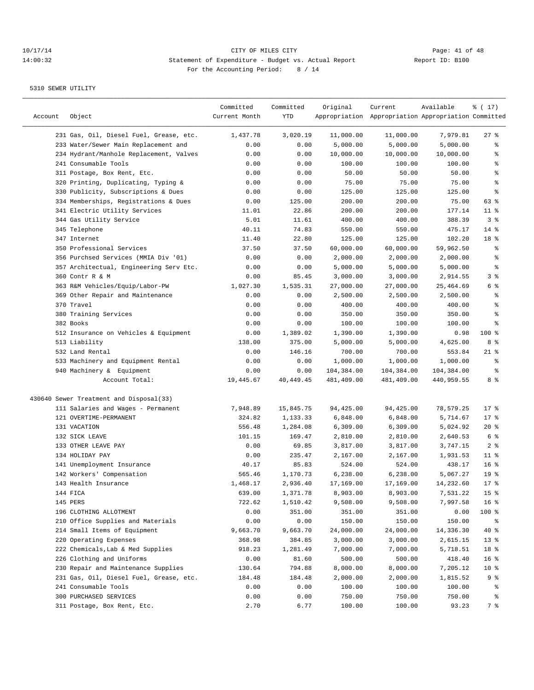## 10/17/14 Page: 41 of 48 14:00:32 Statement of Expenditure - Budget vs. Actual Report Changer Report ID: B100 For the Accounting Period: 8 / 14

| Account | Object                                  | Committed<br>Current Month | Committed<br>YTD | Original   | Current<br>Appropriation Appropriation Appropriation Committed | Available  | ៖ ( 17)         |
|---------|-----------------------------------------|----------------------------|------------------|------------|----------------------------------------------------------------|------------|-----------------|
|         | 231 Gas, Oil, Diesel Fuel, Grease, etc. | 1,437.78                   | 3,020.19         | 11,000.00  | 11,000.00                                                      | 7,979.81   | $27$ %          |
|         | 233 Water/Sewer Main Replacement and    | 0.00                       | 0.00             | 5,000.00   | 5,000.00                                                       | 5,000.00   | နွ              |
|         | 234 Hydrant/Manhole Replacement, Valves | 0.00                       | 0.00             | 10,000.00  | 10,000.00                                                      | 10,000.00  | ႜ               |
|         | 241 Consumable Tools                    | 0.00                       | 0.00             | 100.00     | 100.00                                                         | 100.00     | န္              |
|         | 311 Postage, Box Rent, Etc.             | 0.00                       | 0.00             | 50.00      | 50.00                                                          | 50.00      | $\epsilon$      |
|         | 320 Printing, Duplicating, Typing &     | 0.00                       | 0.00             | 75.00      | 75.00                                                          | 75.00      | $\epsilon$      |
|         | 330 Publicity, Subscriptions & Dues     | 0.00                       | 0.00             | 125.00     | 125.00                                                         | 125.00     | ి               |
|         | 334 Memberships, Registrations & Dues   | 0.00                       | 125.00           | 200.00     | 200.00                                                         | 75.00      | 63 %            |
|         | 341 Electric Utility Services           | 11.01                      | 22.86            | 200.00     | 200.00                                                         | 177.14     | $11$ %          |
|         | 344 Gas Utility Service                 | 5.01                       | 11.61            | 400.00     | 400.00                                                         | 388.39     | 3%              |
|         | 345 Telephone                           | 40.11                      | 74.83            | 550.00     | 550.00                                                         | 475.17     | $14*$           |
|         | 347 Internet                            | 11.40                      | 22.80            | 125.00     | 125.00                                                         | 102.20     | 18 %            |
|         | 350 Professional Services               | 37.50                      | 37.50            | 60,000.00  | 60,000.00                                                      | 59,962.50  | ႜ               |
|         | 356 Purchsed Services (MMIA Div '01)    | 0.00                       | 0.00             | 2,000.00   | 2,000.00                                                       | 2,000.00   | န္              |
|         | 357 Architectual, Engineering Serv Etc. | 0.00                       | 0.00             | 5,000.00   | 5,000.00                                                       | 5,000.00   | $\epsilon$      |
|         | 360 Contr R & M                         | 0.00                       | 85.45            | 3,000.00   | 3,000.00                                                       | 2,914.55   | 3%              |
|         | 363 R&M Vehicles/Equip/Labor-PW         | 1,027.30                   | 1,535.31         | 27,000.00  | 27,000.00                                                      | 25,464.69  | 6 %             |
|         | 369 Other Repair and Maintenance        | 0.00                       | 0.00             | 2,500.00   | 2,500.00                                                       | 2,500.00   | ႜ               |
|         | 370 Travel                              | 0.00                       | 0.00             | 400.00     | 400.00                                                         | 400.00     | န္              |
|         | 380 Training Services                   | 0.00                       | 0.00             | 350.00     | 350.00                                                         | 350.00     | န္              |
|         | 382 Books                               | 0.00                       | 0.00             | 100.00     | 100.00                                                         | 100.00     | ి               |
|         | 512 Insurance on Vehicles & Equipment   | 0.00                       | 1,389.02         | 1,390.00   | 1,390.00                                                       | 0.98       | $100$ %         |
|         | 513 Liability                           | 138.00                     | 375.00           | 5,000.00   | 5,000.00                                                       | 4,625.00   | 8 %             |
|         | 532 Land Rental                         | 0.00                       | 146.16           | 700.00     | 700.00                                                         | 553.84     | $21$ %          |
|         | 533 Machinery and Equipment Rental      | 0.00                       | 0.00             | 1,000.00   | 1,000.00                                                       | 1,000.00   | နွ              |
|         | 940 Machinery & Equipment               | 0.00                       | 0.00             | 104,384.00 | 104,384.00                                                     | 104,384.00 | န္              |
|         | Account Total:                          | 19,445.67                  | 40, 449. 45      | 481,409.00 | 481,409.00                                                     | 440,959.55 | 8 %             |
|         | 430640 Sewer Treatment and Disposal(33) |                            |                  |            |                                                                |            |                 |
|         | 111 Salaries and Wages - Permanent      | 7,948.89                   | 15,845.75        | 94,425.00  | 94,425.00                                                      | 78,579.25  | $17$ %          |
|         | 121 OVERTIME-PERMANENT                  | 324.82                     | 1,133.33         | 6,848.00   | 6,848.00                                                       | 5,714.67   | $17*$           |
|         | 131 VACATION                            | 556.48                     | 1,284.08         | 6,309.00   | 6,309.00                                                       | 5,024.92   | $20*$           |
|         | 132 SICK LEAVE                          | 101.15                     | 169.47           | 2,810.00   | 2,810.00                                                       | 2,640.53   | 6 %             |
|         | 133 OTHER LEAVE PAY                     | 0.00                       | 69.85            | 3,817.00   | 3,817.00                                                       | 3,747.15   | 2 <sup>°</sup>  |
|         | 134 HOLIDAY PAY                         | 0.00                       | 235.47           | 2,167.00   | 2,167.00                                                       | 1,931.53   | $11$ %          |
|         | 141 Unemployment Insurance              | 40.17                      | 85.83            | 524.00     | 524.00                                                         | 438.17     | 16 <sup>°</sup> |
|         | 142 Workers' Compensation               | 565.46                     | 1,170.73         | 6,238.00   | 6,238.00                                                       | 5,067.27   | 19 <sup>°</sup> |
|         | 143 Health Insurance                    | 1,468.17                   | 2,936.40         | 17,169.00  | 17,169.00                                                      | 14,232.60  | $17*$           |
|         | 144 FICA                                | 639.00                     | 1,371.78         | 8,903.00   | 8,903.00                                                       | 7,531.22   | 15 <sup>°</sup> |
|         | 145 PERS                                | 722.62                     | 1,510.42         | 9,508.00   | 9,508.00                                                       | 7,997.58   | 16 <sup>°</sup> |
|         | 196 CLOTHING ALLOTMENT                  | 0.00                       | 351.00           | 351.00     | 351.00                                                         | 0.00       | 100 %           |
|         | 210 Office Supplies and Materials       | 0.00                       | 0.00             | 150.00     | 150.00                                                         | 150.00     | ွေ              |
|         | 214 Small Items of Equipment            | 9,663.70                   | 9,663.70         | 24,000.00  | 24,000.00                                                      | 14,336.30  | 40 %            |
|         | 220 Operating Expenses                  | 368.98                     | 384.85           | 3,000.00   | 3,000.00                                                       | 2,615.15   | 13 <sup>°</sup> |
|         | 222 Chemicals, Lab & Med Supplies       | 918.23                     | 1,281.49         | 7,000.00   | 7,000.00                                                       | 5,718.51   | 18 %            |
|         | 226 Clothing and Uniforms               | 0.00                       | 81.60            | 500.00     | 500.00                                                         | 418.40     | 16 <sup>°</sup> |
|         | 230 Repair and Maintenance Supplies     | 130.64                     | 794.88           | 8,000.00   | 8,000.00                                                       | 7,205.12   | 10 <sup>°</sup> |
|         | 231 Gas, Oil, Diesel Fuel, Grease, etc. | 184.48                     | 184.48           | 2,000.00   | 2,000.00                                                       | 1,815.52   | 9 %             |
|         | 241 Consumable Tools                    | 0.00                       | 0.00             | 100.00     | 100.00                                                         | 100.00     | ႜૢ              |
|         | 300 PURCHASED SERVICES                  | 0.00                       | 0.00             | 750.00     | 750.00                                                         | 750.00     | ွေ              |
|         | 311 Postage, Box Rent, Etc.             | 2.70                       | 6.77             | 100.00     | 100.00                                                         | 93.23      | 7 %             |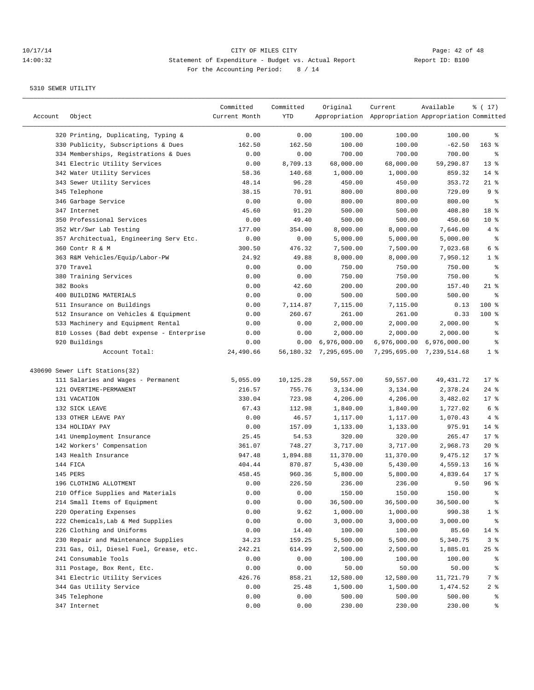————————————————————————————————————————————————————————————————————————————————————————————————————————————————————————————————————

|         |                                           | Committed     | Committed | Original                  | Current                                             | Available                 | % (17)           |
|---------|-------------------------------------------|---------------|-----------|---------------------------|-----------------------------------------------------|---------------------------|------------------|
| Account | Object                                    | Current Month | YTD       |                           | Appropriation Appropriation Appropriation Committed |                           |                  |
|         | 320 Printing, Duplicating, Typing &       | 0.00          | 0.00      | 100.00                    | 100.00                                              | 100.00                    | ႜ                |
|         | 330 Publicity, Subscriptions & Dues       | 162.50        | 162.50    | 100.00                    | 100.00                                              | $-62.50$                  | $163$ %          |
|         | 334 Memberships, Registrations & Dues     | 0.00          | 0.00      | 700.00                    | 700.00                                              | 700.00                    | ႜ                |
|         | 341 Electric Utility Services             | 0.00          | 8,709.13  | 68,000.00                 | 68,000.00                                           | 59,290.87                 | 13 <sup>8</sup>  |
|         | 342 Water Utility Services                | 58.36         | 140.68    | 1,000.00                  | 1,000.00                                            | 859.32                    | $14$ %           |
|         | 343 Sewer Utility Services                | 48.14         | 96.28     | 450.00                    | 450.00                                              | 353.72                    | $21$ %           |
|         | 345 Telephone                             | 38.15         | 70.91     | 800.00                    | 800.00                                              | 729.09                    | 9%               |
|         | 346 Garbage Service                       | 0.00          | 0.00      | 800.00                    | 800.00                                              | 800.00                    | နွ               |
|         | 347 Internet                              | 45.60         | 91.20     | 500.00                    | 500.00                                              | 408.80                    | 18 %             |
|         | 350 Professional Services                 | 0.00          | 49.40     | 500.00                    | 500.00                                              | 450.60                    | 10 <sub>8</sub>  |
|         | 352 Wtr/Swr Lab Testing                   | 177.00        | 354.00    | 8,000.00                  | 8,000.00                                            | 7,646.00                  | 4 %              |
|         | 357 Architectual, Engineering Serv Etc.   | 0.00          | 0.00      | 5,000.00                  | 5,000.00                                            | 5,000.00                  | နွ               |
|         | 360 Contr R & M                           | 300.50        | 476.32    | 7,500.00                  | 7,500.00                                            | 7,023.68                  | 6 %              |
|         | 363 R&M Vehicles/Equip/Labor-PW           | 24.92         | 49.88     | 8,000.00                  | 8,000.00                                            | 7,950.12                  | $1 \circ$        |
|         | 370 Travel                                | 0.00          | 0.00      | 750.00                    | 750.00                                              | 750.00                    | ႜ                |
|         | 380 Training Services                     | 0.00          | 0.00      | 750.00                    | 750.00                                              | 750.00                    | ႜ                |
|         | 382 Books                                 | 0.00          | 42.60     | 200.00                    | 200.00                                              | 157.40                    | $21$ %           |
|         | 400 BUILDING MATERIALS                    | 0.00          | 0.00      | 500.00                    | 500.00                                              | 500.00                    | န္               |
|         | 511 Insurance on Buildings                | 0.00          | 7,114.87  | 7,115.00                  | 7,115.00                                            | 0.13                      | 100 %            |
|         | 512 Insurance on Vehicles & Equipment     | 0.00          | 260.67    | 261.00                    | 261.00                                              | 0.33                      | $100$ %          |
|         | 533 Machinery and Equipment Rental        | 0.00          | 0.00      | 2,000.00                  | 2,000.00                                            | 2,000.00                  | ႜ                |
|         | 810 Losses (Bad debt expense - Enterprise | 0.00          | 0.00      | 2,000.00                  | 2,000.00                                            | 2,000.00                  | $\,{}^{\circ}\!$ |
|         | 920 Buildings                             | 0.00          |           | $0.00 \quad 6,976,000.00$ |                                                     | 6,976,000.00 6,976,000.00 | ႜ                |
|         | Account Total:                            | 24,490.66     |           | 56,180.32 7,295,695.00    |                                                     | 7,295,695.00 7,239,514.68 | $1 \circ$        |
|         | 430690 Sewer Lift Stations(32)            |               |           |                           |                                                     |                           |                  |
|         | 111 Salaries and Wages - Permanent        | 5,055.09      | 10,125.28 | 59,557.00                 | 59,557.00                                           | 49,431.72                 | 17.8             |
|         | 121 OVERTIME-PERMANENT                    | 216.57        | 755.76    | 3,134.00                  | 3,134.00                                            | 2,378.24                  | $24$ %           |
|         | 131 VACATION                              | 330.04        | 723.98    | 4,206.00                  | 4,206.00                                            | 3,482.02                  | 17.8             |
|         | 132 SICK LEAVE                            | 67.43         | 112.98    | 1,840.00                  | 1,840.00                                            | 1,727.02                  | 6 %              |
|         | 133 OTHER LEAVE PAY                       | 0.00          | 46.57     | 1,117.00                  | 1,117.00                                            | 1,070.43                  | 4%               |
|         | 134 HOLIDAY PAY                           | 0.00          | 157.09    | 1,133.00                  | 1,133.00                                            | 975.91                    | $14*$            |
|         | 141 Unemployment Insurance                | 25.45         | 54.53     | 320.00                    | 320.00                                              | 265.47                    | $17$ %           |
|         | 142 Workers' Compensation                 | 361.07        | 748.27    | 3,717.00                  | 3,717.00                                            | 2,968.73                  | $20*$            |
|         | 143 Health Insurance                      | 947.48        | 1,894.88  | 11,370.00                 | 11,370.00                                           | 9,475.12                  | $17$ %           |
|         | 144 FICA                                  | 404.44        | 870.87    | 5,430.00                  | 5,430.00                                            | 4,559.13                  | 16 <sup>8</sup>  |
|         | 145 PERS                                  | 458.45        | 960.36    | 5,800.00                  | 5,800.00                                            | 4,839.64                  | 17.8             |
|         | 196 CLOTHING ALLOTMENT                    | 0.00          | 226.50    | 236.00                    | 236.00                                              | 9.50                      | $96$ %           |
|         | 210 Office Supplies and Materials         | 0.00          | 0.00      | 150.00                    | 150.00                                              | 150.00                    | - 옹              |
|         | 214 Small Items of Equipment              | 0.00          | 0.00      | 36,500.00                 | 36,500.00                                           | 36,500.00                 | ႜ                |
|         | 220 Operating Expenses                    | 0.00          | 9.62      | 1,000.00                  | 1,000.00                                            | 990.38                    | 1 <sup>8</sup>   |
|         | 222 Chemicals, Lab & Med Supplies         | 0.00          | 0.00      | 3,000.00                  | 3,000.00                                            | 3,000.00                  | ಿ                |
|         | 226 Clothing and Uniforms                 | 0.00          | 14.40     | 100.00                    | 100.00                                              | 85.60                     | $14$ %           |
|         | 230 Repair and Maintenance Supplies       | 34.23         | 159.25    | 5,500.00                  | 5,500.00                                            | 5,340.75                  | 3%               |
|         | 231 Gas, Oil, Diesel Fuel, Grease, etc.   | 242.21        | 614.99    | 2,500.00                  | 2,500.00                                            | 1,885.01                  | $25$ %           |
|         | 241 Consumable Tools                      | 0.00          | 0.00      | 100.00                    | 100.00                                              | 100.00                    | ႜွ               |
|         | 311 Postage, Box Rent, Etc.               | 0.00          | 0.00      | 50.00                     | 50.00                                               | 50.00                     | နွ               |
|         | 341 Electric Utility Services             | 426.76        | 858.21    | 12,580.00                 | 12,580.00                                           | 11,721.79                 | 7 %              |
|         | 344 Gas Utility Service                   | 0.00          | 25.48     | 1,500.00                  | 1,500.00                                            | 1,474.52                  | 2 %              |
|         | 345 Telephone                             | 0.00          | 0.00      | 500.00                    | 500.00                                              | 500.00                    | ႜွ               |
|         | 347 Internet                              | 0.00          | 0.00      | 230.00                    | 230.00                                              | 230.00                    | ွေ               |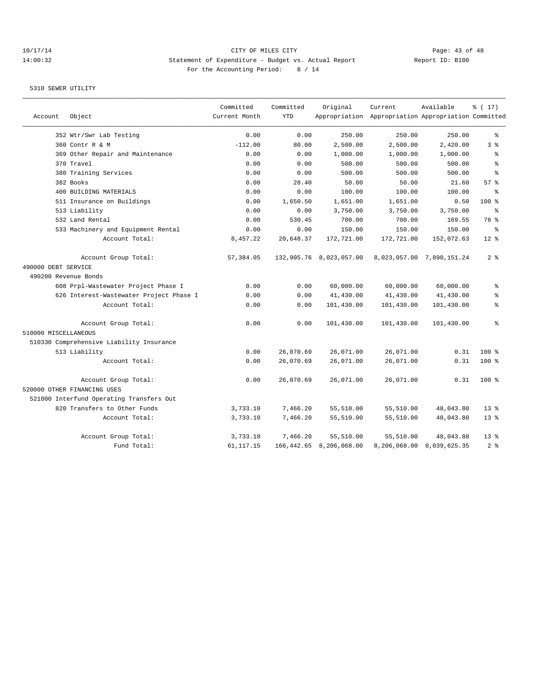## 10/17/14 Page: 43 of 48 14:00:32 Statement of Expenditure - Budget vs. Actual Report Report ID: B100 For the Accounting Period: 8 / 14

| Account              | Object                                   | Committed<br>Current Month | Committed<br><b>YTD</b> | Original                | Current<br>Appropriation Appropriation Appropriation Committed | Available                 | % (17)          |
|----------------------|------------------------------------------|----------------------------|-------------------------|-------------------------|----------------------------------------------------------------|---------------------------|-----------------|
|                      |                                          |                            |                         |                         |                                                                |                           |                 |
|                      | 352 Wtr/Swr Lab Testing                  | 0.00                       | 0.00                    | 250.00                  | 250.00                                                         | 250.00                    | န္              |
|                      | 360 Contr R & M                          | $-112.00$                  | 80.00                   | 2,500.00                | 2,500.00                                                       | 2,420.00                  | 3%              |
|                      | 369 Other Repair and Maintenance         | 0.00                       | 0.00                    | 1,000.00                | 1,000.00                                                       | 1,000.00                  | ి               |
|                      | 370 Travel                               | 0.00                       | 0.00                    | 500.00                  | 500.00                                                         | 500.00                    | $\epsilon$      |
|                      | 380 Training Services                    | 0.00                       | 0.00                    | 500.00                  | 500.00                                                         | 500.00                    | ి               |
|                      | 382 Books                                | 0.00                       | 28.40                   | 50.00                   | 50.00                                                          | 21.60                     | 57%             |
|                      | 400 BUILDING MATERIALS                   | 0.00                       | 0.00                    | 100.00                  | 100.00                                                         | 100.00                    | 昙               |
|                      | 511 Insurance on Buildings               | 0.00                       | 1,650.50                | 1,651.00                | 1,651.00                                                       | 0.50                      | $100*$          |
|                      | 513 Liability                            | 0.00                       | 0.00                    | 3,750.00                | 3,750.00                                                       | 3,750.00                  | ⊱               |
|                      | 532 Land Rental                          | 0.00                       | 530.45                  | 700.00                  | 700.00                                                         | 169.55                    | 76 %            |
|                      | 533 Machinery and Equipment Rental       | 0.00                       | 0.00                    | 150.00                  | 150.00                                                         | 150.00                    | ÷               |
|                      | Account Total:                           | 8,457.22                   | 20,648.37               | 172,721.00              | 172,721.00                                                     | 152,072.63                | $12*$           |
|                      | Account Group Total:                     | 57,384.05                  |                         | 132,905.76 8,023,057.00 |                                                                | 8,023,057.00 7,890,151.24 | 2 <sup>8</sup>  |
| 490000 DEBT SERVICE  |                                          |                            |                         |                         |                                                                |                           |                 |
| 490200 Revenue Bonds |                                          |                            |                         |                         |                                                                |                           |                 |
|                      | 608 Prpl-Wastewater Project Phase I      | 0.00                       | 0.00                    | 60,000.00               | 60,000.00                                                      | 60,000.00                 | ి               |
|                      | 626 Interest-Wastewater Project Phase I  | 0.00                       | 0.00                    | 41,430.00               | 41,430.00                                                      | 41,430.00                 | နွ              |
|                      | Account Total:                           | 0.00                       | 0.00                    | 101,430.00              | 101,430.00                                                     | 101,430.00                | ి               |
|                      | Account Group Total:                     | 0.00                       | 0.00                    | 101,430.00              | 101,430.00                                                     | 101,430.00                | ి               |
| 510000 MISCELLANEOUS |                                          |                            |                         |                         |                                                                |                           |                 |
|                      | 510330 Comprehensive Liability Insurance |                            |                         |                         |                                                                |                           |                 |
|                      | 513 Liability                            | 0.00                       | 26,070.69               | 26,071.00               | 26,071.00                                                      | 0.31                      | $100$ %         |
|                      | Account Total:                           | 0.00                       | 26,070.69               | 26,071.00               | 26,071.00                                                      | 0.31                      | $100$ %         |
|                      | Account Group Total:                     | 0.00                       | 26,070.69               | 26,071.00               | 26,071.00                                                      | 0.31                      | $100$ %         |
|                      | 520000 OTHER FINANCING USES              |                            |                         |                         |                                                                |                           |                 |
|                      | 521000 Interfund Operating Transfers Out |                            |                         |                         |                                                                |                           |                 |
|                      | 820 Transfers to Other Funds             | 3,733.10                   | 7,466.20                | 55,510.00               | 55,510.00                                                      | 48,043.80                 | $13*$           |
|                      | Account Total:                           | 3,733.10                   | 7,466.20                | 55,510.00               | 55,510.00                                                      | 48,043.80                 | $13*$           |
|                      | Account Group Total:                     | 3,733.10                   | 7,466.20                | 55,510.00               | 55,510.00                                                      | 48,043.80                 | 13 <sup>8</sup> |
|                      | Fund Total:                              | 61, 117. 15                | 166,442.65              | 8,206,068.00            | 8,206,068.00                                                   | 8,039,625.35              | 2.8             |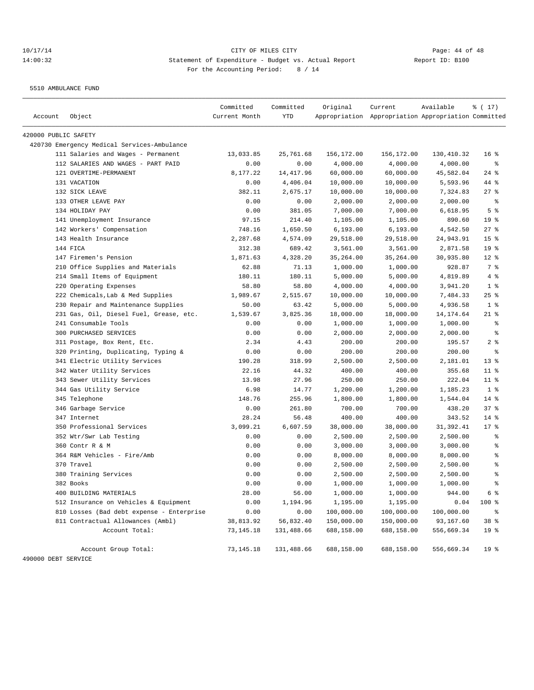5510 AMBULANCE FUND

| 420000 PUBLIC SAFETY<br>420730 Emergency Medical Services-Ambulance<br>111 Salaries and Wages - Permanent<br>25,761.68<br>156,172.00<br>156,172.00<br>130,410.32<br>13,033.85<br>112 SALARIES AND WAGES - PART PAID<br>0.00<br>0.00<br>4,000.00<br>4,000.00<br>4,000.00<br>121 OVERTIME-PERMANENT<br>8,177.22<br>14, 417.96<br>60,000.00<br>60,000.00<br>45,582.04<br>131 VACATION<br>0.00<br>4,406.04<br>10,000.00<br>10,000.00<br>5,593.96<br>132 SICK LEAVE<br>382.11<br>2,675.17<br>10,000.00<br>10,000.00<br>7,324.83<br>133 OTHER LEAVE PAY<br>0.00<br>2,000.00<br>0.00<br>2,000.00<br>2,000.00<br>134 HOLIDAY PAY<br>0.00<br>381.05<br>7,000.00<br>7,000.00<br>6,618.95<br>141 Unemployment Insurance<br>97.15<br>214.40<br>1,105.00<br>1,105.00<br>890.60<br>142 Workers' Compensation<br>748.16<br>1,650.50<br>6, 193.00<br>4,542.50<br>6,193.00<br>143 Health Insurance<br>2,287.68<br>4,574.09<br>29,518.00<br>29,518.00<br>24,943.91<br>144 FICA<br>312.38<br>689.42<br>3,561.00<br>2,871.58<br>3,561.00<br>147 Firemen's Pension<br>1,871.63<br>4,328.20<br>35,264.00<br>35,264.00<br>30,935.80<br>210 Office Supplies and Materials<br>62.88<br>71.13<br>1,000.00<br>1,000.00<br>928.87<br>214 Small Items of Equipment<br>180.11<br>180.11<br>5,000.00<br>5,000.00<br>4,819.89<br>220 Operating Expenses<br>58.80<br>58.80<br>4,000.00<br>4,000.00<br>3,941.20<br>222 Chemicals, Lab & Med Supplies<br>2,515.67<br>10,000.00<br>1,989.67<br>10,000.00<br>7,484.33<br>230 Repair and Maintenance Supplies<br>5,000.00<br>50.00<br>63.42<br>5,000.00<br>4,936.58<br>231 Gas, Oil, Diesel Fuel, Grease, etc.<br>1,539.67<br>3,825.36<br>18,000.00<br>18,000.00<br>14,174.64<br>241 Consumable Tools<br>1,000.00<br>1,000.00<br>0.00<br>0.00<br>1,000.00<br>300 PURCHASED SERVICES<br>0.00<br>0.00<br>2,000.00<br>2,000.00<br>2,000.00<br>2.34<br>4.43<br>311 Postage, Box Rent, Etc.<br>200.00<br>200.00<br>195.57<br>0.00<br>320 Printing, Duplicating, Typing &<br>0.00<br>200.00<br>200.00<br>200.00<br>341 Electric Utility Services<br>190.28<br>318.99<br>2,500.00<br>2,500.00<br>2,181.01<br>342 Water Utility Services<br>22.16<br>44.32<br>400.00<br>400.00<br>355.68<br>343 Sewer Utility Services<br>13.98<br>27.96<br>250.00<br>250.00<br>222.04<br>344 Gas Utility Service<br>6.98<br>14.77<br>1,200.00<br>1,200.00<br>1,185.23<br>345 Telephone<br>148.76<br>255.96<br>1,800.00<br>1,800.00<br>1,544.04<br>346 Garbage Service<br>0.00<br>700.00<br>261.80<br>700.00<br>438.20<br>347 Internet<br>28.24<br>56.48<br>400.00<br>343.52<br>400.00<br>350 Professional Services<br>3,099.21<br>6,607.59<br>38,000.00<br>38,000.00<br>31,392.41 | 16 <sup>8</sup><br>$\epsilon$<br>$24$ %<br>44 %<br>27%<br>နွ<br>5 <sup>°</sup><br>19 <sup>°</sup><br>$27$ %<br>15 <sup>8</sup><br>19 <sup>°</sup><br>$12$ %<br>7 % |
|----------------------------------------------------------------------------------------------------------------------------------------------------------------------------------------------------------------------------------------------------------------------------------------------------------------------------------------------------------------------------------------------------------------------------------------------------------------------------------------------------------------------------------------------------------------------------------------------------------------------------------------------------------------------------------------------------------------------------------------------------------------------------------------------------------------------------------------------------------------------------------------------------------------------------------------------------------------------------------------------------------------------------------------------------------------------------------------------------------------------------------------------------------------------------------------------------------------------------------------------------------------------------------------------------------------------------------------------------------------------------------------------------------------------------------------------------------------------------------------------------------------------------------------------------------------------------------------------------------------------------------------------------------------------------------------------------------------------------------------------------------------------------------------------------------------------------------------------------------------------------------------------------------------------------------------------------------------------------------------------------------------------------------------------------------------------------------------------------------------------------------------------------------------------------------------------------------------------------------------------------------------------------------------------------------------------------------------------------------------------------------------------------------------------------------------------------------------------------------------------------------------------------------------------------------------------------------------------------------------------------------------------------------------------|--------------------------------------------------------------------------------------------------------------------------------------------------------------------|
|                                                                                                                                                                                                                                                                                                                                                                                                                                                                                                                                                                                                                                                                                                                                                                                                                                                                                                                                                                                                                                                                                                                                                                                                                                                                                                                                                                                                                                                                                                                                                                                                                                                                                                                                                                                                                                                                                                                                                                                                                                                                                                                                                                                                                                                                                                                                                                                                                                                                                                                                                                                                                                                                      |                                                                                                                                                                    |
|                                                                                                                                                                                                                                                                                                                                                                                                                                                                                                                                                                                                                                                                                                                                                                                                                                                                                                                                                                                                                                                                                                                                                                                                                                                                                                                                                                                                                                                                                                                                                                                                                                                                                                                                                                                                                                                                                                                                                                                                                                                                                                                                                                                                                                                                                                                                                                                                                                                                                                                                                                                                                                                                      |                                                                                                                                                                    |
|                                                                                                                                                                                                                                                                                                                                                                                                                                                                                                                                                                                                                                                                                                                                                                                                                                                                                                                                                                                                                                                                                                                                                                                                                                                                                                                                                                                                                                                                                                                                                                                                                                                                                                                                                                                                                                                                                                                                                                                                                                                                                                                                                                                                                                                                                                                                                                                                                                                                                                                                                                                                                                                                      |                                                                                                                                                                    |
|                                                                                                                                                                                                                                                                                                                                                                                                                                                                                                                                                                                                                                                                                                                                                                                                                                                                                                                                                                                                                                                                                                                                                                                                                                                                                                                                                                                                                                                                                                                                                                                                                                                                                                                                                                                                                                                                                                                                                                                                                                                                                                                                                                                                                                                                                                                                                                                                                                                                                                                                                                                                                                                                      |                                                                                                                                                                    |
|                                                                                                                                                                                                                                                                                                                                                                                                                                                                                                                                                                                                                                                                                                                                                                                                                                                                                                                                                                                                                                                                                                                                                                                                                                                                                                                                                                                                                                                                                                                                                                                                                                                                                                                                                                                                                                                                                                                                                                                                                                                                                                                                                                                                                                                                                                                                                                                                                                                                                                                                                                                                                                                                      |                                                                                                                                                                    |
|                                                                                                                                                                                                                                                                                                                                                                                                                                                                                                                                                                                                                                                                                                                                                                                                                                                                                                                                                                                                                                                                                                                                                                                                                                                                                                                                                                                                                                                                                                                                                                                                                                                                                                                                                                                                                                                                                                                                                                                                                                                                                                                                                                                                                                                                                                                                                                                                                                                                                                                                                                                                                                                                      |                                                                                                                                                                    |
|                                                                                                                                                                                                                                                                                                                                                                                                                                                                                                                                                                                                                                                                                                                                                                                                                                                                                                                                                                                                                                                                                                                                                                                                                                                                                                                                                                                                                                                                                                                                                                                                                                                                                                                                                                                                                                                                                                                                                                                                                                                                                                                                                                                                                                                                                                                                                                                                                                                                                                                                                                                                                                                                      |                                                                                                                                                                    |
|                                                                                                                                                                                                                                                                                                                                                                                                                                                                                                                                                                                                                                                                                                                                                                                                                                                                                                                                                                                                                                                                                                                                                                                                                                                                                                                                                                                                                                                                                                                                                                                                                                                                                                                                                                                                                                                                                                                                                                                                                                                                                                                                                                                                                                                                                                                                                                                                                                                                                                                                                                                                                                                                      |                                                                                                                                                                    |
|                                                                                                                                                                                                                                                                                                                                                                                                                                                                                                                                                                                                                                                                                                                                                                                                                                                                                                                                                                                                                                                                                                                                                                                                                                                                                                                                                                                                                                                                                                                                                                                                                                                                                                                                                                                                                                                                                                                                                                                                                                                                                                                                                                                                                                                                                                                                                                                                                                                                                                                                                                                                                                                                      |                                                                                                                                                                    |
|                                                                                                                                                                                                                                                                                                                                                                                                                                                                                                                                                                                                                                                                                                                                                                                                                                                                                                                                                                                                                                                                                                                                                                                                                                                                                                                                                                                                                                                                                                                                                                                                                                                                                                                                                                                                                                                                                                                                                                                                                                                                                                                                                                                                                                                                                                                                                                                                                                                                                                                                                                                                                                                                      |                                                                                                                                                                    |
|                                                                                                                                                                                                                                                                                                                                                                                                                                                                                                                                                                                                                                                                                                                                                                                                                                                                                                                                                                                                                                                                                                                                                                                                                                                                                                                                                                                                                                                                                                                                                                                                                                                                                                                                                                                                                                                                                                                                                                                                                                                                                                                                                                                                                                                                                                                                                                                                                                                                                                                                                                                                                                                                      |                                                                                                                                                                    |
|                                                                                                                                                                                                                                                                                                                                                                                                                                                                                                                                                                                                                                                                                                                                                                                                                                                                                                                                                                                                                                                                                                                                                                                                                                                                                                                                                                                                                                                                                                                                                                                                                                                                                                                                                                                                                                                                                                                                                                                                                                                                                                                                                                                                                                                                                                                                                                                                                                                                                                                                                                                                                                                                      |                                                                                                                                                                    |
|                                                                                                                                                                                                                                                                                                                                                                                                                                                                                                                                                                                                                                                                                                                                                                                                                                                                                                                                                                                                                                                                                                                                                                                                                                                                                                                                                                                                                                                                                                                                                                                                                                                                                                                                                                                                                                                                                                                                                                                                                                                                                                                                                                                                                                                                                                                                                                                                                                                                                                                                                                                                                                                                      |                                                                                                                                                                    |
|                                                                                                                                                                                                                                                                                                                                                                                                                                                                                                                                                                                                                                                                                                                                                                                                                                                                                                                                                                                                                                                                                                                                                                                                                                                                                                                                                                                                                                                                                                                                                                                                                                                                                                                                                                                                                                                                                                                                                                                                                                                                                                                                                                                                                                                                                                                                                                                                                                                                                                                                                                                                                                                                      |                                                                                                                                                                    |
|                                                                                                                                                                                                                                                                                                                                                                                                                                                                                                                                                                                                                                                                                                                                                                                                                                                                                                                                                                                                                                                                                                                                                                                                                                                                                                                                                                                                                                                                                                                                                                                                                                                                                                                                                                                                                                                                                                                                                                                                                                                                                                                                                                                                                                                                                                                                                                                                                                                                                                                                                                                                                                                                      |                                                                                                                                                                    |
|                                                                                                                                                                                                                                                                                                                                                                                                                                                                                                                                                                                                                                                                                                                                                                                                                                                                                                                                                                                                                                                                                                                                                                                                                                                                                                                                                                                                                                                                                                                                                                                                                                                                                                                                                                                                                                                                                                                                                                                                                                                                                                                                                                                                                                                                                                                                                                                                                                                                                                                                                                                                                                                                      | 4%                                                                                                                                                                 |
|                                                                                                                                                                                                                                                                                                                                                                                                                                                                                                                                                                                                                                                                                                                                                                                                                                                                                                                                                                                                                                                                                                                                                                                                                                                                                                                                                                                                                                                                                                                                                                                                                                                                                                                                                                                                                                                                                                                                                                                                                                                                                                                                                                                                                                                                                                                                                                                                                                                                                                                                                                                                                                                                      | 1 <sup>8</sup>                                                                                                                                                     |
|                                                                                                                                                                                                                                                                                                                                                                                                                                                                                                                                                                                                                                                                                                                                                                                                                                                                                                                                                                                                                                                                                                                                                                                                                                                                                                                                                                                                                                                                                                                                                                                                                                                                                                                                                                                                                                                                                                                                                                                                                                                                                                                                                                                                                                                                                                                                                                                                                                                                                                                                                                                                                                                                      | $25$ %                                                                                                                                                             |
|                                                                                                                                                                                                                                                                                                                                                                                                                                                                                                                                                                                                                                                                                                                                                                                                                                                                                                                                                                                                                                                                                                                                                                                                                                                                                                                                                                                                                                                                                                                                                                                                                                                                                                                                                                                                                                                                                                                                                                                                                                                                                                                                                                                                                                                                                                                                                                                                                                                                                                                                                                                                                                                                      | 1 <sup>8</sup>                                                                                                                                                     |
|                                                                                                                                                                                                                                                                                                                                                                                                                                                                                                                                                                                                                                                                                                                                                                                                                                                                                                                                                                                                                                                                                                                                                                                                                                                                                                                                                                                                                                                                                                                                                                                                                                                                                                                                                                                                                                                                                                                                                                                                                                                                                                                                                                                                                                                                                                                                                                                                                                                                                                                                                                                                                                                                      | $21$ %                                                                                                                                                             |
|                                                                                                                                                                                                                                                                                                                                                                                                                                                                                                                                                                                                                                                                                                                                                                                                                                                                                                                                                                                                                                                                                                                                                                                                                                                                                                                                                                                                                                                                                                                                                                                                                                                                                                                                                                                                                                                                                                                                                                                                                                                                                                                                                                                                                                                                                                                                                                                                                                                                                                                                                                                                                                                                      | နွ                                                                                                                                                                 |
|                                                                                                                                                                                                                                                                                                                                                                                                                                                                                                                                                                                                                                                                                                                                                                                                                                                                                                                                                                                                                                                                                                                                                                                                                                                                                                                                                                                                                                                                                                                                                                                                                                                                                                                                                                                                                                                                                                                                                                                                                                                                                                                                                                                                                                                                                                                                                                                                                                                                                                                                                                                                                                                                      | $\epsilon$                                                                                                                                                         |
|                                                                                                                                                                                                                                                                                                                                                                                                                                                                                                                                                                                                                                                                                                                                                                                                                                                                                                                                                                                                                                                                                                                                                                                                                                                                                                                                                                                                                                                                                                                                                                                                                                                                                                                                                                                                                                                                                                                                                                                                                                                                                                                                                                                                                                                                                                                                                                                                                                                                                                                                                                                                                                                                      | 2 <sup>8</sup>                                                                                                                                                     |
|                                                                                                                                                                                                                                                                                                                                                                                                                                                                                                                                                                                                                                                                                                                                                                                                                                                                                                                                                                                                                                                                                                                                                                                                                                                                                                                                                                                                                                                                                                                                                                                                                                                                                                                                                                                                                                                                                                                                                                                                                                                                                                                                                                                                                                                                                                                                                                                                                                                                                                                                                                                                                                                                      | $\epsilon$                                                                                                                                                         |
|                                                                                                                                                                                                                                                                                                                                                                                                                                                                                                                                                                                                                                                                                                                                                                                                                                                                                                                                                                                                                                                                                                                                                                                                                                                                                                                                                                                                                                                                                                                                                                                                                                                                                                                                                                                                                                                                                                                                                                                                                                                                                                                                                                                                                                                                                                                                                                                                                                                                                                                                                                                                                                                                      | 13 <sup>8</sup>                                                                                                                                                    |
|                                                                                                                                                                                                                                                                                                                                                                                                                                                                                                                                                                                                                                                                                                                                                                                                                                                                                                                                                                                                                                                                                                                                                                                                                                                                                                                                                                                                                                                                                                                                                                                                                                                                                                                                                                                                                                                                                                                                                                                                                                                                                                                                                                                                                                                                                                                                                                                                                                                                                                                                                                                                                                                                      | $11$ %                                                                                                                                                             |
|                                                                                                                                                                                                                                                                                                                                                                                                                                                                                                                                                                                                                                                                                                                                                                                                                                                                                                                                                                                                                                                                                                                                                                                                                                                                                                                                                                                                                                                                                                                                                                                                                                                                                                                                                                                                                                                                                                                                                                                                                                                                                                                                                                                                                                                                                                                                                                                                                                                                                                                                                                                                                                                                      | $11$ %                                                                                                                                                             |
|                                                                                                                                                                                                                                                                                                                                                                                                                                                                                                                                                                                                                                                                                                                                                                                                                                                                                                                                                                                                                                                                                                                                                                                                                                                                                                                                                                                                                                                                                                                                                                                                                                                                                                                                                                                                                                                                                                                                                                                                                                                                                                                                                                                                                                                                                                                                                                                                                                                                                                                                                                                                                                                                      | 1 <sup>°</sup>                                                                                                                                                     |
|                                                                                                                                                                                                                                                                                                                                                                                                                                                                                                                                                                                                                                                                                                                                                                                                                                                                                                                                                                                                                                                                                                                                                                                                                                                                                                                                                                                                                                                                                                                                                                                                                                                                                                                                                                                                                                                                                                                                                                                                                                                                                                                                                                                                                                                                                                                                                                                                                                                                                                                                                                                                                                                                      | $14$ %                                                                                                                                                             |
|                                                                                                                                                                                                                                                                                                                                                                                                                                                                                                                                                                                                                                                                                                                                                                                                                                                                                                                                                                                                                                                                                                                                                                                                                                                                                                                                                                                                                                                                                                                                                                                                                                                                                                                                                                                                                                                                                                                                                                                                                                                                                                                                                                                                                                                                                                                                                                                                                                                                                                                                                                                                                                                                      | 37%                                                                                                                                                                |
|                                                                                                                                                                                                                                                                                                                                                                                                                                                                                                                                                                                                                                                                                                                                                                                                                                                                                                                                                                                                                                                                                                                                                                                                                                                                                                                                                                                                                                                                                                                                                                                                                                                                                                                                                                                                                                                                                                                                                                                                                                                                                                                                                                                                                                                                                                                                                                                                                                                                                                                                                                                                                                                                      | $14*$                                                                                                                                                              |
|                                                                                                                                                                                                                                                                                                                                                                                                                                                                                                                                                                                                                                                                                                                                                                                                                                                                                                                                                                                                                                                                                                                                                                                                                                                                                                                                                                                                                                                                                                                                                                                                                                                                                                                                                                                                                                                                                                                                                                                                                                                                                                                                                                                                                                                                                                                                                                                                                                                                                                                                                                                                                                                                      | $17*$                                                                                                                                                              |
| 352 Wtr/Swr Lab Testing<br>0.00<br>0.00<br>2,500.00<br>2,500.00<br>2,500.00                                                                                                                                                                                                                                                                                                                                                                                                                                                                                                                                                                                                                                                                                                                                                                                                                                                                                                                                                                                                                                                                                                                                                                                                                                                                                                                                                                                                                                                                                                                                                                                                                                                                                                                                                                                                                                                                                                                                                                                                                                                                                                                                                                                                                                                                                                                                                                                                                                                                                                                                                                                          | ွေ                                                                                                                                                                 |
| 360 Contr R & M<br>0.00<br>3,000.00<br>0.00<br>3,000.00<br>3,000.00                                                                                                                                                                                                                                                                                                                                                                                                                                                                                                                                                                                                                                                                                                                                                                                                                                                                                                                                                                                                                                                                                                                                                                                                                                                                                                                                                                                                                                                                                                                                                                                                                                                                                                                                                                                                                                                                                                                                                                                                                                                                                                                                                                                                                                                                                                                                                                                                                                                                                                                                                                                                  | နွ                                                                                                                                                                 |
| 364 R&M Vehicles - Fire/Amb<br>0.00<br>0.00<br>8,000.00<br>8,000.00<br>8,000.00                                                                                                                                                                                                                                                                                                                                                                                                                                                                                                                                                                                                                                                                                                                                                                                                                                                                                                                                                                                                                                                                                                                                                                                                                                                                                                                                                                                                                                                                                                                                                                                                                                                                                                                                                                                                                                                                                                                                                                                                                                                                                                                                                                                                                                                                                                                                                                                                                                                                                                                                                                                      | နွ                                                                                                                                                                 |
| 370 Travel<br>0.00<br>0.00<br>2,500.00<br>2,500.00<br>2,500.00                                                                                                                                                                                                                                                                                                                                                                                                                                                                                                                                                                                                                                                                                                                                                                                                                                                                                                                                                                                                                                                                                                                                                                                                                                                                                                                                                                                                                                                                                                                                                                                                                                                                                                                                                                                                                                                                                                                                                                                                                                                                                                                                                                                                                                                                                                                                                                                                                                                                                                                                                                                                       | နွ                                                                                                                                                                 |
| 380 Training Services<br>0.00<br>0.00<br>2,500.00<br>2,500.00<br>2,500.00                                                                                                                                                                                                                                                                                                                                                                                                                                                                                                                                                                                                                                                                                                                                                                                                                                                                                                                                                                                                                                                                                                                                                                                                                                                                                                                                                                                                                                                                                                                                                                                                                                                                                                                                                                                                                                                                                                                                                                                                                                                                                                                                                                                                                                                                                                                                                                                                                                                                                                                                                                                            | ి                                                                                                                                                                  |
| 0.00<br>382 Books<br>0.00<br>1,000.00<br>1,000.00<br>1,000.00                                                                                                                                                                                                                                                                                                                                                                                                                                                                                                                                                                                                                                                                                                                                                                                                                                                                                                                                                                                                                                                                                                                                                                                                                                                                                                                                                                                                                                                                                                                                                                                                                                                                                                                                                                                                                                                                                                                                                                                                                                                                                                                                                                                                                                                                                                                                                                                                                                                                                                                                                                                                        | $\epsilon$                                                                                                                                                         |
| 400 BUILDING MATERIALS<br>28.00<br>56.00<br>1,000.00<br>1,000.00<br>944.00                                                                                                                                                                                                                                                                                                                                                                                                                                                                                                                                                                                                                                                                                                                                                                                                                                                                                                                                                                                                                                                                                                                                                                                                                                                                                                                                                                                                                                                                                                                                                                                                                                                                                                                                                                                                                                                                                                                                                                                                                                                                                                                                                                                                                                                                                                                                                                                                                                                                                                                                                                                           | 6 %                                                                                                                                                                |
| 512 Insurance on Vehicles & Equipment<br>0.00<br>1,194.96<br>1,195.00<br>1,195.00<br>0.04                                                                                                                                                                                                                                                                                                                                                                                                                                                                                                                                                                                                                                                                                                                                                                                                                                                                                                                                                                                                                                                                                                                                                                                                                                                                                                                                                                                                                                                                                                                                                                                                                                                                                                                                                                                                                                                                                                                                                                                                                                                                                                                                                                                                                                                                                                                                                                                                                                                                                                                                                                            | 100 %                                                                                                                                                              |
| 810 Losses (Bad debt expense - Enterprise<br>0.00<br>0.00<br>100,000.00<br>100,000.00<br>100,000.00                                                                                                                                                                                                                                                                                                                                                                                                                                                                                                                                                                                                                                                                                                                                                                                                                                                                                                                                                                                                                                                                                                                                                                                                                                                                                                                                                                                                                                                                                                                                                                                                                                                                                                                                                                                                                                                                                                                                                                                                                                                                                                                                                                                                                                                                                                                                                                                                                                                                                                                                                                  | ಿ                                                                                                                                                                  |
| 811 Contractual Allowances (Ambl)<br>38,813.92<br>56,832.40<br>150,000.00<br>150,000.00<br>93,167.60                                                                                                                                                                                                                                                                                                                                                                                                                                                                                                                                                                                                                                                                                                                                                                                                                                                                                                                                                                                                                                                                                                                                                                                                                                                                                                                                                                                                                                                                                                                                                                                                                                                                                                                                                                                                                                                                                                                                                                                                                                                                                                                                                                                                                                                                                                                                                                                                                                                                                                                                                                 | 38 %                                                                                                                                                               |
| Account Total:<br>556,669.34<br>73,145.18<br>131,488.66<br>688,158.00<br>688,158.00                                                                                                                                                                                                                                                                                                                                                                                                                                                                                                                                                                                                                                                                                                                                                                                                                                                                                                                                                                                                                                                                                                                                                                                                                                                                                                                                                                                                                                                                                                                                                                                                                                                                                                                                                                                                                                                                                                                                                                                                                                                                                                                                                                                                                                                                                                                                                                                                                                                                                                                                                                                  | 19 <sup>°</sup>                                                                                                                                                    |
| Account Group Total:<br>73,145.18<br>131,488.66<br>688,158.00<br>688,158.00<br>556,669.34<br>490000 DEBT SERVICE                                                                                                                                                                                                                                                                                                                                                                                                                                                                                                                                                                                                                                                                                                                                                                                                                                                                                                                                                                                                                                                                                                                                                                                                                                                                                                                                                                                                                                                                                                                                                                                                                                                                                                                                                                                                                                                                                                                                                                                                                                                                                                                                                                                                                                                                                                                                                                                                                                                                                                                                                     | 19 <sup>°</sup>                                                                                                                                                    |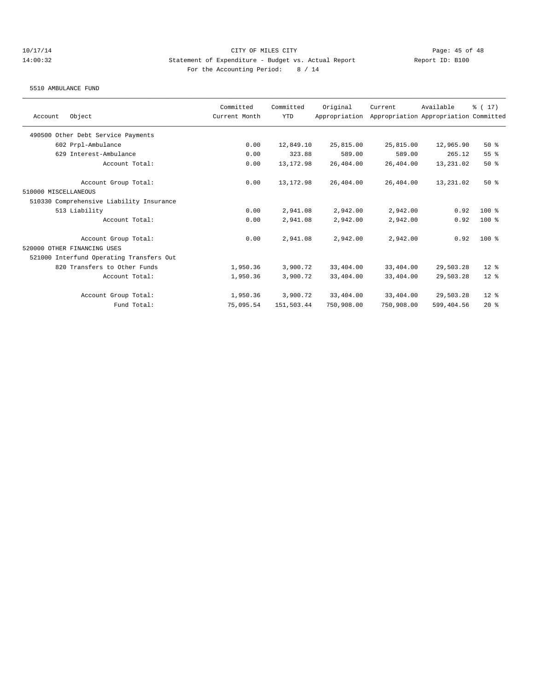5510 AMBULANCE FUND

|                                          | Committed     | Committed  | Original      | Current    | Available                             | $\frac{1}{2}$ (17) |
|------------------------------------------|---------------|------------|---------------|------------|---------------------------------------|--------------------|
| Object<br>Account                        | Current Month | <b>YTD</b> | Appropriation |            | Appropriation Appropriation Committed |                    |
| 490500 Other Debt Service Payments       |               |            |               |            |                                       |                    |
| 602 Prpl-Ambulance                       | 0.00          | 12,849.10  | 25,815.00     | 25,815.00  | 12,965.90                             | 50%                |
| 629 Interest-Ambulance                   | 0.00          | 323.88     | 589.00        | 589.00     | 265.12                                | 55%                |
| Account Total:                           | 0.00          | 13, 172.98 | 26,404.00     | 26,404.00  | 13,231.02                             | 50%                |
| Account Group Total:                     | 0.00          | 13, 172.98 | 26,404.00     | 26,404.00  | 13,231.02                             | 50%                |
| 510000 MISCELLANEOUS                     |               |            |               |            |                                       |                    |
| 510330 Comprehensive Liability Insurance |               |            |               |            |                                       |                    |
| 513 Liability                            | 0.00          | 2,941.08   | 2,942.00      | 2,942.00   | 0.92                                  | $100*$             |
| Account Total:                           | 0.00          | 2,941.08   | 2,942.00      | 2,942.00   | 0.92                                  | $100$ %            |
| Account Group Total:                     | 0.00          | 2,941.08   | 2,942.00      | 2,942.00   | 0.92                                  | $100*$             |
| 520000 OTHER FINANCING USES              |               |            |               |            |                                       |                    |
| 521000 Interfund Operating Transfers Out |               |            |               |            |                                       |                    |
| 820 Transfers to Other Funds             | 1,950.36      | 3,900.72   | 33,404.00     | 33,404.00  | 29,503.28                             | $12*$              |
| Account Total:                           | 1,950.36      | 3,900.72   | 33,404.00     | 33,404.00  | 29,503.28                             | $12*$              |
| Account Group Total:                     | 1,950.36      | 3,900.72   | 33,404.00     | 33,404.00  | 29,503.28                             | $12*$              |
| Fund Total:                              | 75,095.54     | 151,503.44 | 750,908.00    | 750,908.00 | 599,404.56                            | $20*$              |
|                                          |               |            |               |            |                                       |                    |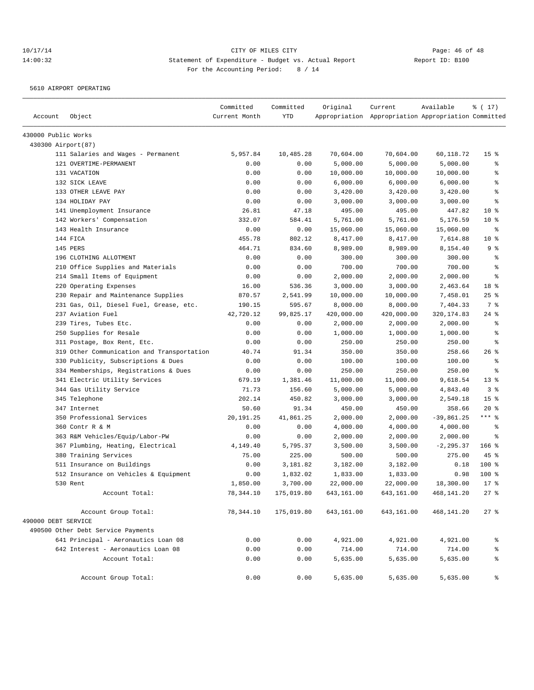5610 AIRPORT OPERATING

| Account             | Object                                     | Committed<br>Current Month | Committed<br>YTD | Original   | Current<br>Appropriation Appropriation Appropriation Committed | Available    | % (17)          |
|---------------------|--------------------------------------------|----------------------------|------------------|------------|----------------------------------------------------------------|--------------|-----------------|
| 430000 Public Works |                                            |                            |                  |            |                                                                |              |                 |
| 430300 Airport(87)  |                                            |                            |                  |            |                                                                |              |                 |
|                     | 111 Salaries and Wages - Permanent         | 5,957.84                   | 10,485.28        | 70,604.00  | 70,604.00                                                      | 60,118.72    | 15 <sup>°</sup> |
|                     | 121 OVERTIME-PERMANENT                     | 0.00                       | 0.00             | 5,000.00   | 5,000.00                                                       | 5,000.00     | နွ              |
|                     | 131 VACATION                               | 0.00                       | 0.00             | 10,000.00  | 10,000.00                                                      | 10,000.00    | ి               |
|                     | 132 SICK LEAVE                             | 0.00                       | 0.00             | 6,000.00   | 6,000.00                                                       | 6,000.00     | ి               |
|                     | 133 OTHER LEAVE PAY                        | 0.00                       | 0.00             | 3,420.00   | 3,420.00                                                       | 3,420.00     | $\epsilon$      |
|                     | 134 HOLIDAY PAY                            | 0.00                       | 0.00             | 3,000.00   | 3,000.00                                                       | 3,000.00     | ి               |
|                     | 141 Unemployment Insurance                 | 26.81                      | 47.18            | 495.00     | 495.00                                                         | 447.82       | $10*$           |
|                     | 142 Workers' Compensation                  | 332.07                     | 584.41           | 5,761.00   | 5,761.00                                                       | 5,176.59     | $10*$           |
|                     | 143 Health Insurance                       | 0.00                       | 0.00             | 15,060.00  | 15,060.00                                                      | 15,060.00    | $\epsilon$      |
|                     | 144 FICA                                   | 455.78                     | 802.12           | 8,417.00   | 8,417.00                                                       | 7,614.88     | $10*$           |
|                     | 145 PERS                                   | 464.71                     | 834.60           | 8,989.00   | 8,989.00                                                       | 8,154.40     | 9 %             |
|                     | 196 CLOTHING ALLOTMENT                     | 0.00                       | 0.00             | 300.00     | 300.00                                                         | 300.00       | နွ              |
|                     | 210 Office Supplies and Materials          | 0.00                       | 0.00             | 700.00     | 700.00                                                         | 700.00       | $\epsilon$      |
|                     | 214 Small Items of Equipment               | 0.00                       | 0.00             | 2,000.00   | 2,000.00                                                       | 2,000.00     | $\epsilon$      |
|                     | 220 Operating Expenses                     | 16.00                      | 536.36           | 3,000.00   | 3,000.00                                                       | 2,463.64     | 18 %            |
|                     | 230 Repair and Maintenance Supplies        | 870.57                     | 2,541.99         | 10,000.00  | 10,000.00                                                      | 7,458.01     | $25$ %          |
|                     | 231 Gas, Oil, Diesel Fuel, Grease, etc.    | 190.15                     | 595.67           | 8,000.00   | 8,000.00                                                       | 7,404.33     | 7 %             |
|                     | 237 Aviation Fuel                          | 42,720.12                  | 99,825.17        | 420,000.00 | 420,000.00                                                     | 320, 174.83  | $24$ %          |
|                     | 239 Tires, Tubes Etc.                      | 0.00                       | 0.00             | 2,000.00   | 2,000.00                                                       | 2,000.00     | နွ              |
|                     | 250 Supplies for Resale                    | 0.00                       | 0.00             | 1,000.00   | 1,000.00                                                       | 1,000.00     | ి               |
|                     | 311 Postage, Box Rent, Etc.                | 0.00                       | 0.00             | 250.00     | 250.00                                                         | 250.00       | ి               |
|                     | 319 Other Communication and Transportation | 40.74                      | 91.34            | 350.00     | 350.00                                                         | 258.66       | $26$ %          |
|                     | 330 Publicity, Subscriptions & Dues        | 0.00                       | 0.00             | 100.00     | 100.00                                                         | 100.00       | ి               |
|                     | 334 Memberships, Registrations & Dues      | 0.00                       | 0.00             | 250.00     | 250.00                                                         | 250.00       | ి               |
|                     | 341 Electric Utility Services              | 679.19                     | 1,381.46         | 11,000.00  | 11,000.00                                                      | 9,618.54     | $13*$           |
|                     | 344 Gas Utility Service                    | 71.73                      | 156.60           | 5,000.00   | 5,000.00                                                       | 4,843.40     | 3%              |
|                     | 345 Telephone                              | 202.14                     | 450.82           | 3,000.00   | 3,000.00                                                       | 2,549.18     | 15 <sup>°</sup> |
|                     | 347 Internet                               | 50.60                      | 91.34            | 450.00     | 450.00                                                         | 358.66       | $20*$           |
|                     | 350 Professional Services                  | 20,191.25                  | 41,861.25        | 2,000.00   | 2,000.00                                                       | $-39,861.25$ | $***$ $_{8}$    |
|                     | 360 Contr R & M                            | 0.00                       | 0.00             | 4,000.00   | 4,000.00                                                       | 4,000.00     | နွ              |
|                     | 363 R&M Vehicles/Equip/Labor-PW            | 0.00                       | 0.00             | 2,000.00   | 2,000.00                                                       | 2,000.00     | ႜ               |
|                     | 367 Plumbing, Heating, Electrical          | 4,149.40                   | 5,795.37         | 3,500.00   | 3,500.00                                                       | $-2, 295.37$ | $166$ %         |
|                     | 380 Training Services                      | 75.00                      | 225.00           | 500.00     | 500.00                                                         | 275.00       | 45 %            |
|                     | 511 Insurance on Buildings                 | 0.00                       | 3,181.82         | 3,182.00   | 3,182.00                                                       | 0.18         | 100 %           |
|                     | 512 Insurance on Vehicles & Equipment      | 0.00                       | 1,832.02         | 1,833.00   | 1,833.00                                                       | 0.98         | $100$ %         |
|                     | 530 Rent                                   | 1,850.00                   | 3,700.00         | 22,000.00  | 22,000.00                                                      | 18,300.00    | $17*$           |
|                     | Account Total:                             | 78,344.10                  | 175,019.80       | 643,161.00 | 643,161.00                                                     | 468,141.20   | $27$ %          |
|                     | Account Group Total:                       | 78,344.10                  | 175,019.80       | 643,161.00 | 643,161.00                                                     | 468,141.20   | $27$ %          |
| 490000 DEBT SERVICE |                                            |                            |                  |            |                                                                |              |                 |
|                     | 490500 Other Debt Service Payments         |                            |                  |            |                                                                |              |                 |
|                     | 641 Principal - Aeronautics Loan 08        | 0.00                       | 0.00             | 4,921.00   | 4,921.00                                                       | 4,921.00     | ိင              |
|                     | 642 Interest - Aeronautics Loan 08         | 0.00                       | 0.00             | 714.00     | 714.00                                                         | 714.00       | ್ಠಿ             |
|                     | Account Total:                             | 0.00                       | 0.00             | 5,635.00   | 5,635.00                                                       | 5,635.00     | ್ಠಿ             |
|                     | Account Group Total:                       | 0.00                       | 0.00             | 5,635.00   | 5,635.00                                                       | 5,635.00     | နွ              |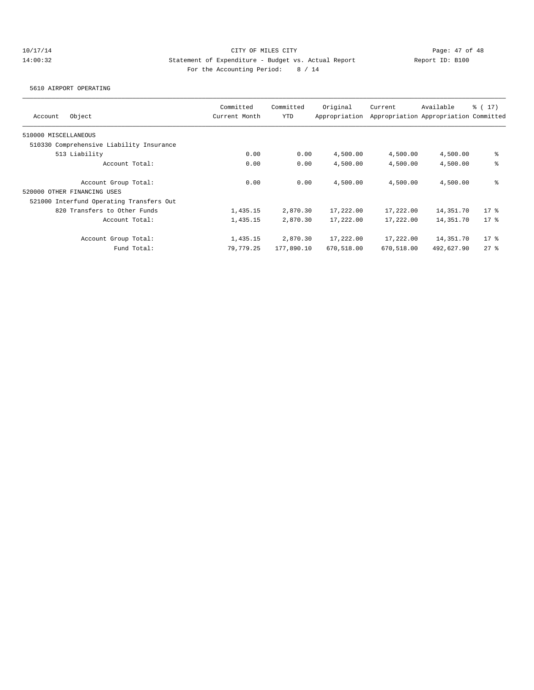5610 AIRPORT OPERATING

|                                          | Committed     | Committed  | Original      | Current    | Available                             | $\frac{1}{6}$ ( 17 ) |
|------------------------------------------|---------------|------------|---------------|------------|---------------------------------------|----------------------|
| Object<br>Account                        | Current Month | YTD        | Appropriation |            | Appropriation Appropriation Committed |                      |
| 510000 MISCELLANEOUS                     |               |            |               |            |                                       |                      |
| 510330 Comprehensive Liability Insurance |               |            |               |            |                                       |                      |
| 513 Liability                            | 0.00          | 0.00       | 4,500.00      | 4,500.00   | 4,500.00                              | နွ                   |
| Account Total:                           | 0.00          | 0.00       | 4,500.00      | 4,500.00   | 4,500.00                              | နွ                   |
| Account Group Total:                     | 0.00          | 0.00       | 4,500.00      | 4,500.00   | 4,500.00                              | နွ                   |
| 520000 OTHER FINANCING USES              |               |            |               |            |                                       |                      |
| 521000 Interfund Operating Transfers Out |               |            |               |            |                                       |                      |
| 820 Transfers to Other Funds             | 1,435.15      | 2,870.30   | 17,222.00     | 17,222.00  | 14,351.70                             | $17*$                |
| Account Total:                           | 1,435.15      | 2,870.30   | 17,222.00     | 17,222.00  | 14,351.70                             | $17*$                |
| Account Group Total:                     | 1,435.15      | 2,870.30   | 17,222.00     | 17,222.00  | 14,351.70                             | $17*$                |
| Fund Total:                              | 79,779.25     | 177,890.10 | 670,518.00    | 670,518.00 | 492,627.90                            | 278                  |